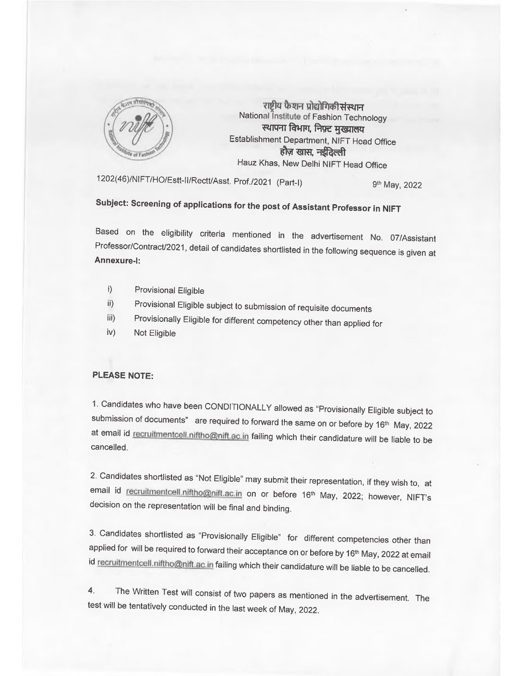

राष्टीय फैशन प्रोद्योगिकी संस्थान National Institute of Fashion Technology स्थापना विभाग, निफ़्ट मुख्यालय Establishment Department, NIFT Head Office हौज़ खास, नईदिल्ली Hauz Khas, New Delhi NIFT Head Office

1202(46)/NIFT/HO/Estt-II/Rectt/Asst. Prof./2021 (Part-I)

9th May, 2022

# Subject: Screening of applications for the post of Assistant Professor in NIFT

Based on the eligibility criteria mentioned in the advertisement No. 07/Assistant Professor/Contract/2021, detail of candidates shortlisted in the following sequence is given at Annexure-I:

- $\vert$ **Provisional Eligible**
- Provisional Eligible subject to submission of requisite documents  $\mathbf{ii}$
- Provisionally Eligible for different competency other than applied for iii)
- $iv)$ Not Eligible

#### **PLEASE NOTE:**

1. Candidates who have been CONDITIONALLY allowed as "Provisionally Eligible subject to submission of documents" are required to forward the same on or before by 16th May, 2022 at email id recruitmentcell.niftho@nift.ac.in failing which their candidature will be liable to be cancelled.

2. Candidates shortlisted as "Not Eligible" may submit their representation, if they wish to, at email id recruitmentcell.niftho@nift.ac.in on or before 16<sup>th</sup> May, 2022; however, NIFT's decision on the representation will be final and binding.

3. Candidates shortlisted as "Provisionally Eligible" for different competencies other than applied for will be required to forward their acceptance on or before by 16<sup>th</sup> May, 2022 at email id recruitmentcell.niftho@nift.ac.in failing which their candidature will be liable to be cancelled.

The Written Test will consist of two papers as mentioned in the advertisement. The  $4.$ test will be tentatively conducted in the last week of May, 2022.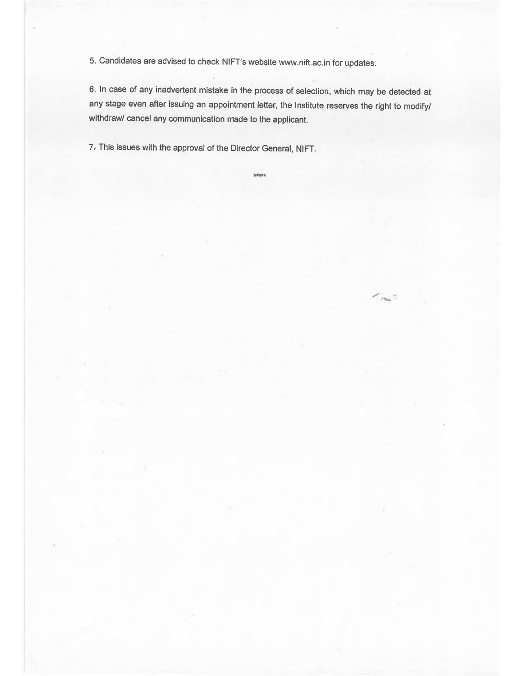5. Candidates are advised to check NIFT's website www.nift.ac.in for updates.

6. In case of any inadvertent mistake in the process of selection, which may be detected at any stage even after issuing an appointment letter, the Institute reserves the right to modify/ withdraw/ cancel any communication made to the applicant.

*Schoolsk* 

 $\label{eq:1} \mathcal{L} = \frac{1}{2} \sum_{i=1}^n \frac{1}{2} \sum_{i=1}^n \frac{1}{2} \sum_{i=1}^n \frac{1}{2} \sum_{i=1}^n \frac{1}{2} \sum_{i=1}^n \frac{1}{2} \sum_{i=1}^n \frac{1}{2} \sum_{i=1}^n \frac{1}{2} \sum_{i=1}^n \frac{1}{2} \sum_{i=1}^n \frac{1}{2} \sum_{i=1}^n \frac{1}{2} \sum_{i=1}^n \frac{1}{2} \sum_{i=1}^n \frac{1}{2} \sum_{i=1}$ 

7. This issues with the approval of the Director General, NIFT.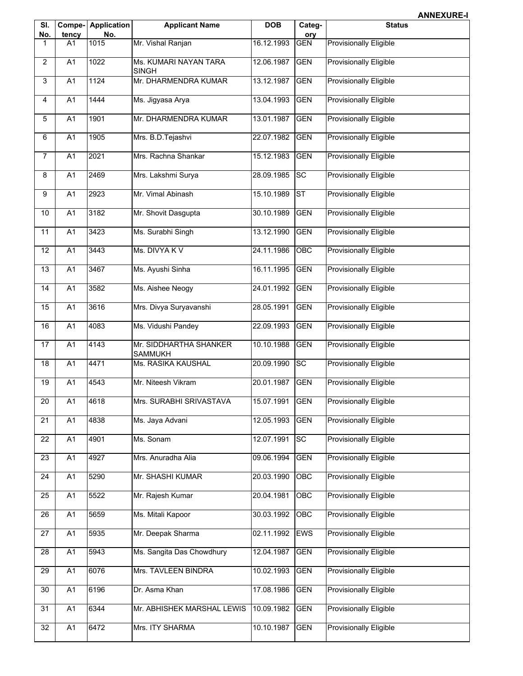| SI.<br>No.      | tency           | <b>Compe-</b> Application<br>No. | <b>Applicant Name</b>                    | <b>DOB</b>     | Categ-<br>ory          | <b>Status</b>                 |
|-----------------|-----------------|----------------------------------|------------------------------------------|----------------|------------------------|-------------------------------|
| $\mathbf{1}$    | A <sub>1</sub>  | 1015                             | Mr. Vishal Ranjan                        | 16.12.1993     | <b>GEN</b>             | <b>Provisionally Eligible</b> |
| $\overline{2}$  | $\overline{A1}$ | 1022                             | Ms. KUMARI NAYAN TARA<br><b>SINGH</b>    | 12.06.1987     | <b>GEN</b>             | <b>Provisionally Eligible</b> |
| 3               | A1              | 1124                             | Mr. DHARMENDRA KUMAR                     | 13.12.1987     | <b>GEN</b>             | <b>Provisionally Eligible</b> |
| 4               | A1              | 1444                             | Ms. Jigyasa Arya                         | 13.04.1993     | <b>GEN</b>             | <b>Provisionally Eligible</b> |
| 5               | A1              | 1901                             | Mr. DHARMENDRA KUMAR                     | 13.01.1987     | <b>GEN</b>             | <b>Provisionally Eligible</b> |
| 6               | A1              | 1905                             | Mrs. B.D.Tejashvi                        | 22.07.1982     | <b>GEN</b>             | <b>Provisionally Eligible</b> |
| $\overline{7}$  | A1              | 2021                             | Mrs. Rachna Shankar                      | 15.12.1983     | <b>GEN</b>             | Provisionally Eligible        |
| 8               | A1              | 2469                             | Mrs. Lakshmi Surya                       | 28.09.1985     | <b>SC</b>              | <b>Provisionally Eligible</b> |
| 9               | $\overline{A1}$ | 2923                             | Mr. Vimal Abinash                        | 15.10.1989     | $\overline{\text{ST}}$ | <b>Provisionally Eligible</b> |
| $10$            | A1              | 3182                             | Mr. Shovit Dasgupta                      | 30.10.1989     | <b>GEN</b>             | <b>Provisionally Eligible</b> |
| 11              | $\overline{A1}$ | 3423                             | Ms. Surabhi Singh                        | 13.12.1990     | <b>GEN</b>             | <b>Provisionally Eligible</b> |
| $\overline{12}$ | A <sub>1</sub>  | 3443                             | Ms. DIVYA K V                            | 24.11.1986     | OBC                    | <b>Provisionally Eligible</b> |
| 13              | A <sub>1</sub>  | 3467                             | Ms. Ayushi Sinha                         | 16.11.1995     | <b>GEN</b>             | <b>Provisionally Eligible</b> |
| 14              | A1              | 3582                             | Ms. Aishee Neogy                         | 24.01.1992     | <b>GEN</b>             | <b>Provisionally Eligible</b> |
| 15              | A1              | 3616                             | Mrs. Divya Suryavanshi                   | 28.05.1991     | <b>GEN</b>             | Provisionally Eligible        |
| 16              | A <sub>1</sub>  | 4083                             | Ms. Vidushi Pandey                       | 22.09.1993     | <b>GEN</b>             | Provisionally Eligible        |
| 17              | $\overline{A1}$ | 4143                             | Mr. SIDDHARTHA SHANKER<br><b>SAMMUKH</b> | 10.10.1988     | <b>GEN</b>             | <b>Provisionally Eligible</b> |
| 18              | $\overline{A1}$ | 4471                             | Ms. RASIKA KAUSHAL                       | 20.09.1990     | <b>SC</b>              | <b>Provisionally Eligible</b> |
| 19              | A1              | 4543                             | Mr. Niteesh Vikram                       | 20.01.1987     | <b>GEN</b>             | <b>Provisionally Eligible</b> |
| 20              | $\overline{A1}$ | 4618                             | Mrs. SURABHI SRIVASTAVA                  | 15.07.1991 GEN |                        | <b>Provisionally Eligible</b> |
| 21              | A1              | 4838                             | Ms. Jaya Advani                          | 12.05.1993     | <b>GEN</b>             | <b>Provisionally Eligible</b> |
| 22              | A <sub>1</sub>  | 4901                             | Ms. Sonam                                | 12.07.1991     | <b>SC</b>              | Provisionally Eligible        |
| 23              | A <sub>1</sub>  | 4927                             | Mrs. Anuradha Alia                       | 09.06.1994     | <b>GEN</b>             | <b>Provisionally Eligible</b> |
| 24              | A1              | 5290                             | Mr. SHASHI KUMAR                         | 20.03.1990     | <b>OBC</b>             | <b>Provisionally Eligible</b> |
| 25              | A1              | 5522                             | Mr. Rajesh Kumar                         | 20.04.1981     | OBC                    | Provisionally Eligible        |
| 26              | A1              | 5659                             | Ms. Mitali Kapoor                        | 30.03.1992     | OBC                    | <b>Provisionally Eligible</b> |
| $\overline{27}$ | $\overline{A1}$ | 5935                             | Mr. Deepak Sharma                        | 02.11.1992     | <b>EWS</b>             | <b>Provisionally Eligible</b> |
| 28              | A1              | 5943                             | Ms. Sangita Das Chowdhury                | 12.04.1987     | <b>GEN</b>             | <b>Provisionally Eligible</b> |
| 29              | A1              | 6076                             | Mrs. TAVLEEN BINDRA                      | 10.02.1993     | <b>GEN</b>             | <b>Provisionally Eligible</b> |
| 30              | A1              | 6196                             | Dr. Asma Khan                            | 17.08.1986     | <b>GEN</b>             | Provisionally Eligible        |
| 31              | A1              | 6344                             | Mr. ABHISHEK MARSHAL LEWIS               | 10.09.1982     | <b>GEN</b>             | Provisionally Eligible        |
| 32              | A1              | 6472                             | Mrs. ITY SHARMA                          | 10.10.1987     | <b>GEN</b>             | Provisionally Eligible        |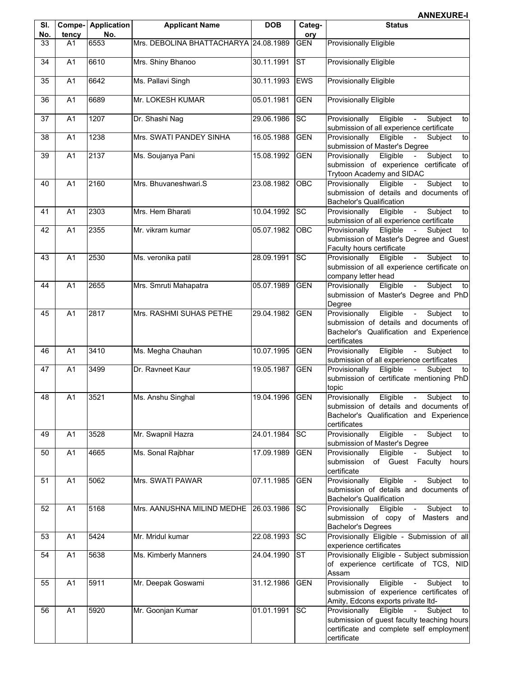| SI.<br>No. | tency          | <b>Compe-</b> Application<br>No. | <b>Applicant Name</b>                 | <b>DOB</b>     | Categ-<br>ory | <b>Status</b>                                                                                                                                                         |
|------------|----------------|----------------------------------|---------------------------------------|----------------|---------------|-----------------------------------------------------------------------------------------------------------------------------------------------------------------------|
| 33         | A <sub>1</sub> | 6553                             | Mrs. DEBOLINA BHATTACHARYA 24.08.1989 |                | <b>GEN</b>    | <b>Provisionally Eligible</b>                                                                                                                                         |
| 34         | A <sub>1</sub> | 6610                             | Mrs. Shiny Bhanoo                     | 30.11.1991     | <b>ST</b>     | <b>Provisionally Eligible</b>                                                                                                                                         |
| 35         | A1             | 6642                             | Ms. Pallavi Singh                     | 30.11.1993     | <b>EWS</b>    | <b>Provisionally Eligible</b>                                                                                                                                         |
| 36         | A1             | 6689                             | Mr. LOKESH KUMAR                      | 05.01.1981     | <b>GEN</b>    | <b>Provisionally Eligible</b>                                                                                                                                         |
| 37         | A <sub>1</sub> | 1207                             | Dr. Shashi Nag                        | 29.06.1986     | <b>SC</b>     | Eligible -<br>Provisionally<br>Subject<br>to<br>submission of all experience certificate                                                                              |
| 38         | A <sub>1</sub> | 1238                             | Mrs. SWATI PANDEY SINHA               | 16.05.1988     | <b>GEN</b>    | Eligible<br>Provisionally<br>Subject<br>$\sim 10^{-1}$<br>to<br>submission of Master's Degree                                                                         |
| 39         | A1             | 2137                             | Ms. Soujanya Pani                     | 15.08.1992     | <b>GEN</b>    | $\sim$<br>Subject<br>Eligible<br>Provisionally<br>to<br>submission of experience certificate of<br>Trytoon Academy and SIDAC                                          |
| 40         | A1             | 2160                             | Mrs. Bhuvaneshwari.S                  | 23.08.1982     | OBC           | Subject<br>Eligible<br>Provisionally<br>$\sim$<br>to<br>submission of details and documents of<br><b>Bachelor's Qualification</b>                                     |
| 41         | A <sub>1</sub> | 2303                             | Mrs. Hem Bharati                      | 10.04.1992     | <b>SC</b>     | Subject<br>Provisionally<br>Eligible<br>$\sim 10$<br>to<br>submission of all experience certificate                                                                   |
| 42         | A <sub>1</sub> | 2355                             | Mr. vikram kumar                      | 05.07.1982     | OBC           | Eligible<br>Provisionally<br>Subject<br>to<br>$\sim$<br>submission of Master's Degree and Guest<br>Faculty hours certificate                                          |
| 43         | A1             | 2530                             | Ms. veronika patil                    | 28.09.1991     | <b>SC</b>     | Subject<br>Eligible<br>$\sim 10^{-11}$<br>Provisionally<br>to<br>submission of all experience certificate on<br>company letter head                                   |
| 44         | A1             | 2655                             | Mrs. Smruti Mahapatra                 | 05.07.1989     | <b>GEN</b>    | Eligible - Subject<br>Provisionally<br>to<br>submission of Master's Degree and PhD<br>Degree                                                                          |
| 45         | A1             | 2817                             | Mrs. RASHMI SUHAS PETHE               | 29.04.1982     | <b>GEN</b>    | Eligible -<br>Provisionally<br>Subject<br>to<br>submission of details and documents of<br>Bachelor's Qualification and Experience<br>certificates                     |
| 46         | A <sub>1</sub> | 3410                             | Ms. Megha Chauhan                     | 10.07.1995     | <b>GEN</b>    | Provisionally<br>Eligible<br>Subject<br>$\sim$<br>to<br>submission of all experience certificates                                                                     |
| 47         | A1             | 3499                             | Dr. Ravneet Kaur                      | 19.05.1987     | GEN           | Eligible<br>Provisionally<br>Subject<br>$\sim$<br>to<br>submission of certificate mentioning PhD<br>topic                                                             |
| 48         | A1             | 3521                             | Ms. Anshu Singhal                     | 19.04.1996 GEN |               | Provisionally<br>Eligible -<br>Subject<br>to<br>submission of details and documents of<br>Bachelor's Qualification and Experience<br>certificates                     |
| 49         | A <sub>1</sub> | 3528                             | Mr. Swapnil Hazra                     | 24.01.1984     | <b>SC</b>     | Eligible - Subject<br>Provisionally<br>tol<br>submission of Master's Degree                                                                                           |
| 50         | A <sub>1</sub> | 4665                             | Ms. Sonal Rajbhar                     | 17.09.1989     | <b>GEN</b>    | Eligible - Subject<br>Provisionally<br>to<br>submission of Guest Faculty hours<br>certificate                                                                         |
| 51         | A <sub>1</sub> | 5062                             | Mrs. SWATI PAWAR                      | 07.11.1985     | <b>GEN</b>    | Eligible<br>Provisionally<br>- Subject<br>tol<br>submission of details and documents of<br><b>Bachelor's Qualification</b>                                            |
| 52         | A1             | 5168                             | Mrs. AANUSHNA MILIND MEDHE            | 26.03.1986     | <b>SC</b>     | Subject<br>Eligible -<br>Provisionally<br>tol<br>submission of copy of Masters and<br><b>Bachelor's Degrees</b>                                                       |
| 53         | A1             | 5424                             | Mr. Mridul kumar                      | 22.08.1993     | <b>SC</b>     | Provisionally Eligible - Submission of all<br>experience certificates                                                                                                 |
| 54         | A <sub>1</sub> | 5638                             | Ms. Kimberly Manners                  | 24.04.1990     | <b>ST</b>     | Provisionally Eligible - Subject submission<br>of experience certificate of TCS, NID<br>Assam                                                                         |
| 55         | A <sub>1</sub> | 5911                             | Mr. Deepak Goswami                    | 31.12.1986     | <b>GEN</b>    | Provisionally<br>Eligible<br>- Subject<br>tol<br>submission of experience certificates of<br>Amity, Edcons exports private Itd-                                       |
| 56         | A <sub>1</sub> | 5920                             | Mr. Goonjan Kumar                     | 01.01.1991     | <b>SC</b>     | Eligible<br>Provisionally<br>$\sim 10^{-1}$<br>Subject<br>to<br>submission of guest faculty teaching hours<br>certificate and complete self employment<br>certificate |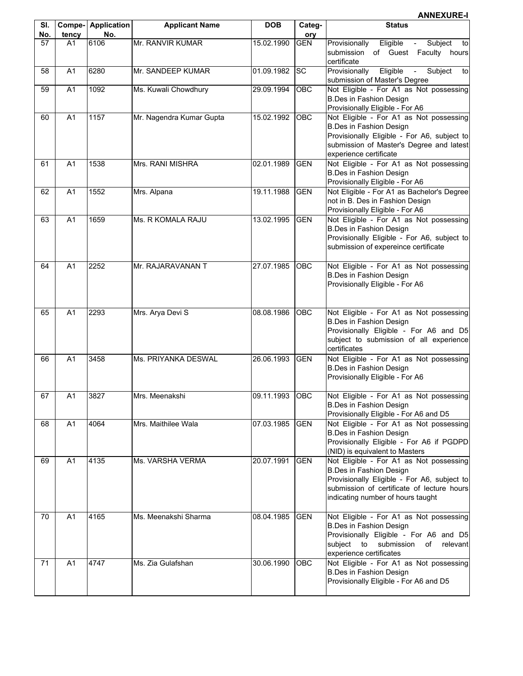| SI. |                 | <b>Compe-</b> Application | <b>Applicant Name</b>    | <b>DOB</b> | Categ-     | <b>Status</b>                                            |
|-----|-----------------|---------------------------|--------------------------|------------|------------|----------------------------------------------------------|
| No. | tency           | No.                       |                          |            | ory        |                                                          |
| 57  | A1              | 6106                      | Mr. RANVIR KUMAR         | 15.02.1990 | <b>GEN</b> | Provisionally<br>Eligible<br>Subject<br>to<br>$\sim 10$  |
|     |                 |                           |                          |            |            | submission<br>of Guest Faculty hours                     |
|     |                 |                           |                          |            |            | certificate                                              |
| 58  | A <sub>1</sub>  | 6280                      | Mr. SANDEEP KUMAR        | 01.09.1982 | <b>SC</b>  | Provisionally<br>Eligible<br>Subject<br>$\sim 100$<br>to |
|     |                 |                           |                          |            |            | submission of Master's Degree                            |
| 59  | A <sub>1</sub>  | 1092                      | Ms. Kuwali Chowdhury     | 29.09.1994 | OBC        | Not Eligible - For A1 as Not possessing                  |
|     |                 |                           |                          |            |            | <b>B.Des in Fashion Design</b>                           |
|     |                 |                           |                          |            |            | Provisionally Eligible - For A6                          |
| 60  | $\overline{A1}$ | 1157                      | Mr. Nagendra Kumar Gupta | 15.02.1992 | OBC        | Not Eligible - For A1 as Not possessing                  |
|     |                 |                           |                          |            |            | <b>B.Des in Fashion Design</b>                           |
|     |                 |                           |                          |            |            | Provisionally Eligible - For A6, subject to              |
|     |                 |                           |                          |            |            | submission of Master's Degree and latest                 |
|     |                 |                           |                          |            |            | experience certificate                                   |
| 61  | A1              | 1538                      | Mrs. RANI MISHRA         | 02.01.1989 | <b>GEN</b> | Not Eligible - For A1 as Not possessing                  |
|     |                 |                           |                          |            |            | <b>B.Des in Fashion Design</b>                           |
|     |                 |                           |                          |            |            | Provisionally Eligible - For A6                          |
| 62  | A <sub>1</sub>  | 1552                      | Mrs. Alpana              | 19.11.1988 | GEN        | Not Eligible - For A1 as Bachelor's Degree               |
|     |                 |                           |                          |            |            | not in B. Des in Fashion Design                          |
|     |                 |                           |                          |            |            | Provisionally Eligible - For A6                          |
| 63  | A1              | 1659                      | Ms. R KOMALA RAJU        | 13.02.1995 | <b>GEN</b> | Not Eligible - For A1 as Not possessing                  |
|     |                 |                           |                          |            |            | <b>B.Des in Fashion Design</b>                           |
|     |                 |                           |                          |            |            | Provisionally Eligible - For A6, subject to              |
|     |                 |                           |                          |            |            | submission of expereince certificate                     |
|     |                 |                           |                          |            |            |                                                          |
| 64  | A1              | 2252                      | Mr. RAJARAVANAN T        | 27.07.1985 | OBC        | Not Eligible - For A1 as Not possessing                  |
|     |                 |                           |                          |            |            | <b>B.Des in Fashion Design</b>                           |
|     |                 |                           |                          |            |            | Provisionally Eligible - For A6                          |
|     |                 |                           |                          |            |            |                                                          |
| 65  | A1              | 2293                      | Mrs. Arya Devi S         | 08.08.1986 | OBC        | Not Eligible - For A1 as Not possessing                  |
|     |                 |                           |                          |            |            | <b>B.Des in Fashion Design</b>                           |
|     |                 |                           |                          |            |            | Provisionally Eligible - For A6 and D5                   |
|     |                 |                           |                          |            |            | subject to submission of all experience                  |
|     |                 |                           |                          |            |            | certificates                                             |
| 66  | A1              | 3458                      | Ms. PRIYANKA DESWAL      | 26.06.1993 | <b>GEN</b> | Not Eligible - For A1 as Not possessing                  |
|     |                 |                           |                          |            |            | <b>B.Des in Fashion Design</b>                           |
|     |                 |                           |                          |            |            | Provisionally Eligible - For A6                          |
|     |                 |                           |                          |            |            |                                                          |
| 67  | A1              | 3827                      | Mrs. Meenakshi           | 09.11.1993 | OBC        | Not Eligible - For A1 as Not possessing                  |
|     |                 |                           |                          |            |            | <b>B.Des in Fashion Design</b>                           |
|     |                 |                           |                          |            |            | Provisionally Eligible - For A6 and D5                   |
| 68  | A1              | 4064                      | Mrs. Maithilee Wala      | 07.03.1985 | <b>GEN</b> | Not Eligible - For A1 as Not possessing                  |
|     |                 |                           |                          |            |            | <b>B.Des in Fashion Design</b>                           |
|     |                 |                           |                          |            |            | Provisionally Eligible - For A6 if PGDPD                 |
|     |                 |                           |                          |            |            | (NID) is equivalent to Masters                           |
| 69  | A1              | 4135                      | Ms. VARSHA VERMA         | 20.07.1991 | <b>GEN</b> | Not Eligible - For A1 as Not possessing                  |
|     |                 |                           |                          |            |            | <b>B.Des in Fashion Design</b>                           |
|     |                 |                           |                          |            |            | Provisionally Eligible - For A6, subject to              |
|     |                 |                           |                          |            |            | submission of certificate of lecture hours               |
|     |                 |                           |                          |            |            | indicating number of hours taught                        |
|     |                 |                           |                          |            |            |                                                          |
| 70  | A <sub>1</sub>  | 4165                      | Ms. Meenakshi Sharma     | 08.04.1985 | <b>GEN</b> | Not Eligible - For A1 as Not possessing                  |
|     |                 |                           |                          |            |            | <b>B.Des in Fashion Design</b>                           |
|     |                 |                           |                          |            |            | Provisionally Eligible - For A6 and D5                   |
|     |                 |                           |                          |            |            | submission<br>subject<br>to<br>of<br>relevant            |
|     |                 |                           |                          |            |            | experience certificates                                  |
| 71  | A <sub>1</sub>  | 4747                      | Ms. Zia Gulafshan        | 30.06.1990 | OBC        | Not Eligible - For A1 as Not possessing                  |
|     |                 |                           |                          |            |            | <b>B.Des in Fashion Design</b>                           |
|     |                 |                           |                          |            |            | Provisionally Eligible - For A6 and D5                   |
|     |                 |                           |                          |            |            |                                                          |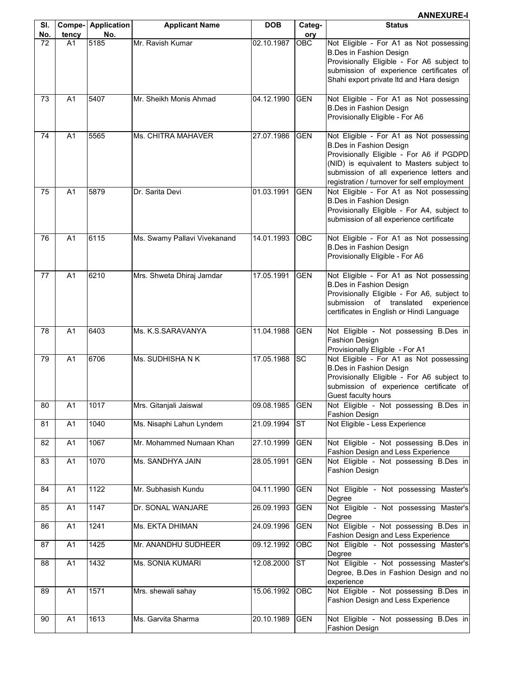| SI.       |                | <b>Compe-</b> Application | <b>Applicant Name</b>        | <b>DOB</b> | Categ-     | <b>Status</b>                                                                                                                                                                                                                                                 |
|-----------|----------------|---------------------------|------------------------------|------------|------------|---------------------------------------------------------------------------------------------------------------------------------------------------------------------------------------------------------------------------------------------------------------|
| No.<br>72 | tency<br>A1    | No.<br>5185               | Mr. Ravish Kumar             | 02.10.1987 | ory<br>OBC | Not Eligible - For A1 as Not possessing                                                                                                                                                                                                                       |
|           |                |                           |                              |            |            | <b>B.Des in Fashion Design</b><br>Provisionally Eligible - For A6 subject to<br>submission of experience certificates of<br>Shahi export private Itd and Hara design                                                                                          |
| 73        | A1             | 5407                      | Mr. Sheikh Monis Ahmad       | 04.12.1990 | <b>GEN</b> | Not Eligible - For A1 as Not possessing<br><b>B.Des in Fashion Design</b><br>Provisionally Eligible - For A6                                                                                                                                                  |
| 74        | A <sub>1</sub> | 5565                      | Ms. CHITRA MAHAVER           | 27.07.1986 | <b>GEN</b> | Not Eligible - For A1 as Not possessing<br><b>B.Des in Fashion Design</b><br>Provisionally Eligible - For A6 if PGDPD<br>(NID) is equivalent to Masters subject to<br>submission of all experience letters and<br>registration / turnover for self employment |
| 75        | A1             | 5879                      | Dr. Sarita Devi              | 01.03.1991 | <b>GEN</b> | Not Eligible - For A1 as Not possessing<br><b>B.Des in Fashion Design</b><br>Provisionally Eligible - For A4, subject to<br>submission of all experience certificate                                                                                          |
| 76        | A1             | 6115                      | Ms. Swamy Pallavi Vivekanand | 14.01.1993 | OBC        | Not Eligible - For A1 as Not possessing<br><b>B.Des in Fashion Design</b><br>Provisionally Eligible - For A6                                                                                                                                                  |
| 77        | A1             | 6210                      | Mrs. Shweta Dhiraj Jamdar    | 17.05.1991 | <b>GEN</b> | Not Eligible - For A1 as Not possessing<br><b>B.Des in Fashion Design</b><br>Provisionally Eligible - For A6, subject to<br>submission of translated<br>experience<br>certificates in English or Hindi Language                                               |
| 78        | A <sub>1</sub> | 6403                      | Ms. K.S.SARAVANYA            | 11.04.1988 | <b>GEN</b> | Not Eligible - Not possessing B.Des in<br><b>Fashion Design</b><br>Provisionally Eligible - For A1                                                                                                                                                            |
| 79        | A1             | 6706                      | Ms. SUDHISHA N K             | 17.05.1988 | <b>SC</b>  | Not Eligible - For A1 as Not possessing<br><b>B.Des in Fashion Design</b><br>Provisionally Eligible - For A6 subject to<br>submission of experience certificate of<br>Guest faculty hours                                                                     |
| 80        | A1             | 1017                      | Mrs. Gitanjali Jaiswal       | 09.08.1985 | <b>GEN</b> | Not Eligible - Not possessing B.Des in<br><b>Fashion Design</b>                                                                                                                                                                                               |
| 81        | A <sub>1</sub> | 1040                      | Ms. Nisaphi Lahun Lyndem     | 21.09.1994 | <b>ST</b>  | Not Eligible - Less Experience                                                                                                                                                                                                                                |
| 82        | A <sub>1</sub> | 1067                      | Mr. Mohammed Numaan Khan     | 27.10.1999 | <b>GEN</b> | Not Eligible - Not possessing B.Des in<br>Fashion Design and Less Experience                                                                                                                                                                                  |
| 83        | A <sub>1</sub> | 1070                      | Ms. SANDHYA JAIN             | 28.05.1991 | <b>GEN</b> | Not Eligible - Not possessing B.Des in<br>Fashion Design                                                                                                                                                                                                      |
| 84        | A <sub>1</sub> | 1122                      | Mr. Subhasish Kundu          | 04.11.1990 | <b>GEN</b> | Not Eligible - Not possessing Master's<br>Degree                                                                                                                                                                                                              |
| 85        | A <sub>1</sub> | 1147                      | Dr. SONAL WANJARE            | 26.09.1993 | <b>GEN</b> | Not Eligible - Not possessing Master's<br>Degree                                                                                                                                                                                                              |
| 86        | A <sub>1</sub> | 1241                      | Ms. EKTA DHIMAN              | 24.09.1996 | <b>GEN</b> | Not Eligible - Not possessing B.Des in<br>Fashion Design and Less Experience                                                                                                                                                                                  |
| 87        | A <sub>1</sub> | 1425                      | Mr. ANANDHU SUDHEER          | 09.12.1992 | OBC        | Not Eligible - Not possessing Master's<br>Degree                                                                                                                                                                                                              |
| 88        | A <sub>1</sub> | 1432                      | Ms. SONIA KUMARI             | 12.08.2000 | <b>ST</b>  | Not Eligible - Not possessing Master's<br>Degree, B.Des in Fashion Design and no<br>experience                                                                                                                                                                |
| 89        | A <sub>1</sub> | 1571                      | Mrs. shewali sahay           | 15.06.1992 | OBC        | Not Eligible - Not possessing B.Des in<br>Fashion Design and Less Experience                                                                                                                                                                                  |
| 90        | A <sub>1</sub> | 1613                      | Ms. Garvita Sharma           | 20.10.1989 | <b>GEN</b> | Not Eligible - Not possessing B.Des in<br><b>Fashion Design</b>                                                                                                                                                                                               |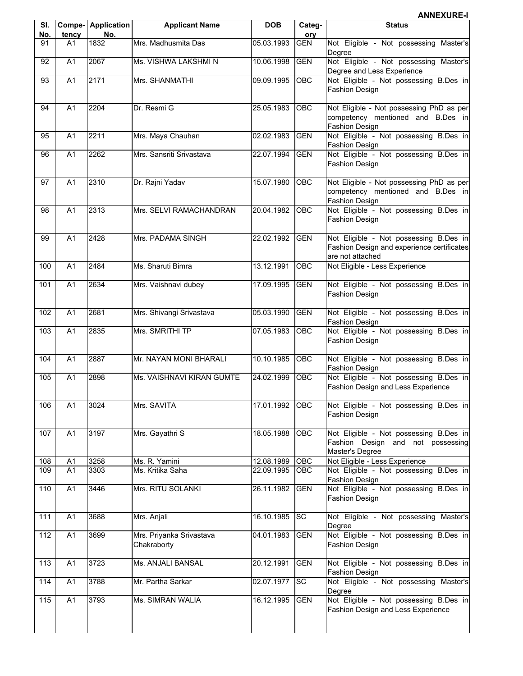#### **Sl. No. Competency Application No.** Applicant Name DOB Categ**ory Status**  91 | A1 | 1832 | Mrs. Madhusmita Das | 05.03.1993 GEN | Not Eligible - Not possessing Master's **Degree** 92 A1 2067 Ms. VISHWA LAKSHMI N 10.06.1998 GEN Not Eligible - Not possessing Master's Degree and Less Experience 93 A1 2171 Mrs. SHANMATHI 09.09.1995 OBC Not Eligible - Not possessing B.Des in Fashion Design 94 A1 2204 Dr. Resmi G 25.05.1983 OBC Not Eligible - Not possessing PhD as per competency mentioned and B.Des in Fashion Design 95 A1 2211 Mrs. Maya Chauhan 02.02.1983 GEN Not Eligible - Not possessing B.Des in Fashion Design 96 A1 2262 Mrs. Sansriti Srivastava 22.07.1994 GEN Not Eligible - Not possessing B.Des in Fashion Design 97 A1 2310 Dr. Rajni Yadav 15.07.1980 OBC Not Eligible - Not possessing PhD as per competency mentioned and B.Des in Fashion Design 98 | A1 | 2313 | Mrs. SELVI RAMACHANDRAN | 20.04.1982 | OBC | Not Eligible - Not possessing B.Des in Fashion Design 99 A1 2428 Mrs. PADAMA SINGH 22.02.1992 GEN Not Eligible - Not possessing B.Des in Fashion Design and experience certificates are not attached 100 A1 2484 Ms. Sharuti Bimra 13.12.1991 OBC Not Eligible - Less Experience 101 A1 2634 Mrs. Vaishnavi dubey 17.09.1995 GEN Not Eligible - Not possessing B.Des in Fashion Design 102 A1 2681 Mrs. Shivangi Srivastava 05.03.1990 GEN Not Eligible - Not possessing B.Des in Fashion Design 103 A1 2835 Mrs. SMRITHI TP 07.05.1983 OBC Not Eligible - Not possessing B.Des in Fashion Design 104 A1 2887 Mr. NAYAN MONI BHARALI 10.10.1985 OBC Not Eligible - Not possessing B.Des in Fashion Design 105 A1 2898 Ms. VAISHNAVI KIRAN GUMTE 24.02.1999 OBC Not Eligible - Not possessing B.Des in Fashion Design and Less Experience 106 A1 3024 Mrs. SAVITA 17.01.1992 OBC Not Eligible - Not possessing B.Des in Fashion Design 107 A1 3197 Mrs. Gayathri S 18.05.1988 OBC Not Eligible - Not possessing B.Des in Fashion Design and not possessing Master's Degree 108 A1 3258 Ms. R. Yamini 12.08.1989 OBC Not Eligible - Less Experience 109 A1 3303 Ms. Kritika Saha 22.09.1995 OBC Not Eligible - Not possessing B.Des in Fashion Design 110 A1 3446 Mrs. RITU SOLANKI 26.11.1982 GEN Not Eligible - Not possessing B.Des in Fashion Design 111 A1 3688 Mrs. Anjali 16.10.1985 SC Not Eligible - Not possessing Master's **Degree** 112 A1 3699 Mrs. Priyanka Srivastava **Chakraborty** 04.01.1983 GEN Not Eligible - Not possessing B.Des in Fashion Design 113 A1 3723 Ms. ANJALI BANSAL 20.12.1991 GEN Not Eligible - Not possessing B.Des in Fashion Design 114 A1 3788 Mr. Partha Sarkar 02.07.1977 SC Not Eligible - Not possessing Master's Degree 115 A1 3793 Ms. SIMRAN WALIA 16.12.1995 GEN Not Eligible - Not possessing B.Des in Fashion Design and Less Experience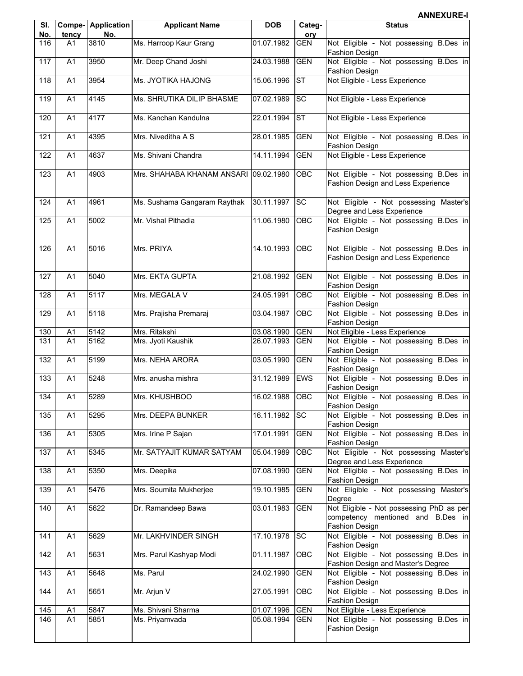|            |                |                                  |                                         |            |               | <b>ANNEXURE-I</b>                                                                                      |
|------------|----------------|----------------------------------|-----------------------------------------|------------|---------------|--------------------------------------------------------------------------------------------------------|
| SI.<br>No. | tency          | <b>Compe-</b> Application<br>No. | <b>Applicant Name</b>                   | <b>DOB</b> | Categ-<br>ory | <b>Status</b>                                                                                          |
| 116        | A1             | 3810                             | Ms. Harroop Kaur Grang                  | 01.07.1982 | <b>GEN</b>    | Not Eligible - Not possessing B.Des in<br><b>Fashion Design</b>                                        |
| 117        | A <sub>1</sub> | 3950                             | Mr. Deep Chand Joshi                    | 24.03.1988 | <b>GEN</b>    | Not Eligible - Not possessing B.Des in<br><b>Fashion Design</b>                                        |
| 118        | A1             | 3954                             | Ms. JYOTIKA HAJONG                      | 15.06.1996 | <b>IST</b>    | Not Eligible - Less Experience                                                                         |
| 119        | A <sub>1</sub> | 4145                             | Ms. SHRUTIKA DILIP BHASME               | 07.02.1989 | <b>SC</b>     | Not Eligible - Less Experience                                                                         |
| 120        | A <sub>1</sub> | 4177                             | Ms. Kanchan Kandulna                    | 22.01.1994 | <b>ST</b>     | Not Eligible - Less Experience                                                                         |
| 121        | A <sub>1</sub> | 4395                             | Mrs. Niveditha A S                      | 28.01.1985 | <b>GEN</b>    | Not Eligible - Not possessing B.Des in<br><b>Fashion Design</b>                                        |
| 122        | A <sub>1</sub> | 4637                             | Ms. Shivani Chandra                     | 14.11.1994 | <b>GEN</b>    | Not Eligible - Less Experience                                                                         |
| 123        | A <sub>1</sub> | 4903                             | Mrs. SHAHABA KHANAM ANSARI   09.02.1980 |            | OBC           | Not Eligible - Not possessing B.Des in<br>Fashion Design and Less Experience                           |
| 124        | A1             | 4961                             | Ms. Sushama Gangaram Raythak            | 30.11.1997 | <b>SC</b>     | Not Eligible - Not possessing Master's<br>Degree and Less Experience                                   |
| 125        | A1             | 5002                             | Mr. Vishal Pithadia                     | 11.06.1980 | <b>OBC</b>    | Not Eligible - Not possessing B.Des in<br><b>Fashion Design</b>                                        |
| 126        | A1             | 5016                             | Mrs. PRIYA                              | 14.10.1993 | OBC           | Not Eligible - Not possessing B.Des in<br>Fashion Design and Less Experience                           |
| 127        | A <sub>1</sub> | 5040                             | Mrs. EKTA GUPTA                         | 21.08.1992 | <b>GEN</b>    | Not Eligible - Not possessing B.Des in<br>Fashion Design                                               |
| 128        | A1             | 5117                             | Mrs. MEGALA V                           | 24.05.1991 | OBC           | Not Eligible - Not possessing B.Des in<br>Fashion Design                                               |
| 129        | A <sub>1</sub> | 5118                             | Mrs. Prajisha Premaraj                  | 03.04.1987 | OBC           | Not Eligible - Not possessing B.Des in<br>Fashion Design                                               |
| 130        | A <sub>1</sub> | 5142                             | Mrs. Ritakshi                           | 03.08.1990 | <b>GEN</b>    | Not Eligible - Less Experience                                                                         |
| 131        | A1             | 5162                             | Mrs. Jyoti Kaushik                      | 26.07.1993 | <b>GEN</b>    | Not Eligible - Not possessing B.Des in<br><b>Fashion Design</b>                                        |
| 132        | A <sub>1</sub> | 5199                             | Mrs. NEHA ARORA                         | 03.05.1990 | <b>GEN</b>    | Not Eligible - Not possessing B.Des in<br><b>Fashion Design</b>                                        |
| 133        | A1             | 5248                             | Mrs. anusha mishra                      | 31.12.1989 | <b>EWS</b>    | Not Eligible - Not possessing B.Des in<br>Fashion Design                                               |
| 134        | A1             | 5289                             | Mrs. KHUSHBOO                           | 16.02.1988 | OBC           | Not Eligible - Not possessing B.Des in<br><b>Fashion Design</b>                                        |
| 135        | A <sub>1</sub> | 5295                             | Mrs. DEEPA BUNKER                       | 16.11.1982 | <b>SC</b>     | Not Eligible - Not possessing B.Des in<br><b>Fashion Design</b>                                        |
| 136        | A1             | 5305                             | Mrs. Irine P Sajan                      | 17.01.1991 | <b>GEN</b>    | Not Eligible - Not possessing B.Des in<br><b>Fashion Design</b>                                        |
| 137        | A <sub>1</sub> | 5345                             | Mr. SATYAJIT KUMAR SATYAM               | 05.04.1989 | OBC           | Not Eligible - Not possessing Master's<br>Degree and Less Experience                                   |
| 138        | A <sub>1</sub> | 5350                             | Mrs. Deepika                            | 07.08.1990 | <b>GEN</b>    | Not Eligible - Not possessing B.Des in<br>Fashion Design                                               |
| 139        | A <sub>1</sub> | 5476                             | Mrs. Soumita Mukherjee                  | 19.10.1985 | <b>GEN</b>    | Not Eligible - Not possessing Master's<br>Dearee                                                       |
| 140        | A1             | 5622                             | Dr. Ramandeep Bawa                      | 03.01.1983 | <b>GEN</b>    | Not Eligible - Not possessing PhD as per<br>competency mentioned and B.Des in<br><b>Fashion Design</b> |
| 141        | A <sub>1</sub> | 5629                             | Mr. LAKHVINDER SINGH                    | 17.10.1978 | <b>SC</b>     | Not Eligible - Not possessing B.Des in<br>Fashion Design                                               |
| 142        | A <sub>1</sub> | 5631                             | Mrs. Parul Kashyap Modi                 | 01.11.1987 | <b>OBC</b>    | Not Eligible - Not possessing B.Des in<br>Fashion Design and Master's Degree                           |
| 143        | A1             | 5648                             | Ms. Parul                               | 24.02.1990 | <b>GEN</b>    | Not Eligible - Not possessing B.Des in<br>Fashion Design                                               |
| 144        | A <sub>1</sub> | 5651                             | Mr. Arjun V                             | 27.05.1991 | OBC           | Not Eligible - Not possessing B.Des in<br>Fashion Design                                               |
| 145        | A1             | 5847                             | Ms. Shivani Sharma                      | 01.07.1996 | <b>GEN</b>    | Not Eligible - Less Experience                                                                         |
| 146        | A <sub>1</sub> | 5851                             | Ms. Priyamvada                          | 05.08.1994 | <b>GEN</b>    | Not Eligible - Not possessing B.Des in<br>Fashion Design                                               |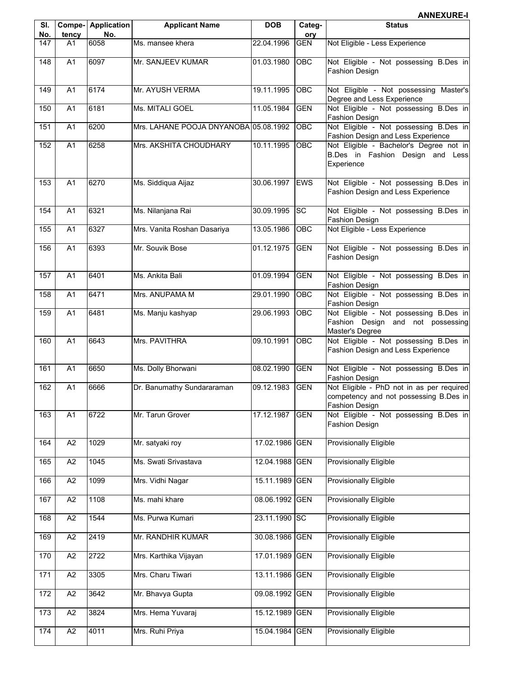| SI.<br>No. |                 | <b>Compe-</b> Application<br>No. | <b>Applicant Name</b>                 | <b>DOB</b>     | Categ-            | <b>Status</b>                                                                                                |
|------------|-----------------|----------------------------------|---------------------------------------|----------------|-------------------|--------------------------------------------------------------------------------------------------------------|
| 147        | tency<br>A1     | 6058                             | Ms. mansee khera                      | 22.04.1996     | ory<br><b>GEN</b> | Not Eligible - Less Experience                                                                               |
| 148        | $\overline{A1}$ | 6097                             | Mr. SANJEEV KUMAR                     | 01.03.1980     | OBC               | Not Eligible - Not possessing B.Des in<br>Fashion Design                                                     |
| 149        | A1              | 6174                             | Mr. AYUSH VERMA                       | 19.11.1995     | OBC               | Not Eligible - Not possessing Master's<br>Degree and Less Experience                                         |
| 150        | A <sub>1</sub>  | 6181                             | Ms. MITALI GOEL                       | 11.05.1984     | <b>GEN</b>        | Not Eligible - Not possessing B.Des in<br><b>Fashion Design</b>                                              |
| 151        | $\overline{A1}$ | 6200                             | Mrs. LAHANE POOJA DNYANOBA 05.08.1992 |                | OBC               | Not Eligible - Not possessing B.Des in<br>Fashion Design and Less Experience                                 |
| 152        | $\overline{A1}$ | 6258                             | Mrs. AKSHITA CHOUDHARY                | 10.11.1995     | OBC               | Not Eligible - Bachelor's Degree not in<br>B.Des in Fashion Design and Less<br>Experience                    |
| 153        | A <sub>1</sub>  | 6270                             | Ms. Siddiqua Aijaz                    | 30.06.1997     | <b>EWS</b>        | Not Eligible - Not possessing B.Des in<br>Fashion Design and Less Experience                                 |
| 154        | A <sub>1</sub>  | 6321                             | Ms. Nilanjana Rai                     | 30.09.1995     | <b>SC</b>         | Not Eligible - Not possessing B.Des in<br>Fashion Design                                                     |
| 155        | A1              | 6327                             | Mrs. Vanita Roshan Dasariya           | 13.05.1986     | OBC               | Not Eligible - Less Experience                                                                               |
| 156        | $\overline{A1}$ | 6393                             | Mr. Souvik Bose                       | 01.12.1975     | <b>GEN</b>        | Not Eligible - Not possessing B.Des in<br><b>Fashion Design</b>                                              |
| 157        | A <sub>1</sub>  | 6401                             | Ms. Ankita Bali                       | 01.09.1994     | <b>GEN</b>        | Not Eligible - Not possessing B.Des in<br>Fashion Design                                                     |
| 158        | A1              | 6471                             | Mrs. ANUPAMA M                        | 29.01.1990     | OBC               | Not Eligible - Not possessing B.Des in<br><b>Fashion Design</b>                                              |
| 159        | $\overline{A1}$ | 6481                             | Ms. Manju kashyap                     | 29.06.1993     | OBC               | Not Eligible - Not possessing B.Des in<br>Fashion Design and not possessing<br>Master's Degree               |
| 160        | $\overline{A1}$ | 6643                             | Mrs. PAVITHRA                         | 09.10.1991     | OBC               | Not Eligible - Not possessing B.Des in<br>Fashion Design and Less Experience                                 |
| 161        | A <sub>1</sub>  | 6650                             | Ms. Dolly Bhorwani                    | 08.02.1990     | <b>GEN</b>        | Not Eligible - Not possessing B.Des in<br><b>Fashion Design</b>                                              |
| 162        | $\overline{A1}$ | 6666                             | Dr. Banumathy Sundararaman            | 09.12.1983     | <b>GEN</b>        | Not Eligible - PhD not in as per required<br>competency and not possessing B.Des in<br><b>Fashion Design</b> |
| 163        | A1              | 6722                             | Mr. Tarun Grover                      | 17.12.1987     | <b>GEN</b>        | Not Eligible - Not possessing B.Des in<br><b>Fashion Design</b>                                              |
| 164        | A2              | 1029                             | Mr. satyaki roy                       | 17.02.1986 GEN |                   | <b>Provisionally Eligible</b>                                                                                |
| 165        | A2              | 1045                             | Ms. Swati Srivastava                  | 12.04.1988 GEN |                   | Provisionally Eligible                                                                                       |
| 166        | A2              | 1099                             | Mrs. Vidhi Nagar                      | 15.11.1989 GEN |                   | <b>Provisionally Eligible</b>                                                                                |
| 167        | A2              | 1108                             | Ms. mahi khare                        | 08.06.1992 GEN |                   | Provisionally Eligible                                                                                       |
| 168        | A2              | 1544                             | Ms. Purwa Kumari                      | 23.11.1990 SC  |                   | <b>Provisionally Eligible</b>                                                                                |
| 169        | A2              | 2419                             | Mr. RANDHIR KUMAR                     | 30.08.1986 GEN |                   | <b>Provisionally Eligible</b>                                                                                |
| 170        | A2              | 2722                             | Mrs. Karthika Vijayan                 | 17.01.1989 GEN |                   | <b>Provisionally Eligible</b>                                                                                |
| 171        | A2              | 3305                             | Mrs. Charu Tiwari                     | 13.11.1986 GEN |                   | <b>Provisionally Eligible</b>                                                                                |
| 172        | A2              | 3642                             | Mr. Bhavya Gupta                      | 09.08.1992 GEN |                   | <b>Provisionally Eligible</b>                                                                                |
| 173        | A2              | 3824                             | Mrs. Hema Yuvaraj                     | 15.12.1989 GEN |                   | <b>Provisionally Eligible</b>                                                                                |
| 174        | A2              | 4011                             | Mrs. Ruhi Priya                       | 15.04.1984 GEN |                   | Provisionally Eligible                                                                                       |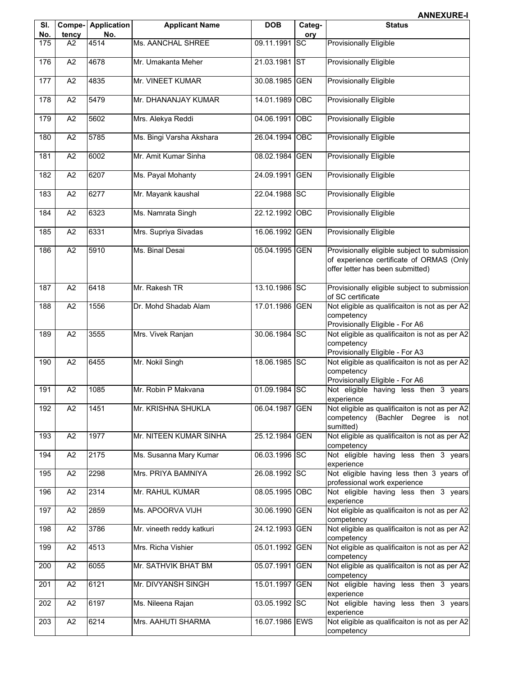| SI.              | Compe-          | <b>Application</b> | <b>Applicant Name</b>     | <b>DOB</b>     | Categ-          | <b>Status</b>                                                                                                                |
|------------------|-----------------|--------------------|---------------------------|----------------|-----------------|------------------------------------------------------------------------------------------------------------------------------|
| No.<br>175       | tency<br>A2     | No.<br>4514        | Ms. AANCHAL SHREE         | 09.11.1991 SC  | ory             | <b>Provisionally Eligible</b>                                                                                                |
|                  |                 |                    |                           |                |                 |                                                                                                                              |
| 176              | $\overline{A2}$ | 4678               | Mr. Umakanta Meher        | 21.03.1981 ST  |                 | <b>Provisionally Eligible</b>                                                                                                |
| 177              | A <sub>2</sub>  | 4835               | Mr. VINEET KUMAR          | 30.08.1985 GEN |                 | <b>Provisionally Eligible</b>                                                                                                |
| 178              | $\overline{A2}$ | 5479               | Mr. DHANANJAY KUMAR       | 14.01.1989     | <b>OBC</b>      | <b>Provisionally Eligible</b>                                                                                                |
| 179              | A <sub>2</sub>  | 5602               | Mrs. Alekya Reddi         | 04.06.1991 OBC |                 | Provisionally Eligible                                                                                                       |
| 180              | A2              | 5785               | Ms. Bingi Varsha Akshara  | 26.04.1994     | OBC             | Provisionally Eligible                                                                                                       |
| 181              | A2              | 6002               | Mr. Amit Kumar Sinha      | 08.02.1984 GEN |                 | Provisionally Eligible                                                                                                       |
| 182              | A2              | 6207               | Ms. Payal Mohanty         | 24.09.1991     | GEN             | <b>Provisionally Eligible</b>                                                                                                |
| 183              | A <sub>2</sub>  | 6277               | Mr. Mayank kaushal        | 22.04.1988 SC  |                 | <b>Provisionally Eligible</b>                                                                                                |
| 184              | $\overline{A2}$ | 6323               | Ms. Namrata Singh         | 22.12.1992 OBC |                 | <b>Provisionally Eligible</b>                                                                                                |
| 185              | $\overline{A2}$ | 6331               | Mrs. Supriya Sivadas      | 16.06.1992 GEN |                 | <b>Provisionally Eligible</b>                                                                                                |
| 186              | $\overline{A2}$ | 5910               | Ms. Binal Desai           | 05.04.1995 GEN |                 | Provisionally eligible subject to submission<br>of experience certificate of ORMAS (Only<br>offer letter has been submitted) |
| 187              | A2              | 6418               | Mr. Rakesh TR             | 13.10.1986 SC  |                 | Provisionally eligible subject to submission<br>of SC certificate                                                            |
| 188              | A2              | 1556               | Dr. Mohd Shadab Alam      | 17.01.1986 GEN |                 | Not eligible as qualificaiton is not as per A2<br>competency<br>Provisionally Eligible - For A6                              |
| 189              | $\overline{A2}$ | 3555               | Mrs. Vivek Ranjan         | 30.06.1984     | $\overline{SC}$ | Not eligible as qualificaiton is not as per A2<br>competency<br>Provisionally Eligible - For A3                              |
| 190              | $\overline{A2}$ | 6455               | Mr. Nokil Singh           | 18.06.1985 SC  |                 | Not eligible as qualificaiton is not as per A2<br>competency<br>Provisionally Eligible - For A6                              |
| 191              | $\overline{A2}$ | 1085               | Mr. Robin P Makvana       | 01.09.1984     | $\overline{SC}$ | Not eligible having less then 3 years<br>experience                                                                          |
| 192              | $\overline{A2}$ | 1451               | Mr. KRISHNA SHUKLA        | 06.04.1987 GEN |                 | Not eligible as qualificaiton is not as per A2<br>competency (Bachler Degree is not<br>sumitted)                             |
| 193              | A2              | 1977               | Mr. NITEEN KUMAR SINHA    | 25.12.1984     | <b>GEN</b>      | Not eligible as qualificaiton is not as per A2<br>competency                                                                 |
| 194              | A2              | 2175               | Ms. Susanna Mary Kumar    | 06.03.1996 SC  |                 | Not eligible having less then 3 years<br>experience                                                                          |
| 195              | A2              | 2298               | Mrs. PRIYA BAMNIYA        | 26.08.1992 SC  |                 | Not eligible having less then 3 years of<br>professional work experience                                                     |
| 196              | A2              | 2314               | Mr. RAHUL KUMAR           | 08.05.1995 OBC |                 | Not eligible having less then 3 years<br>experience                                                                          |
| 197              | A <sub>2</sub>  | 2859               | Ms. APOORVA VIJH          | 30.06.1990 GEN |                 | Not eligible as qualificaiton is not as per A2<br>competency                                                                 |
| 198              | A2              | 3786               | Mr. vineeth reddy katkuri | 24.12.1993 GEN |                 | Not eligible as qualificaiton is not as per A2<br>competency                                                                 |
| 199              | A <sub>2</sub>  | 4513               | Mrs. Richa Vishier        | 05.01.1992 GEN |                 | Not eligible as qualificaiton is not as per A2<br>competency                                                                 |
| 200              | A2              | 6055               | Mr. SATHVIK BHAT BM       | 05.07.1991 GEN |                 | Not eligible as qualificaiton is not as per A2<br>competency                                                                 |
| 201              | A <sub>2</sub>  | 6121               | Mr. DIVYANSH SINGH        | 15.01.1997 GEN |                 | Not eligible having less then 3 years<br>experience                                                                          |
| 202              | A2              | 6197               | Ms. Nileena Rajan         | 03.05.1992 SC  |                 | Not eligible having less then 3 years<br>experience                                                                          |
| $\overline{203}$ | $\overline{A2}$ | 6214               | Mrs. AAHUTI SHARMA        | 16.07.1986 EWS |                 | Not eligible as qualificaiton is not as per A2<br>competency                                                                 |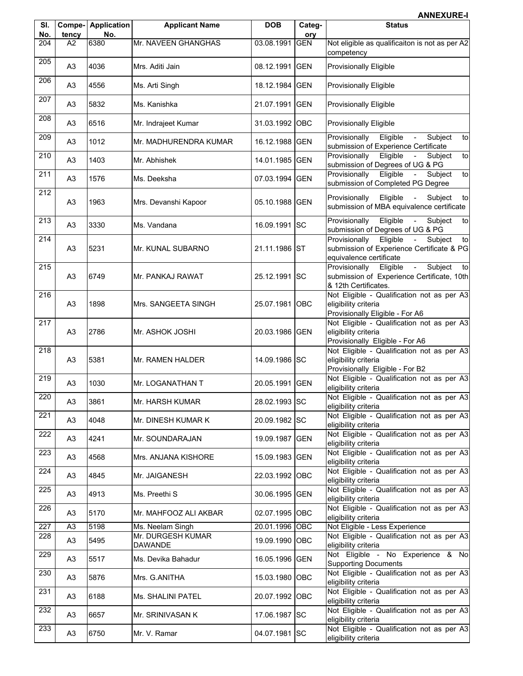|            |                 |                           |                              |                |               | <b>ANNEXURE-I</b>                                                                                                                            |
|------------|-----------------|---------------------------|------------------------------|----------------|---------------|----------------------------------------------------------------------------------------------------------------------------------------------|
| SI.<br>No. | Compe-<br>tency | <b>Application</b><br>No. | <b>Applicant Name</b>        | <b>DOB</b>     | Categ-<br>ory | <b>Status</b>                                                                                                                                |
| 204        | A2              | 6380                      | Mr. NAVEEN GHANGHAS          | 03.08.1991     | <b>GEN</b>    | Not eligible as qualificaiton is not as per A2<br>competency                                                                                 |
| 205        | A <sub>3</sub>  | 4036                      | Mrs. Aditi Jain              | 08.12.1991 GEN |               | Provisionally Eligible                                                                                                                       |
| 206        | A3              | 4556                      | Ms. Arti Singh               | 18.12.1984 GEN |               | <b>Provisionally Eligible</b>                                                                                                                |
| 207        | A <sub>3</sub>  | 5832                      | Ms. Kanishka                 | 21.07.1991 GEN |               | <b>Provisionally Eligible</b>                                                                                                                |
| 208        | A <sub>3</sub>  | 6516                      | Mr. Indrajeet Kumar          | 31.03.1992 OBC |               | <b>Provisionally Eligible</b>                                                                                                                |
| 209        | A <sub>3</sub>  | 1012                      | Mr. MADHURENDRA KUMAR        | 16.12.1988 GEN |               | Eligible<br>Provisionally<br>Subject<br>$\sim$<br>to<br>submission of Experience Certificate                                                 |
| 210        | A <sub>3</sub>  | 1403                      | Mr. Abhishek                 | 14.01.1985 GEN |               | Provisionally<br>Eligible<br>Subject<br>$\omega_{\rm{eff}}$<br>to<br>submission of Degrees of UG & PG                                        |
| 211        | A <sub>3</sub>  | 1576                      | Ms. Deeksha                  | 07.03.1994 GEN |               | Eligible<br>Provisionally<br>$\omega_{\rm{eff}}$<br>Subject<br>to<br>submission of Completed PG Degree                                       |
| 212        | A <sub>3</sub>  | 1963                      | Mrs. Devanshi Kapoor         | 05.10.1988 GEN |               | Subject<br>Provisionally<br>Eligible<br>$\sim 10^{-11}$<br>to<br>submission of MBA equivalence certificate                                   |
| 213        | A <sub>3</sub>  | 3330                      | Ms. Vandana                  | 16.09.1991 SC  |               | Provisionally<br>Eligible<br>Subject<br>to<br>submission of Degrees of UG & PG                                                               |
| 214        | A <sub>3</sub>  | 5231                      | Mr. KUNAL SUBARNO            | 21.11.1986     | <b>ST</b>     | Eligible<br>Provisionally<br>Subject<br>to<br>$\blacksquare$<br>submission of Experience Certificate & PG<br>equivalence certificate         |
| 215        | A <sub>3</sub>  | 6749                      | Mr. PANKAJ RAWAT             | 25.12.1991     | <b>SC</b>     | Eligible<br>Subject<br>Provisionally<br>$\mathcal{L}_{\rm{max}}$<br>to<br>submission of Experience Certificate, 10th<br>& 12th Certificates. |
| 216        | A <sub>3</sub>  | 1898                      | Mrs. SANGEETA SINGH          | 25.07.1981     | <b>OBC</b>    | Not Eligible - Qualification not as per A3<br>eligibility criteria<br>Provisionally Eligible - For A6                                        |
| 217        | A <sub>3</sub>  | 2786                      | Mr. ASHOK JOSHI              | 20.03.1986 GEN |               | Not Eligible - Qualification not as per A3<br>eligibility criteria<br>Provisionally Eligible - For A6                                        |
| 218        | A <sub>3</sub>  | 5381                      | Mr. RAMEN HALDER             | 14.09.1986 SC  |               | Not Eligible - Qualification not as per A3<br>eligibility criteria<br>Provisionally Eligible - For B2                                        |
| 219        | A <sub>3</sub>  | 1030                      | Mr. LOGANATHAN T             | 20.05.1991 GEN |               | Not Eligible - Qualification not as per A3<br>eligibility criteria                                                                           |
| 220        | A <sub>3</sub>  | 3861                      | Mr. HARSH KUMAR              | 28.02.1993 SC  |               | Not Eligible - Qualification not as per A3<br>eligibility criteria                                                                           |
| 221        | A <sub>3</sub>  | 4048                      | Mr. DINESH KUMAR K           | 20.09.1982 SC  |               | Not Eligible - Qualification not as per A3<br>eligibility criteria                                                                           |
| 222        | A <sub>3</sub>  | 4241                      | Mr. SOUNDARAJAN              | 19.09.1987 GEN |               | Not Eligible - Qualification not as per A3<br>eligibility criteria                                                                           |
| 223        | A <sub>3</sub>  | 4568                      | Mrs. ANJANA KISHORE          | 15.09.1983 GEN |               | Not Eligible - Qualification not as per A3<br>eligibility criteria                                                                           |
| 224        | A <sub>3</sub>  | 4845                      | Mr. JAIGANESH                | 22.03.1992 OBC |               | Not Eligible - Qualification not as per A3<br>eligibility criteria                                                                           |
| 225        | A <sub>3</sub>  | 4913                      | Ms. Preethi S                | 30.06.1995 GEN |               | Not Eligible - Qualification not as per A3<br>eligibility criteria                                                                           |
| 226        | A <sub>3</sub>  | 5170                      | Mr. MAHFOOZ ALI AKBAR        | 02.07.1995 OBC |               | Not Eligible - Qualification not as per A3<br>eligibility criteria                                                                           |
| 227        | A <sub>3</sub>  | 5198                      | Ms. Neelam Singh             | 20.01.1996 OBC |               | Not Eligible - Less Experience                                                                                                               |
| 228        | A3              | 5495                      | Mr. DURGESH KUMAR<br>DAWANDE | 19.09.1990 OBC |               | Not Eligible - Qualification not as per A3<br>eligibility criteria                                                                           |
| 229        | A <sub>3</sub>  | 5517                      | Ms. Devika Bahadur           | 16.05.1996 GEN |               | Not Eligible - No Experience & No<br><b>Supporting Documents</b>                                                                             |
| 230        | A <sub>3</sub>  | 5876                      | Mrs. G.ANITHA                | 15.03.1980 OBC |               | Not Eligible - Qualification not as per A3<br>eligibility criteria                                                                           |
| 231        | A <sub>3</sub>  | 6188                      | Ms. SHALINI PATEL            | 20.07.1992 OBC |               | Not Eligible - Qualification not as per A3<br>eligibility criteria                                                                           |
| 232        | A <sub>3</sub>  | 6657                      | Mr. SRINIVASAN K             | 17.06.1987 SC  |               | Not Eligible - Qualification not as per A3<br>eligibility criteria                                                                           |
| 233        | A <sub>3</sub>  | 6750                      | Mr. V. Ramar                 | 04.07.1981 SC  |               | Not Eligible - Qualification not as per A3<br>eligibility criteria                                                                           |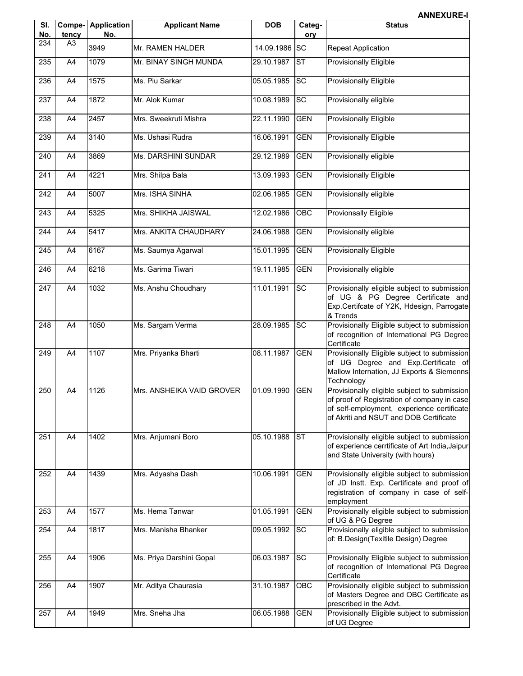| SI.<br>No. | Compe-<br>tency | <b>Application</b><br>No. | <b>Applicant Name</b>     | <b>DOB</b> | Categ-<br>ory | <b>Status</b>                                                                                                                                                                       |
|------------|-----------------|---------------------------|---------------------------|------------|---------------|-------------------------------------------------------------------------------------------------------------------------------------------------------------------------------------|
| 234        | A <sub>3</sub>  | 3949                      | Mr. RAMEN HALDER          | 14.09.1986 | <b>SC</b>     | <b>Repeat Application</b>                                                                                                                                                           |
| 235        | A4              | 1079                      | Mr. BINAY SINGH MUNDA     | 29.10.1987 | <b>ST</b>     | <b>Provisionally Eligible</b>                                                                                                                                                       |
| 236        | A4              | 1575                      | Ms. Piu Sarkar            | 05.05.1985 | <b>SC</b>     | <b>Provisionally Eligible</b>                                                                                                                                                       |
| 237        | A4              | 1872                      | Mr. Alok Kumar            | 10.08.1989 | <b>SC</b>     | Provisionally eligible                                                                                                                                                              |
| 238        | A4              | 2457                      | Mrs. Sweekruti Mishra     | 22.11.1990 | <b>GEN</b>    | Provisionally Eligible                                                                                                                                                              |
| 239        | A4              | 3140                      | Ms. Ushasi Rudra          | 16.06.1991 | <b>GEN</b>    | Provisionally Eligible                                                                                                                                                              |
| 240        | A4              | 3869                      | Ms. DARSHINI SUNDAR       | 29.12.1989 | <b>GEN</b>    | Provisionally eligible                                                                                                                                                              |
| 241        | A4              | 4221                      | Mrs. Shilpa Bala          | 13.09.1993 | <b>GEN</b>    | Provisionally Eligible                                                                                                                                                              |
| 242        | A4              | 5007                      | Mrs. ISHA SINHA           | 02.06.1985 | GEN           | Provisionally eligible                                                                                                                                                              |
| 243        | A4              | 5325                      | Mrs. SHIKHA JAISWAL       | 12.02.1986 | OBC           | <b>Provionsally Eligible</b>                                                                                                                                                        |
| 244        | A4              | 5417                      | Mrs. ANKITA CHAUDHARY     | 24.06.1988 | <b>GEN</b>    | Provisionally eligible                                                                                                                                                              |
| 245        | A4              | 6167                      | Ms. Saumya Agarwal        | 15.01.1995 | <b>GEN</b>    | <b>Provisionally Eligible</b>                                                                                                                                                       |
| 246        | A4              | 6218                      | Ms. Garima Tiwari         | 19.11.1985 | <b>GEN</b>    | Provisionally eligible                                                                                                                                                              |
| 247        | A4              | 1032                      | Ms. Anshu Choudhary       | 11.01.1991 | <b>SC</b>     | Provisionally eligible subject to submission<br>of UG & PG Degree Certificate and<br>Exp.Certifcate of Y2K, Hdesign, Parrogate<br>& Trends                                          |
| 248        | A4              | 1050                      | Ms. Sargam Verma          | 28.09.1985 | <b>SC</b>     | Provisionally Eligible subject to submission<br>of recognition of International PG Degree<br>Certificate                                                                            |
| 249        | A4              | 1107                      | Mrs. Priyanka Bharti      | 08.11.1987 | <b>GEN</b>    | Provisionally Eligible subject to submission<br>of UG Degree and Exp.Certificate of<br>Mallow Internation, JJ Exports & Siemenns<br>Technology                                      |
| 250        | A4              | 1126                      | Mrs. ANSHEIKA VAID GROVER | 01.09.1990 | GEN           | Provisionally eligible subject to submission<br>of proof of Registration of company in case<br>of self-employment, experience certificate<br>of Akriti and NSUT and DOB Certificate |
| 251        | A4              | 1402                      | Mrs. Anjumani Boro        | 05.10.1988 | <b>ST</b>     | Provisionally eligible subject to submission<br>of experience cerrtificate of Art India, Jaipur<br>and State University (with hours)                                                |
| 252        | A4              | 1439                      | Mrs. Adyasha Dash         | 10.06.1991 | <b>GEN</b>    | Provisionally eligible subject to submission<br>of JD Instt. Exp. Certificate and proof of<br>registration of company in case of self-<br>employment                                |
| 253        | A4              | 1577                      | Ms. Hema Tanwar           | 01.05.1991 | <b>GEN</b>    | Provisionally eligible subject to submission<br>of UG & PG Degree                                                                                                                   |
| 254        | A4              | 1817                      | Mrs. Manisha Bhanker      | 09.05.1992 | SC            | Provisionally eligible subject to submission<br>of: B.Design(Texitile Design) Degree                                                                                                |
| 255        | A4              | 1906                      | Ms. Priya Darshini Gopal  | 06.03.1987 | <b>SC</b>     | Provisionally Eligible subject to submission<br>of recognition of International PG Degree<br>Certificate                                                                            |
| 256        | A4              | 1907                      | Mr. Aditya Chaurasia      | 31.10.1987 | OBC           | Provisionally eligible subject to submission<br>of Masters Degree and OBC Certificate as<br>prescribed in the Advt.                                                                 |
| 257        | A4              | 1949                      | Mrs. Sneha Jha            | 06.05.1988 | <b>GEN</b>    | Provisionally Eligible subject to submission<br>of UG Degree                                                                                                                        |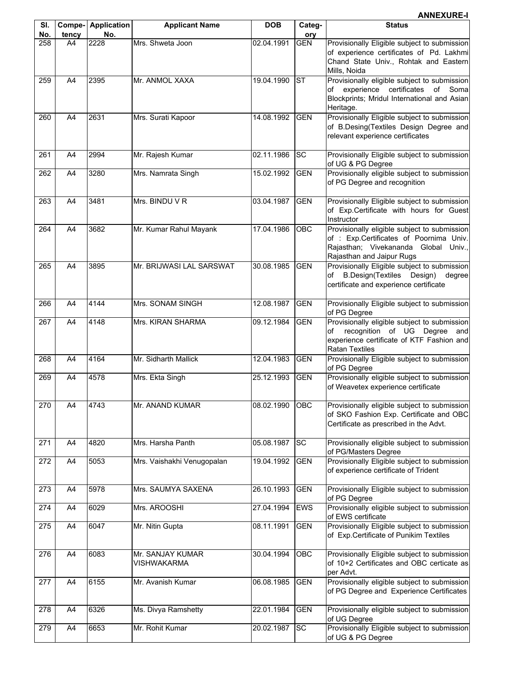| SI. |                 | <b>Compe-</b> Application | <b>Applicant Name</b>                  | <b>DOB</b>     | Categ-     | <b>Status</b>                                                                                                                                                |
|-----|-----------------|---------------------------|----------------------------------------|----------------|------------|--------------------------------------------------------------------------------------------------------------------------------------------------------------|
| No. | tency           | No.                       |                                        |                | ory        |                                                                                                                                                              |
| 258 | A4              | 2228                      | Mrs. Shweta Joon                       | 02.04.1991     | <b>GEN</b> | Provisionally Eligible subject to submission<br>of experience certificates of Pd. Lakhmi<br>Chand State Univ., Rohtak and Eastern<br>Mills, Noida            |
| 259 | A4              | 2395                      | Mr. ANMOL XAXA                         | 19.04.1990     | <b>ST</b>  | Provisionally eligible subject to submission<br>of experience certificates<br>of Soma<br>Blockprints; Mridul International and Asian<br>Heritage.            |
| 260 | A4              | 2631                      | Mrs. Surati Kapoor                     | 14.08.1992     | <b>GEN</b> | Provisionally Eligible subject to submission<br>of B.Desing(Textiles Design Degree and<br>relevant experience certificates                                   |
| 261 | A4              | 2994                      | Mr. Rajesh Kumar                       | 02.11.1986     | <b>SC</b>  | Provisionally Eligible subject to submission<br>of UG & PG Degree                                                                                            |
| 262 | A4              | 3280                      | Mrs. Namrata Singh                     | 15.02.1992     | <b>GEN</b> | Provisionally eligible subject to submission<br>of PG Degree and recognition                                                                                 |
| 263 | A4              | 3481                      | Mrs. BINDU V R                         | 03.04.1987     | <b>GEN</b> | Provisionally Eligible subject to submission<br>of Exp.Certificate with hours for Guest<br>Instructor                                                        |
| 264 | A4              | 3682                      | Mr. Kumar Rahul Mayank                 | 17.04.1986     | OBC        | Provisionally eligible subject to submission<br>of : Exp.Certificates of Poornima Univ.<br>Rajasthan; Vivekananda Global Univ.,<br>Rajasthan and Jaipur Rugs |
| 265 | A <sub>4</sub>  | 3895                      | Mr. BRIJWASI LAL SARSWAT               | 30.08.1985     | <b>GEN</b> | Provisionally Eligible subject to submission<br>B.Design(Textiles Design) degree<br>of<br>certificate and experience certificate                             |
| 266 | A4              | 4144                      | Mrs. SONAM SINGH                       | 12.08.1987     | <b>GEN</b> | Provisionally Eligible subject to submission<br>of PG Degree                                                                                                 |
| 267 | A4              | 4148                      | Mrs. KIRAN SHARMA                      | 09.12.1984     | <b>GEN</b> | Provisionally eligible subject to submission<br>recognition of UG Degree and<br>of<br>experience certificate of KTF Fashion and<br><b>Ratan Textiles</b>     |
| 268 | A <sub>4</sub>  | 4164                      | Mr. Sidharth Mallick                   | 12.04.1983     | <b>GEN</b> | Provisionally Eligible subject to submission<br>of PG Degree                                                                                                 |
| 269 | A4              | 4578                      | Mrs. Ekta Singh                        | 25.12.1993     | <b>GEN</b> | Provisionally eligible subject to submission<br>of Weavetex experience certificate                                                                           |
| 270 | A4              | 4743                      | Mr. ANAND KUMAR                        | 08.02.1990 OBC |            | Provisionally eligible subject to submission<br>of SKO Fashion Exp. Certificate and OBC<br>Certificate as prescribed in the Advt.                            |
| 271 | A4              | 4820                      | Mrs. Harsha Panth                      | 05.08.1987     | <b>SC</b>  | Provisionally eligible subject to submission<br>of PG/Masters Degree                                                                                         |
| 272 | A4              | 5053                      | Mrs. Vaishakhi Venugopalan             | 19.04.1992     | <b>GEN</b> | Provisionally Eligible subject to submission<br>of experience certificate of Trident                                                                         |
| 273 | A4              | 5978                      | Mrs. SAUMYA SAXENA                     | 26.10.1993     | <b>GEN</b> | Provisionally Eligible subject to submission<br>of PG Degree                                                                                                 |
| 274 | A4              | 6029                      | Mrs. AROOSHI                           | 27.04.1994     | <b>EWS</b> | Provisionally eligible subject to submission<br>of EWS certificate                                                                                           |
| 275 | A4              | 6047                      | Mr. Nitin Gupta                        | 08.11.1991     | <b>GEN</b> | Provisionally Eligible subject to submission<br>of Exp.Certificate of Punikim Textiles                                                                       |
| 276 | $\overline{A4}$ | 6083                      | Mr. SANJAY KUMAR<br><b>VISHWAKARMA</b> | 30.04.1994     | OBC        | Provisionally Eligible subject to submission<br>of 10+2 Certificates and OBC certicate as<br>per Advt.                                                       |
| 277 | A4              | 6155                      | Mr. Avanish Kumar                      | 06.08.1985     | <b>GEN</b> | Provisionally eligible subject to submission<br>of PG Degree and Experience Certificates                                                                     |
| 278 | A4              | 6326                      | Ms. Divya Ramshetty                    | 22.01.1984     | <b>GEN</b> | Provisionally eligible subject to submission<br>of UG Degree                                                                                                 |
| 279 | A4              | 6653                      | Mr. Rohit Kumar                        | 20.02.1987     | <b>SC</b>  | Provisionally Eligible subject to submission<br>of UG & PG Degree                                                                                            |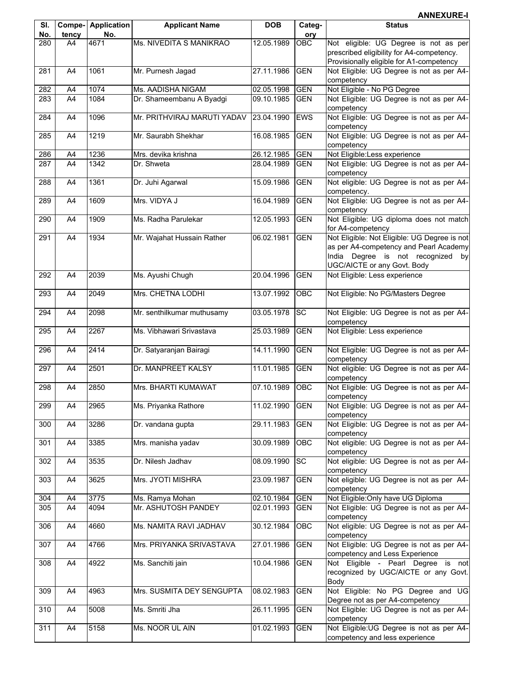|            |                 |                           |                             |            |                  | <b>ANNEXURE-I</b>                                                                                                                                          |
|------------|-----------------|---------------------------|-----------------------------|------------|------------------|------------------------------------------------------------------------------------------------------------------------------------------------------------|
| SI.<br>No. | Compe-<br>tency | <b>Application</b><br>No. | <b>Applicant Name</b>       | <b>DOB</b> | Categ-<br>ory    | <b>Status</b>                                                                                                                                              |
| 280        | A4              | 4671                      | Ms. NIVEDITA S MANIKRAO     | 12.05.1989 | OBC              | Not eligible: UG Degree is not as per<br>prescribed eligibility for A4-competency.<br>Provisionally eligible for A1-competency                             |
| 281        | A4              | 1061                      | Mr. Purnesh Jagad           | 27.11.1986 | <b>GEN</b>       | Not Eligible: UG Degree is not as per A4-<br>competency                                                                                                    |
| 282        | A4              | 1074                      | Ms. AADISHA NIGAM           | 02.05.1998 | <b>GEN</b>       | Not Eligible - No PG Degree                                                                                                                                |
| 283        | A4              | 1084                      | Dr. Shameembanu A Byadgi    | 09.10.1985 | <b>GEN</b>       | Not Eligible: UG Degree is not as per A4-<br>competency                                                                                                    |
| 284        | A4              | 1096                      | Mr. PRITHVIRAJ MARUTI YADAV | 23.04.1990 | <b>EWS</b>       | Not Eligible: UG Degree is not as per A4-<br>competency                                                                                                    |
| 285        | A4              | 1219                      | Mr. Saurabh Shekhar         | 16.08.1985 | <b>GEN</b>       | Not Eligible: UG Degree is not as per A4-<br>competency                                                                                                    |
| 286        | A4              | 1236                      | Mrs. devika krishna         | 26.12.1985 | <b>GEN</b>       | Not Eligible:Less experience                                                                                                                               |
| 287        | A4              | 1342                      | Dr. Shweta                  | 28.04.1989 | <b>GEN</b>       | Not Eligible: UG Degree is not as per A4-<br>competency                                                                                                    |
| 288        | A4              | 1361                      | Dr. Juhi Agarwal            | 15.09.1986 | <b>GEN</b>       | Not eligible: UG Degree is not as per A4-<br>competency.                                                                                                   |
| 289        | A4              | 1609                      | Mrs. VIDYA J                | 16.04.1989 | <b>GEN</b>       | Not Eligible: UG Degree is not as per A4-<br>competency                                                                                                    |
| 290        | A4              | 1909                      | Ms. Radha Parulekar         | 12.05.1993 | <b>GEN</b>       | Not Eligible: UG diploma does not match<br>for A4-competency                                                                                               |
| 291        | A4              | 1934                      | Mr. Wajahat Hussain Rather  | 06.02.1981 | <b>GEN</b>       | Not Eligible: Not Eligible: UG Degree is not<br>as per A4-competency and Pearl Academy<br>India Degree is not recognized by<br>UGC/AICTE or any Govt. Body |
| 292        | A4              | 2039                      | Ms. Ayushi Chugh            | 20.04.1996 | <b>GEN</b>       | Not Eligible: Less experience                                                                                                                              |
| 293        | A4              | 2049                      | Mrs. CHETNA LODHI           | 13.07.1992 | OBC              | Not Eligible: No PG/Masters Degree                                                                                                                         |
| 294        | A4              | 2098                      | Mr. senthilkumar muthusamy  | 03.05.1978 | <b>SC</b>        | Not Eligible: UG Degree is not as per A4-<br>competency                                                                                                    |
| 295        | A4              | 2267                      | Ms. Vibhawari Srivastava    | 25.03.1989 | <b>GEN</b>       | Not Eligible: Less experience                                                                                                                              |
| 296        | A4              | 2414                      | Dr. Satyaranjan Bairagi     | 14.11.1990 | <b>GEN</b>       | Not Eligible: UG Degree is not as per A4-<br>competency                                                                                                    |
| 297        | A4              | 2501                      | Dr. MANPREET KALSY          | 11.01.1985 | <b>GEN</b>       | Not eligible: UG Degree is not as per A4-<br>competency                                                                                                    |
| 298        | A4              | 2850                      | Mrs. BHARTI KUMAWAT         | 07.10.1989 | OBC              | Not Eligible: UG Degree is not as per A4-<br>competency                                                                                                    |
| 299        | A4              | 2965                      | Ms. Priyanka Rathore        | 11.02.1990 | <b>GEN</b>       | Not Eligible: UG Degree is not as per A4-<br>competency                                                                                                    |
| 300        | A4              | 3286                      | Dr. vandana gupta           | 29.11.1983 | <b>GEN</b>       | Not Eligible: UG Degree is not as per A4-<br>competency                                                                                                    |
| 301        | A4              | 3385                      | Mrs. manisha yadav          | 30.09.1989 | OBC              | Not eligible: UG Degree is not as per A4-<br>competency                                                                                                    |
| 302        | A4              | 3535                      | Dr. Nilesh Jadhav           | 08.09.1990 | <b>SC</b>        | Not eligible: UG Degree is not as per A4-<br>competency                                                                                                    |
| 303        | A4              | 3625                      | Mrs. JYOTI MISHRA           | 23.09.1987 | <b>GEN</b>       | Not eligible: UG Degree is not as per A4-<br>competency                                                                                                    |
| 304        | A4              | 3775                      | Ms. Ramya Mohan             | 02.10.1984 | <b>GEN</b>       | Not Eligible: Only have UG Diploma                                                                                                                         |
| 305        | A4              | 4094                      | Mr. ASHUTOSH PANDEY         | 02.01.1993 | <b>GEN</b>       | Not Eligible: UG Degree is not as per A4-<br>competency                                                                                                    |
| 306        | A4              | 4660                      | Ms. NAMITA RAVI JADHAV      | 30.12.1984 | $\overline{OBC}$ | Not eligible: UG Degree is not as per A4-<br>competency                                                                                                    |
| 307        | A4              | 4766                      | Mrs. PRIYANKA SRIVASTAVA    | 27.01.1986 | <b>GEN</b>       | Not Eligible: UG Degree is not as per A4-<br>competency and Less Experience                                                                                |
| 308        | A4              | 4922                      | Ms. Sanchiti jain           | 10.04.1986 | <b>GEN</b>       | Not Eligible - Pearl Degree is not<br>recognized by UGC/AICTE or any Govt.<br>Body                                                                         |
| 309        | A4              | 4963                      | Mrs. SUSMITA DEY SENGUPTA   | 08.02.1983 | <b>GEN</b>       | Not Eligible: No PG Degree and UG<br>Degree not as per A4-competency                                                                                       |
| 310        | A4              | 5008                      | Ms. Smriti Jha              | 26.11.1995 | <b>GEN</b>       | Not Eligible: UG Degree is not as per A4-<br>competency                                                                                                    |
| 311        | A4              | 5158                      | Ms. NOOR UL AIN             | 01.02.1993 | <b>GEN</b>       | Not Eligible: UG Degree is not as per A4-<br>competency and less experience                                                                                |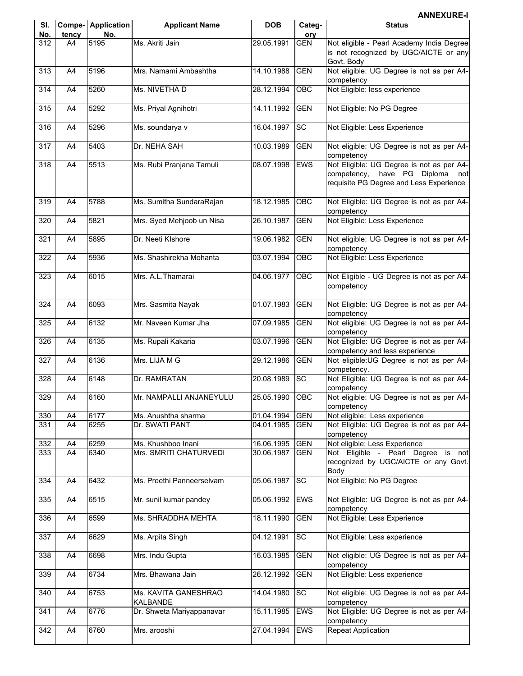| SI.        |             | <b>Compe-</b> Application | <b>Applicant Name</b>                   | <b>DOB</b> | Categ-                   | <b>Status</b>                                                                                                              |
|------------|-------------|---------------------------|-----------------------------------------|------------|--------------------------|----------------------------------------------------------------------------------------------------------------------------|
| No.<br>312 | tency<br>A4 | No.<br>5195               | Ms. Akriti Jain                         | 29.05.1991 | <u>ory</u><br><b>GEN</b> | Not eligible - Pearl Academy India Degree                                                                                  |
|            |             |                           |                                         |            |                          | is not recognized by UGC/AICTE or any<br>Govt. Body                                                                        |
| 313        | A4          | 5196                      | Mrs. Namami Ambashtha                   | 14.10.1988 | <b>GEN</b>               | Not eligible: UG Degree is not as per A4-<br>competency                                                                    |
| 314        | A4          | 5260                      | Ms. NIVETHA D                           | 28.12.1994 | OBC                      | Not Eligible: less experience                                                                                              |
| 315        | A4          | 5292                      | Ms. Priyal Agnihotri                    | 14.11.1992 | <b>GEN</b>               | Not Eligible: No PG Degree                                                                                                 |
| 316        | A4          | 5296                      | Ms. soundarya v                         | 16.04.1997 | lSC                      | Not Eligible: Less Experience                                                                                              |
| 317        | A4          | 5403                      | Dr. NEHA SAH                            | 10.03.1989 | <b>GEN</b>               | Not eligible: UG Degree is not as per A4-<br>competency                                                                    |
| 318        | A4          | 5513                      | Ms. Rubi Pranjana Tamuli                | 08.07.1998 | <b>EWS</b>               | Not Eligible: UG Degree is not as per A4-<br>competency, have PG Diploma<br>not<br>requisite PG Degree and Less Experience |
| 319        | A4          | 5788                      | Ms. Sumitha SundaraRajan                | 18.12.1985 | OBC                      | Not Eligible: UG Degree is not as per A4-<br>competency                                                                    |
| 320        | A4          | 5821                      | Mrs. Syed Mehjoob un Nisa               | 26.10.1987 | <b>GEN</b>               | Not Eligible: Less Experience                                                                                              |
| 321        | A4          | 5895                      | Dr. Neeti Klshore                       | 19.06.1982 | <b>GEN</b>               | Not eligible: UG Degree is not as per A4-<br>competency                                                                    |
| 322        | A4          | 5936                      | Ms. Shashirekha Mohanta                 | 03.07.1994 | OBC                      | Not Eligible: Less Experience                                                                                              |
| 323        | A4          | 6015                      | Mrs. A.L.Thamarai                       | 04.06.1977 | OBC                      | Not Eligible - UG Degree is not as per A4-<br>competency                                                                   |
| 324        | A4          | 6093                      | Mrs. Sasmita Nayak                      | 01.07.1983 | <b>GEN</b>               | Not Eligible: UG Degree is not as per A4-<br>competency                                                                    |
| 325        | A4          | 6132                      | Mr. Naveen Kumar Jha                    | 07.09.1985 | <b>GEN</b>               | Not eligible: UG Degree is not as per A4-<br>competency                                                                    |
| 326        | A4          | 6135                      | Ms. Rupali Kakaria                      | 03.07.1996 | <b>GEN</b>               | Not Eligible: UG Degree is not as per A4-<br>competency and less experience                                                |
| 327        | A4          | 6136                      | Mrs. LIJA M G                           | 29.12.1986 | <b>GEN</b>               | Not eligible: UG Degree is not as per A4-<br>competency.                                                                   |
| 328        | A4          | 6148                      | Dr. RAMRATAN                            | 20.08.1989 | lSC                      | Not Eligible: UG Degree is not as per A4-<br>competency                                                                    |
| 329        | A4          | 6160                      | Mr. NAMPALLI ANJANEYULU                 | 25.05.1990 | OBC                      | Not eligible: UG Degree is not as per A4-<br>competency                                                                    |
| 330        | A4          | 6177                      | Ms. Anushtha sharma                     | 01.04.1994 | <b>GEN</b>               | Not eligible: Less experience                                                                                              |
| 331        | A4          | 6255                      | Dr. SWATI PANT                          | 04.01.1985 | <b>GEN</b>               | Not Eligible: UG Degree is not as per A4-<br>competency                                                                    |
| 332        | A4          | 6259                      | Ms. Khushboo Inani                      | 16.06.1995 | <b>GEN</b>               | Not eligible: Less Experience                                                                                              |
| 333        | A4          | 6340                      | Mrs. SMRITI CHATURVEDI                  | 30.06.1987 | <b>GEN</b>               | Not Eligible - Pearl Degree is not<br>recognized by UGC/AICTE or any Govt.<br>Body                                         |
| 334        | A4          | 6432                      | Ms. Preethi Panneerselvam               | 05.06.1987 | <b>SC</b>                | Not Eligible: No PG Degree                                                                                                 |
| 335        | A4          | 6515                      | Mr. sunil kumar pandey                  | 05.06.1992 | <b>EWS</b>               | Not Eligible: UG Degree is not as per A4-<br>competency                                                                    |
| 336        | A4          | 6599                      | Ms. SHRADDHA MEHTA                      | 18.11.1990 | <b>GEN</b>               | Not Eligible: Less Experience                                                                                              |
| 337        | A4          | 6629                      | Ms. Arpita Singh                        | 04.12.1991 | <b>SC</b>                | Not Eligible: Less experience                                                                                              |
| 338        | A4          | 6698                      | Mrs. Indu Gupta                         | 16.03.1985 | <b>GEN</b>               | Not eligible: UG Degree is not as per A4-<br>competency                                                                    |
| 339        | A4          | 6734                      | Mrs. Bhawana Jain                       | 26.12.1992 | <b>GEN</b>               | Not Eligible: Less experience                                                                                              |
| 340        | A4          | 6753                      | Ms. KAVITA GANESHRAO<br><b>KALBANDE</b> | 14.04.1980 | <b>ISC</b>               | Not eligible: UG Degree is not as per A4-<br>competency                                                                    |
| 341        | A4          | 6776                      | Dr. Shweta Mariyappanavar               | 15.11.1985 | <b>EWS</b>               | Not Eligible: UG Degree is not as per A4-<br>competency                                                                    |
| 342        | A4          | 6760                      | Mrs. arooshi                            | 27.04.1994 | EWS                      | <b>Repeat Application</b>                                                                                                  |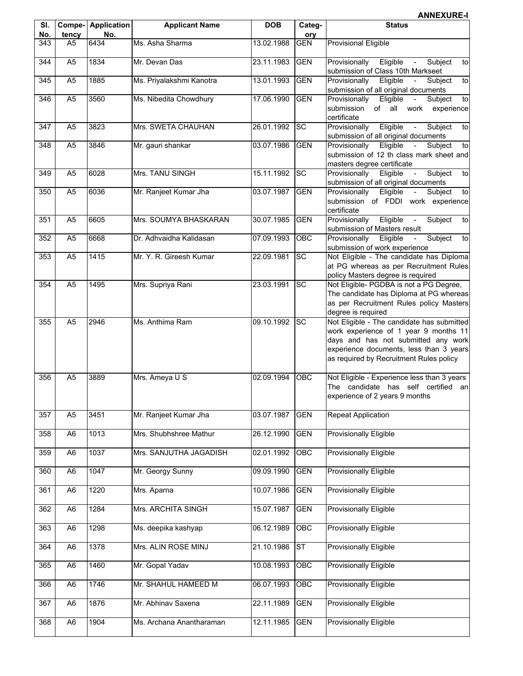| SI.              |                         | <b>Compe-</b> Application | <b>Applicant Name</b>    | <b>DOB</b> | Categ-            | <b>Status</b>                                                                                                                                                                                                    |
|------------------|-------------------------|---------------------------|--------------------------|------------|-------------------|------------------------------------------------------------------------------------------------------------------------------------------------------------------------------------------------------------------|
| No.<br>343       | tency<br>A <sub>5</sub> | No.<br>6434               | Ms. Asha Sharma          | 13.02.1988 | ory<br><b>GEN</b> | <b>Provisional Eligible</b>                                                                                                                                                                                      |
|                  |                         |                           |                          |            |                   |                                                                                                                                                                                                                  |
| 344              | A <sub>5</sub>          | 1834                      | Mr. Devan Das            | 23.11.1983 | <b>GEN</b>        | Eligible<br>Provisionally<br>Subject<br>$\sim$ $ \sim$<br>to<br>submission of Class 10th Markseet                                                                                                                |
| 345              | A <sub>5</sub>          | 1885                      | Ms. Priyalakshmi Kanotra | 13.01.1993 | <b>GEN</b>        | Eligible<br>Provisionally<br>$\omega_{\rm{max}}$<br>Subject<br>to<br>submission of all original documents                                                                                                        |
| 346              | A <sub>5</sub>          | 3560                      | Ms. Nibedita Chowdhury   | 17.06.1990 | <b>GEN</b>        | Eligible<br>Provisionally<br>Subject<br>$\blacksquare$<br>to<br>submission<br>of all work experience<br>certificate                                                                                              |
| $\overline{347}$ | A <sub>5</sub>          | 3823                      | Mrs. SWETA CHAUHAN       | 26.01.1992 | <b>ISC</b>        | Eligible<br>Provisionally<br>Subject<br>to<br>$\blacksquare$<br>submission of all original documents                                                                                                             |
| 348              | A <sub>5</sub>          | 3846                      | Mr. gauri shankar        | 03.07.1986 | <b>GEN</b>        | Eligible<br>Provisionally<br>$\omega_{\rm{max}}$<br>Subject<br>to<br>submission of 12 th class mark sheet and<br>masters degree certificate                                                                      |
| 349              | A <sub>5</sub>          | 6028                      | Mrs. TANU SINGH          | 15.11.1992 | <b>SC</b>         | Provisionally<br>Subject<br>Eligible -<br>to<br>submission of all original documents                                                                                                                             |
| 350              | A <sub>5</sub>          | 6036                      | Mr. Ranjeet Kumar Jha    | 03.07.1987 | <b>GEN</b>        | Eligible<br>Subject<br>Provisionally<br>$\omega_{\rm{max}}$<br>to<br>submission of FDDI work experience<br>certificate                                                                                           |
| 351              | A <sub>5</sub>          | 6605                      | Mrs. SOUMYA BHASKARAN    | 30.07.1985 | <b>GEN</b>        | Eligible<br>Provisionally<br>Subject<br>to<br>$\sim$<br>submission of Masters result                                                                                                                             |
| 352              | A <sub>5</sub>          | 6668                      | Dr. Adhvaidha Kalidasan  | 07.09.1993 | OBC               | Subject<br>Provisionally<br>Eligible<br>to<br>submission of work experience                                                                                                                                      |
| 353              | A <sub>5</sub>          | 1415                      | Mr. Y. R. Gireesh Kumar  | 22.09.1981 | <b>SC</b>         | Not Eligible - The candidate has Diploma<br>at PG whereas as per Recruitment Rules<br>policy Masters degree is required                                                                                          |
| 354              | A <sub>5</sub>          | 1495                      | Mrs. Supriya Rani        | 23.03.1991 | <b>SC</b>         | Not Eligible- PGDBA is not a PG Degree,<br>The candidate has Diploma at PG whereas<br>as per Recruitment Rules policy Masters<br>degree is required                                                              |
| 355              | $\overline{A5}$         | 2946                      | Ms. Anthima Ram          | 09.10.1992 | <b>SC</b>         | Not Eligible - The candidate has submitted<br>work experience of 1 year 9 months 11<br>days and has not submitted any work<br>experience documents, less than 3 years<br>as required by Recruitment Rules policy |
| 356              | A <sub>5</sub>          | 3889                      | Mrs. Ameya U S           | 02.09.1994 | OBC               | Not Eligible - Experience less than 3 years<br>The candidate has self certified an<br>experience of 2 years 9 months                                                                                             |
| 357              | $\overline{A5}$         | 3451                      | Mr. Ranjeet Kumar Jha    | 03.07.1987 | <b>GEN</b>        | <b>Repeat Application</b>                                                                                                                                                                                        |
| 358              | A <sub>6</sub>          | 1013                      | Mrs. Shubhshree Mathur   | 26.12.1990 | <b>GEN</b>        | <b>Provisionally Eligible</b>                                                                                                                                                                                    |
| 359              | A6                      | 1037                      | Mrs. SANJUTHA JAGADISH   | 02.01.1992 | OBC               | <b>Provisionally Eligible</b>                                                                                                                                                                                    |
| 360              | A <sub>6</sub>          | 1047                      | Mr. Georgy Sunny         | 09.09.1990 | <b>GEN</b>        | <b>Provisionally Eligible</b>                                                                                                                                                                                    |
| 361              | A <sub>6</sub>          | 1220                      | Mrs. Aparna              | 10.07.1986 | <b>GEN</b>        | <b>Provisionally Eligible</b>                                                                                                                                                                                    |
| 362              | A6                      | 1284                      | Mrs. ARCHITA SINGH       | 15.07.1987 | <b>GEN</b>        | Provisionally Eligible                                                                                                                                                                                           |
| 363              | A6                      | 1298                      | Ms. deepika kashyap      | 06.12.1989 | OBC               | <b>Provisionally Eligible</b>                                                                                                                                                                                    |
| 364              | A <sub>6</sub>          | 1378                      | Mrs. ALIN ROSE MINJ      | 21.10.1986 | <b>ST</b>         | <b>Provisionally Eligible</b>                                                                                                                                                                                    |
| 365              | A6                      | 1460                      | Mr. Gopal Yadav          | 10.08.1993 | OBC               | <b>Provisionally Eligible</b>                                                                                                                                                                                    |
| 366              | A6                      | 1746                      | Mr. SHAHUL HAMEED M      | 06.07.1993 | OBC               | <b>Provisionally Eligible</b>                                                                                                                                                                                    |
| 367              | A <sub>6</sub>          | 1876                      | Mr. Abhinav Saxena       | 22.11.1989 | <b>GEN</b>        | <b>Provisionally Eligible</b>                                                                                                                                                                                    |
| 368              | A <sub>6</sub>          | 1904                      | Ms. Archana Anantharaman | 12.11.1985 | <b>GEN</b>        | <b>Provisionally Eligible</b>                                                                                                                                                                                    |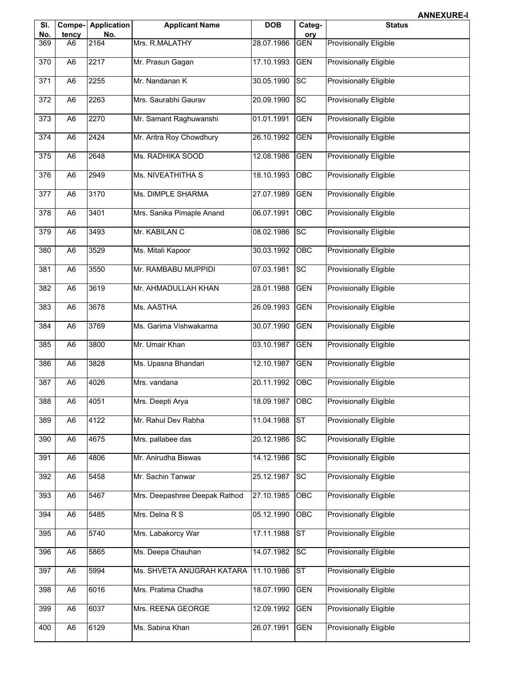| SI.              |                 | <b>Compe-</b> Application | <b>Applicant Name</b>         | <b>DOB</b>     | Categ-     | <b>Status</b>                 |
|------------------|-----------------|---------------------------|-------------------------------|----------------|------------|-------------------------------|
| No.              | tency           | No.                       |                               |                | ory        |                               |
| 369              | A6              | 2164                      | Mrs. R.MALATHY                | 28.07.1986     | <b>GEN</b> | <b>Provisionally Eligible</b> |
| 370              | A <sub>6</sub>  | 2217                      | Mr. Prasun Gagan              | 17.10.1993     | <b>GEN</b> | <b>Provisionally Eligible</b> |
| 371              | A <sub>6</sub>  | 2255                      | Mr. Nandanan K                | 30.05.1990     | <b>SC</b>  | <b>Provisionally Eligible</b> |
| $\overline{372}$ | $\overline{A6}$ | 2263                      | Mrs. Saurabhi Gaurav          | 20.09.1990     | <b>ISC</b> | <b>Provisionally Eligible</b> |
| 373              | A6              | 2270                      | Mr. Samant Raghuwanshi        | 01.01.1991     | <b>GEN</b> | <b>Provisionally Eligible</b> |
| 374              | A6              | 2424                      | Mr. Aritra Roy Chowdhury      | 26.10.1992     | <b>GEN</b> | <b>Provisionally Eligible</b> |
| 375              | A <sub>6</sub>  | 2648                      | Ms. RADHIKA SOOD              | 12.08.1986     | <b>GEN</b> | Provisionally Eligible        |
| 376              | A <sub>6</sub>  | 2949                      | Ms. NIVEATHITHA S             | 18.10.1993     | OBC        | Provisionally Eligible        |
| 377              | A6              | 3170                      | Ms. DIMPLE SHARMA             | 27.07.1989     | <b>GEN</b> | <b>Provisionally Eligible</b> |
| 378              | A <sub>6</sub>  | 3401                      | Mrs. Sanika Pimaple Anand     | 06.07.1991     | OBC        | <b>Provisionally Eligible</b> |
| $\overline{379}$ | A <sub>6</sub>  | 3493                      | Mr. KABILAN C                 | 08.02.1986     | <b>ISC</b> | <b>Provisionally Eligible</b> |
| 380              | A <sub>6</sub>  | 3529                      | Ms. Mitali Kapoor             | 30.03.1992     | OBC        | <b>Provisionally Eligible</b> |
| 381              | A <sub>6</sub>  | 3550                      | Mr. RAMBABU MUPPIDI           | 07.03.1981     | <b>SC</b>  | <b>Provisionally Eligible</b> |
| 382              | A6              | 3619                      | Mr. AHMADULLAH KHAN           | 28.01.1988     | <b>GEN</b> | <b>Provisionally Eligible</b> |
| 383              | A <sub>6</sub>  | 3678                      | Ms. AASTHA                    | 26.09.1993     | <b>GEN</b> | Provisionally Eligible        |
| 384              | A <sub>6</sub>  | 3769                      | Ms. Garima Vishwakarma        | 30.07.1990     | <b>GEN</b> | <b>Provisionally Eligible</b> |
| 385              | A <sub>6</sub>  | 3800                      | Mr. Umair Khan                | 03.10.1987     | <b>GEN</b> | <b>Provisionally Eligible</b> |
| 386              | A <sub>6</sub>  | 3828                      | Ms. Upasna Bhandari           | 12.10.1987     | <b>GEN</b> | <b>Provisionally Eligible</b> |
| 387              | A <sub>6</sub>  | 4026                      | Mrs. vandana                  | 20.11.1992     | OBC        | <b>Provisionally Eligible</b> |
| 388              | A <sub>6</sub>  | 4051                      | Mrs. Deepti Arya              | 18.09.1987 OBC |            | <b>Provisionally Eligible</b> |
| 389              | A <sub>6</sub>  | 4122                      | Mr. Rahul Dev Rabha           | 11.04.1988     | <b>ST</b>  | <b>Provisionally Eligible</b> |
| 390              | A <sub>6</sub>  | 4675                      | Mrs. pallabee das             | 20.12.1986     | <b>SC</b>  | <b>Provisionally Eligible</b> |
| 391              | A <sub>6</sub>  | 4806                      | Mr. Anirudha Biswas           | 14.12.1986     | <b>SC</b>  | <b>Provisionally Eligible</b> |
| 392              | A6              | 5458                      | Mr. Sachin Tanwar             | 25.12.1987     | <b>SC</b>  | Provisionally Eligible        |
| 393              | A6              | 5467                      | Mrs. Deepashree Deepak Rathod | 27.10.1985     | OBC        | <b>Provisionally Eligible</b> |
| 394              | A <sub>6</sub>  | 5485                      | Mrs. Delna R S                | 05.12.1990     | OBC        | <b>Provisionally Eligible</b> |
| 395              | A6              | 5740                      | Mrs. Labakorcy War            | 17.11.1988     | <b>ST</b>  | <b>Provisionally Eligible</b> |
| 396              | A6              | 5865                      | Ms. Deepa Chauhan             | 14.07.1982     | <b>SC</b>  | <b>Provisionally Eligible</b> |
| 397              | A <sub>6</sub>  | 5994                      | Ms. SHVETA ANUGRAH KATARA     | 11.10.1986     | <b>ST</b>  | <b>Provisionally Eligible</b> |
| 398              | A6              | 6016                      | Mrs. Pratima Chadha           | 18.07.1990     | <b>GEN</b> | <b>Provisionally Eligible</b> |
| 399              | A6              | 6037                      | Mrs. REENA GEORGE             | 12.09.1992     | <b>GEN</b> | Provisionally Eligible        |
| 400              | A <sub>6</sub>  | 6129                      | Ms. Sabina Khan               | 26.07.1991     | <b>GEN</b> | Provisionally Eligible        |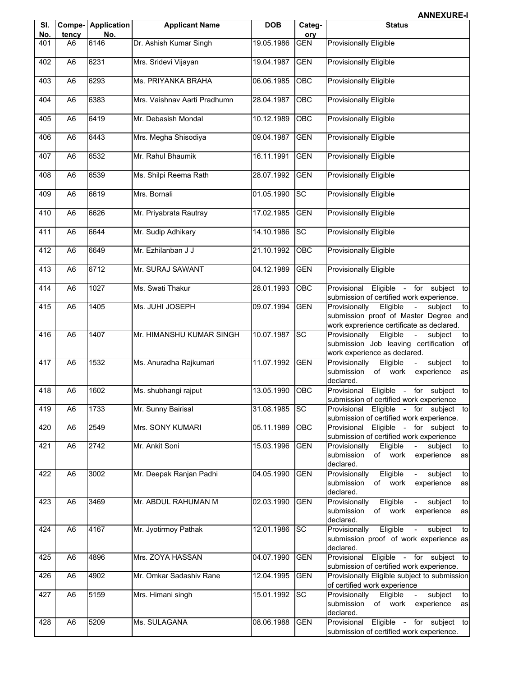| SI.<br>No. | tency          | <b>Compe-</b> Application<br>No. | <b>Applicant Name</b>        | <b>DOB</b> | Categ-<br>ory | <b>Status</b>                                                                                                                              |
|------------|----------------|----------------------------------|------------------------------|------------|---------------|--------------------------------------------------------------------------------------------------------------------------------------------|
| 401        | A6             | 6146                             | Dr. Ashish Kumar Singh       | 19.05.1986 | <b>GEN</b>    | <b>Provisionally Eligible</b>                                                                                                              |
|            |                |                                  |                              |            |               |                                                                                                                                            |
| 402        | A <sub>6</sub> | 6231                             | Mrs. Sridevi Vijayan         | 19.04.1987 | <b>GEN</b>    | <b>Provisionally Eligible</b>                                                                                                              |
| 403        | A <sub>6</sub> | 6293                             | Ms. PRIYANKA BRAHA           | 06.06.1985 | OBC           | <b>Provisionally Eligible</b>                                                                                                              |
| 404        | A <sub>6</sub> | 6383                             | Mrs. Vaishnav Aarti Pradhumn | 28.04.1987 | OBC           | <b>Provisionally Eligible</b>                                                                                                              |
| 405        | A <sub>6</sub> | 6419                             | Mr. Debasish Mondal          | 10.12.1989 | <b>OBC</b>    | Provisionally Eligible                                                                                                                     |
| 406        | A <sub>6</sub> | 6443                             | Mrs. Megha Shisodiya         | 09.04.1987 | <b>GEN</b>    | Provisionally Eligible                                                                                                                     |
| 407        | A <sub>6</sub> | 6532                             | Mr. Rahul Bhaumik            | 16.11.1991 | <b>GEN</b>    | <b>Provisionally Eligible</b>                                                                                                              |
| 408        | A <sub>6</sub> | 6539                             | Ms. Shilpi Reema Rath        | 28.07.1992 | <b>GEN</b>    | Provisionally Eligible                                                                                                                     |
| 409        | A <sub>6</sub> | 6619                             | Mrs. Bornali                 | 01.05.1990 | <b>SC</b>     | <b>Provisionally Eligible</b>                                                                                                              |
| 410        | A <sub>6</sub> | 6626                             | Mr. Priyabrata Rautray       | 17.02.1985 | <b>GEN</b>    | <b>Provisionally Eligible</b>                                                                                                              |
| 411        | A <sub>6</sub> | 6644                             | Mr. Sudip Adhikary           | 14.10.1986 | <b>SC</b>     | <b>Provisionally Eligible</b>                                                                                                              |
| 412        | A <sub>6</sub> | 6649                             | Mr. Ezhilanban J J           | 21.10.1992 | <b>OBC</b>    | <b>Provisionally Eligible</b>                                                                                                              |
| 413        | A <sub>6</sub> | 6712                             | Mr. SURAJ SAWANT             | 04.12.1989 | <b>GEN</b>    | <b>Provisionally Eligible</b>                                                                                                              |
| 414        | A <sub>6</sub> | 1027                             | Ms. Swati Thakur             | 28.01.1993 | OBC           | Provisional Eligible - for subject to<br>submission of certified work experience.                                                          |
| 415        | A <sub>6</sub> | 1405                             | Ms. JUHI JOSEPH              | 09.07.1994 | <b>GEN</b>    | Provisionally<br>Eligible<br>subject<br>$\sim$<br>to<br>submission proof of Master Degree and<br>work exprerience certificate as declared. |
| 416        | A <sub>6</sub> | 1407                             | Mr. HIMANSHU KUMAR SINGH     | 10.07.1987 | <b>SC</b>     | Eligible -<br>Provisionally<br>subject<br>to<br>submission Job leaving certification<br>of<br>work experience as declared.                 |
| 417        | A <sub>6</sub> | 1532                             | Ms. Anuradha Rajkumari       | 11.07.1992 | <b>GEN</b>    | Provisionally<br>Eligible<br>subject<br>to<br>submission of work<br>experience<br>as<br>declared.                                          |
| 418        | A <sub>6</sub> | 1602                             | Ms. shubhangi rajput         | 13.05.1990 | OBC           | Eligible - for subject to<br>Provisional<br>submission of certified work experience                                                        |
| 419        | A <sub>6</sub> | 1733                             | Mr. Sunny Bairisal           | 31.08.1985 | <b>SC</b>     | Provisional Eligible - for subject to<br>submission of certified work experience.                                                          |
| 420        | A <sub>6</sub> | 2549                             | Mrs. SONY KUMARI             | 05.11.1989 | OBC           | Provisional Eligible - for subject to<br>submission of certified work experience                                                           |
| 421        | A <sub>6</sub> | 2742                             | Mr. Ankit Soni               | 15.03.1996 | <b>GEN</b>    | Provisionally<br>Eligible<br>subject<br>to<br>$\sim 10$<br>submission<br>of work<br>experience<br>as<br>declared.                          |
| 422        | A6             | 3002                             | Mr. Deepak Ranjan Padhi      | 04.05.1990 | <b>GEN</b>    | Eligible<br>subject<br>Provisionally<br>to<br>$\blacksquare$<br>submission of work<br>experience<br>as<br>declared.                        |
| 423        | A6             | 3469                             | Mr. ABDUL RAHUMAN M          | 02.03.1990 | <b>GEN</b>    | Eligible<br>Provisionally<br>subject<br>to<br>$\mathbf{r}$<br>submission<br>of work<br>experience<br>as<br>declared.                       |
| 424        | A <sub>6</sub> | 4167                             | Mr. Jyotirmoy Pathak         | 12.01.1986 | <b>SC</b>     | Provisionally<br>Eligible<br>subject<br>to<br>$\sim 100$<br>submission proof of work experience as<br>declared.                            |
| 425        | A6             | 4896                             | Mrs. ZOYA HASSAN             | 04.07.1990 | <b>GEN</b>    | Provisional Eligible - for subject to<br>submission of certified work experience.                                                          |
| 426        | A <sub>6</sub> | 4902                             | Mr. Omkar Sadashiv Rane      | 12.04.1995 | <b>GEN</b>    | Provisionally Eligible subject to submission<br>of certified work experience                                                               |
| 427        | A <sub>6</sub> | 5159                             | Mrs. Himani singh            | 15.01.1992 | <b>SC</b>     | Provisionally<br>Eligible<br>subject<br>$\sim 10$<br>to<br>submission of work experience<br>as<br>declared.                                |
| 428        | A <sub>6</sub> | 5209                             | Ms. SULAGANA                 | 08.06.1988 | <b>GEN</b>    | Eligible - for subject to<br>Provisional<br>submission of certified work experience.                                                       |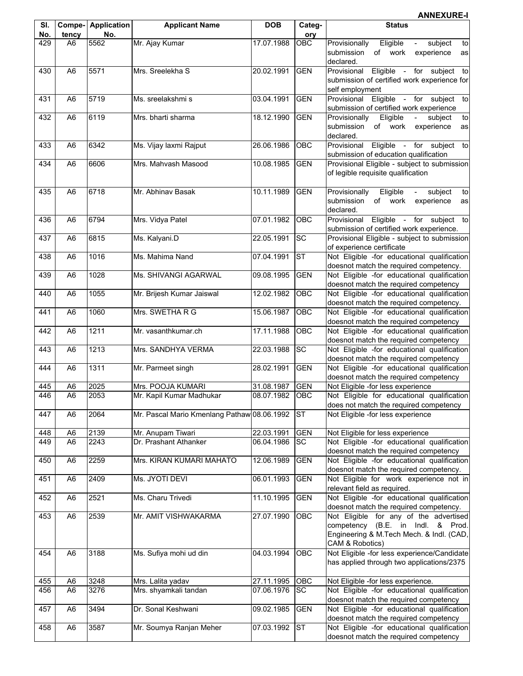|            |                 |                           |                                             |            |               | <b>ANNEXURE-I</b>                                                                                                                          |
|------------|-----------------|---------------------------|---------------------------------------------|------------|---------------|--------------------------------------------------------------------------------------------------------------------------------------------|
| SI.<br>No. | Compe-<br>tency | <b>Application</b><br>No. | <b>Applicant Name</b>                       | <b>DOB</b> | Categ-<br>ory | <b>Status</b>                                                                                                                              |
| 429        | A6              | 5562                      | Mr. Ajay Kumar                              | 17.07.1988 | OBC           | Provisionally<br>Eligible<br>subject<br>to<br>$\sim$<br>submission<br>of work<br>experience<br>as<br>declared.                             |
| 430        | A <sub>6</sub>  | 5571                      | Mrs. Sreelekha S                            | 20.02.1991 | <b>GEN</b>    | Eligible - for<br>subject<br>Provisional<br>to<br>submission of certified work experience for<br>self employment                           |
| 431        | A <sub>6</sub>  | 5719                      | Ms. sreelakshmi s                           | 03.04.1991 | <b>GEN</b>    | Eligible - for subject to<br>Provisional<br>submission of certified work experience                                                        |
| 432        | A <sub>6</sub>  | 6119                      | Mrs. bharti sharma                          | 18.12.1990 | <b>GEN</b>    | Provisionally<br>Eligible<br>subiect<br>to<br>$\blacksquare$<br>submission of work<br>experience<br>as<br>declared.                        |
| 433        | A6              | 6342                      | Ms. Vijay laxmi Rajput                      | 26.06.1986 | OBC           | Eligible - for subject to<br>Provisional<br>submission of education qualification                                                          |
| 434        | A <sub>6</sub>  | 6606                      | Mrs. Mahvash Masood                         | 10.08.1985 | <b>GEN</b>    | Provisional Eligible - subject to submission<br>of legible requisite qualification                                                         |
| 435        | A <sub>6</sub>  | 6718                      | Mr. Abhinav Basak                           | 10.11.1989 | <b>GEN</b>    | Eligible<br>Provisionally<br>subject<br>$\sim$<br>to<br>of work<br>submission<br>experience<br>as<br>declared.                             |
| 436        | A <sub>6</sub>  | 6794                      | Mrs. Vidya Patel                            | 07.01.1982 | OBC           | Eligible<br>Provisional<br>- for subject to<br>submission of certified work experience.                                                    |
| 437        | A <sub>6</sub>  | 6815                      | Ms. Kalyani.D                               | 22.05.1991 | <b>SC</b>     | Provisional Eligible - subject to submission<br>of experience certificate                                                                  |
| 438        | A6              | 1016                      | Ms. Mahima Nand                             | 07.04.1991 | <b>ST</b>     | Not Eligible -for educational qualification<br>doesnot match the required competency.                                                      |
| 439        | A <sub>6</sub>  | 1028                      | Ms. SHIVANGI AGARWAL                        | 09.08.1995 | <b>GEN</b>    | Not Eligible -for educational qualification<br>doesnot match the required competency                                                       |
| 440        | A <sub>6</sub>  | 1055                      | Mr. Brijesh Kumar Jaiswal                   | 12.02.1982 | OBC           | Not Eligible -for educational qualification<br>doesnot match the required competency.                                                      |
| 441        | A <sub>6</sub>  | 1060                      | Mrs. SWETHA R G                             | 15.06.1987 | OBC           | Not Eligible -for educational qualification<br>doesnot match the required competency                                                       |
| 442        | A <sub>6</sub>  | 1211                      | Mr. vasanthkumar.ch                         | 17.11.1988 | OBC           | Not Eligible -for educational qualification<br>doesnot match the required competency                                                       |
| 443        | A <sub>6</sub>  | 1213                      | Mrs. SANDHYA VERMA                          | 22.03.1988 | <b>SC</b>     | Not Eligible -for educational qualification<br>doesnot match the required competency                                                       |
| 444        | A <sub>6</sub>  | 1311                      | Mr. Parmeet singh                           | 28.02.1991 | <b>GEN</b>    | Not Eligible -for educational qualification<br>doesnot match the required competency                                                       |
| 445        | A <sub>6</sub>  | 2025                      | Mrs. POOJA KUMARI                           | 31.08.1987 | <b>GEN</b>    | Not Eligible -for less experience                                                                                                          |
| 446        | A <sub>6</sub>  | 2053                      | Mr. Kapil Kumar Madhukar                    | 08.07.1982 | <b>OBC</b>    | Not Eligible for educational qualification<br>does not match the required competency                                                       |
| 447        | A <sub>6</sub>  | 2064                      | Mr. Pascal Mario Kmenlang Pathaw 08.06.1992 |            | <b>ST</b>     | Not Eligible -for less experience                                                                                                          |
| 448        | A <sub>6</sub>  | 2139                      | Mr. Anupam Tiwari                           | 22.03.1991 | <b>GEN</b>    | Not Eligible for less experience                                                                                                           |
| 449        | A <sub>6</sub>  | 2243                      | Dr. Prashant Athanker                       | 06.04.1986 | <b>SC</b>     | Not Eligible -for educational qualification<br>doesnot match the required competency                                                       |
| 450        | A <sub>6</sub>  | 2259                      | Mrs. KIRAN KUMARI MAHATO                    | 12.06.1989 | <b>GEN</b>    | Not Eligible -for educational qualification<br>doesnot match the required competency.                                                      |
| 451        | A <sub>6</sub>  | 2409                      | Ms. JYOTI DEVI                              | 06.01.1993 | GEN           | Not Eligible for work experience not in<br>relevant field as required.                                                                     |
| 452        | A6              | 2521                      | Ms. Charu Trivedi                           | 11.10.1995 | <b>GEN</b>    | Not Eligible -for educational qualification<br>doesnot match the required competency.                                                      |
| 453        | A <sub>6</sub>  | 2539                      | Mr. AMIT VISHWAKARMA                        | 27.07.1990 | OBC           | Not Eligible for any of the advertised<br>competency (B.E. in Indl. & Prod.<br>Engineering & M.Tech Mech. & Indl. (CAD,<br>CAM & Robotics) |
| 454        | A <sub>6</sub>  | 3188                      | Ms. Sufiya mohi ud din                      | 04.03.1994 | OBC           | Not Eligible -for less experience/Candidate<br>has applied through two applications/2375                                                   |
| 455        | A <sub>6</sub>  | 3248                      | Mrs. Lalita yadav                           | 27.11.1995 | OBC           | Not Eligible -for less experience.                                                                                                         |
| 456        | A <sub>6</sub>  | 3276                      | Mrs. shyamkali tandan                       | 07.06.1976 | <b>SC</b>     | Not Eligible -for educational qualification<br>doesnot match the required competency                                                       |
| 457        | A6              | 3494                      | Dr. Sonal Keshwani                          | 09.02.1985 | <b>GEN</b>    | Not Eligible -for educational qualification<br>doesnot match the required competency                                                       |
| 458        | A <sub>6</sub>  | 3587                      | Mr. Soumya Ranjan Meher                     | 07.03.1992 | <b>ST</b>     | Not Eligible -for educational qualification<br>doesnot match the required competency                                                       |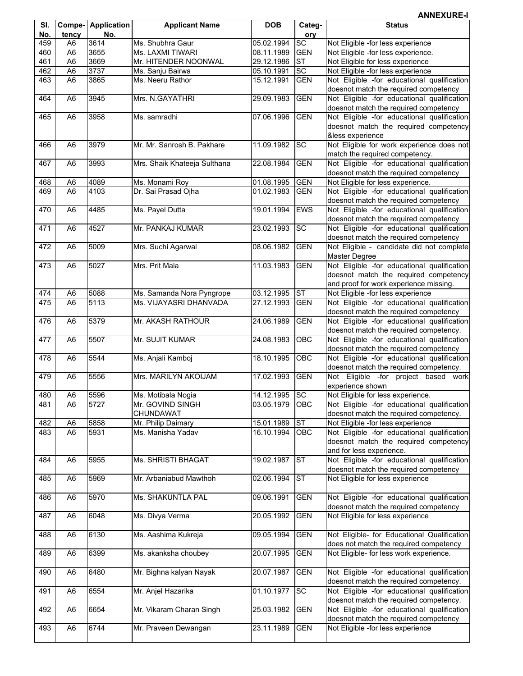| SI. |                | <b>Compe-</b> Application | <b>Applicant Name</b>        | <b>DOB</b> | Categ-     | <b>Status</b>                               |
|-----|----------------|---------------------------|------------------------------|------------|------------|---------------------------------------------|
| No. | tency          | No.                       |                              |            | ory        |                                             |
| 459 | A <sub>6</sub> | 3614                      | Ms. Shubhra Gaur             | 05.02.1994 | <b>SC</b>  | Not Eligible -for less experience           |
| 460 | A <sub>6</sub> | 3655                      | Ms. LAXMI TIWARI             | 08.11.1989 | GEN        | Not Eligible -for less experience.          |
| 461 | A <sub>6</sub> | 3669                      | Mr. HITENDER NOONWAL         | 29.12.1986 | ST         | Not Eligible for less experience            |
| 462 | A <sub>6</sub> | 3737                      | Ms. Sanju Bairwa             | 05.10.1991 | SC         | Not Eligible -for less experience           |
|     |                |                           |                              |            |            |                                             |
| 463 | A <sub>6</sub> | 3865                      | Ms. Neeru Rathor             | 15.12.1991 | <b>GEN</b> | Not Eligible -for educational qualification |
|     |                |                           |                              |            |            | doesnot match the required competency       |
| 464 | A <sub>6</sub> | 3945                      | Mrs. N.GAYATHRI              | 29.09.1983 | <b>GEN</b> | Not Eligible -for educational qualification |
|     |                |                           |                              |            |            | doesnot match the required competency       |
| 465 | A <sub>6</sub> | 3958                      | Ms. samradhi                 | 07.06.1996 | <b>GEN</b> | Not Eligible -for educational qualification |
|     |                |                           |                              |            |            | doesnot match the required competency       |
|     |                |                           |                              |            |            |                                             |
|     |                |                           |                              |            |            | &less experience                            |
| 466 | A <sub>6</sub> | 3979                      | Mr. Mr. Sanrosh B. Pakhare   | 11.09.1982 | <b>SC</b>  | Not Eligible for work experience does not   |
|     |                |                           |                              |            |            | match the required competency.              |
| 467 | A <sub>6</sub> | 3993                      | Mrs. Shaik Khateeja Sulthana | 22.08.1984 | <b>GEN</b> | Not Eligible -for educational qualification |
|     |                |                           |                              |            |            | doesnot match the required competency       |
|     |                |                           |                              |            |            |                                             |
| 468 | A <sub>6</sub> | 4089                      | Ms. Monami Roy               | 01.08.1995 | <b>GEN</b> | Not Eligible for less experience.           |
| 469 | A <sub>6</sub> | 4103                      | Dr. Sai Prasad Ojha          | 01.02.1983 | <b>GEN</b> | Not Eligible -for educational qualification |
|     |                |                           |                              |            |            | doesnot match the required competency       |
| 470 | A <sub>6</sub> | 4485                      | Ms. Payel Dutta              | 19.01.1994 | <b>EWS</b> | Not Eligible -for educational qualification |
|     |                |                           |                              |            |            | doesnot match the required competency       |
|     |                |                           |                              |            |            |                                             |
| 471 | A <sub>6</sub> | 4527                      | Mr. PANKAJ KUMAR             | 23.02.1993 | <b>SC</b>  | Not Eligible -for educational qualification |
|     |                |                           |                              |            |            | doesnot match the required competency       |
| 472 | A <sub>6</sub> | 5009                      | Mrs. Suchi Agarwal           | 08.06.1982 | <b>GEN</b> | Not Eligible - candidate did not complete   |
|     |                |                           |                              |            |            | <b>Master Degree</b>                        |
|     |                |                           | Mrs. Prit Mala               |            | <b>GEN</b> | Not Eligible -for educational qualification |
| 473 | A <sub>6</sub> | 5027                      |                              | 11.03.1983 |            |                                             |
|     |                |                           |                              |            |            | doesnot match the required competency       |
|     |                |                           |                              |            |            | and proof for work experience missing.      |
| 474 | A <sub>6</sub> | 5088                      | Ms. Samanda Nora Pyngrope    | 03.12.1995 | <b>ST</b>  | Not Eligible -for less experience           |
| 475 | A <sub>6</sub> | 5113                      | Ms. VIJAYASRI DHANVADA       | 27.12.1993 | <b>GEN</b> | Not Eligible -for educational qualification |
|     |                |                           |                              |            |            |                                             |
|     |                |                           |                              |            |            | doesnot match the required competency       |
| 476 | A <sub>6</sub> | 5379                      | Mr. AKASH RATHOUR            | 24.06.1989 | <b>GEN</b> | Not Eligible -for educational qualification |
|     |                |                           |                              |            |            | doesnot match the required competency.      |
| 477 | A <sub>6</sub> | 5507                      | Mr. SUJIT KUMAR              | 24.08.1983 | OBC        | Not Eligible -for educational qualification |
|     |                |                           |                              |            |            | doesnot match the required competency       |
|     |                |                           |                              |            | OBC        |                                             |
| 478 | A <sub>6</sub> | 5544                      | Ms. Anjali Kamboj            | 18.10.1995 |            | Not Eligible -for educational qualification |
|     |                |                           |                              |            |            | doesnot match the required competency.      |
| 479 | A <sub>6</sub> | 5556                      | Mrs. MARILYN AKOIJAM         | 17.02.1993 | GEN        | Not Eligible -for project based work        |
|     |                |                           |                              |            |            | experience shown                            |
| 480 | A <sub>6</sub> | 5596                      | Ms. Motibala Nogia           | 14.12.1995 | <b>SC</b>  | Not Eligible for less experience.           |
|     |                |                           |                              |            |            |                                             |
| 481 | A6             | 5727                      | Mr. GOVIND SINGH             | 03.05.1979 | <b>OBC</b> | Not Eligible -for educational qualification |
|     |                |                           | CHUNDAWAT                    |            |            | doesnot match the required competency.      |
| 482 | A <sub>6</sub> | 5858                      | Mr. Philip Daimary           | 15.01.1989 | <b>ST</b>  | Not Eligible -for less experience           |
| 483 | A <sub>6</sub> | 5931                      | Ms. Manisha Yadav            | 16.10.1994 | OBC        | Not Eligible -for educational qualification |
|     |                |                           |                              |            |            | doesnot match the required competency       |
|     |                |                           |                              |            |            | and for less experience.                    |
|     |                |                           |                              |            |            |                                             |
| 484 | A <sub>6</sub> | 5955                      | Ms. SHRISTI BHAGAT           | 19.02.1987 | <b>ST</b>  | Not Eligible -for educational qualification |
|     |                |                           |                              |            |            | doesnot match the required competency       |
| 485 | A <sub>6</sub> | 5969                      | Mr. Arbaniabud Mawthoh       | 02.06.1994 | <b>ST</b>  | Not Eligible for less experience            |
|     |                |                           |                              |            |            |                                             |
|     |                |                           |                              |            |            |                                             |
| 486 | A <sub>6</sub> | 5970                      | Ms. SHAKUNTLA PAL            | 09.06.1991 | <b>GEN</b> | Not Eligible -for educational qualification |
|     |                |                           |                              |            |            | doesnot match the required competency       |
| 487 | A <sub>6</sub> | 6048                      | Ms. Divya Verma              | 20.05.1992 | <b>GEN</b> | Not Eligible for less experience            |
|     |                |                           |                              |            |            |                                             |
| 488 | A <sub>6</sub> | 6130                      | Ms. Aashima Kukreja          | 09.05.1994 | <b>GEN</b> | Not Eligible- for Educational Qualification |
|     |                |                           |                              |            |            |                                             |
|     |                |                           |                              |            |            | does not match the required competency      |
| 489 | A <sub>6</sub> | 6399                      | Ms. akanksha choubey         | 20.07.1995 | <b>GEN</b> | Not Eligible- for less work experience.     |
|     |                |                           |                              |            |            |                                             |
| 490 | A <sub>6</sub> | 6480                      | Mr. Bighna kalyan Nayak      | 20.07.1987 | <b>GEN</b> | Not Eligible -for educational qualification |
|     |                |                           |                              |            |            |                                             |
|     |                |                           |                              |            |            | doesnot match the required competency.      |
|     | A <sub>6</sub> | 6554                      | Mr. Anjel Hazarika           | 01.10.1977 | SC         | Not Eligible -for educational qualification |
| 491 |                |                           |                              |            |            | doesnot match the required competency.      |
|     |                |                           |                              |            |            |                                             |
|     |                |                           |                              |            |            |                                             |
| 492 | A <sub>6</sub> | 6654                      | Mr. Vikaram Charan Singh     | 25.03.1982 | <b>GEN</b> | Not Eligible -for educational qualification |
|     |                |                           |                              |            |            | doesnot match the required competency       |
| 493 | A <sub>6</sub> | 6744                      | Mr. Praveen Dewangan         | 23.11.1989 | <b>GEN</b> | Not Eligible -for less experience           |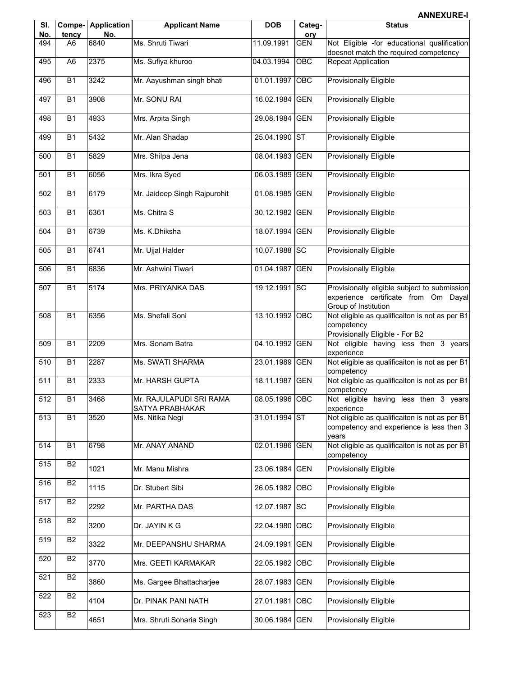|                  |                 |                                  |                                            |                |               | <b>ANNEXURE-I</b>                                                                                            |
|------------------|-----------------|----------------------------------|--------------------------------------------|----------------|---------------|--------------------------------------------------------------------------------------------------------------|
| SI.<br>No.       | tency           | <b>Compe-</b> Application<br>No. | <b>Applicant Name</b>                      | <b>DOB</b>     | Categ-<br>ory | <b>Status</b>                                                                                                |
| 494              | A6              | 6840                             | Ms. Shruti Tiwari                          | 11.09.1991     | <b>GEN</b>    | Not Eligible -for educational qualification<br>doesnot match the required competency                         |
| 495              | A <sub>6</sub>  | 2375                             | Ms. Sufiya khuroo                          | 04.03.1994     | OBC           | <b>Repeat Application</b>                                                                                    |
| 496              | $\overline{B1}$ | 3242                             | Mr. Aayushman singh bhati                  | 01.01.1997     | <b>OBC</b>    | <b>Provisionally Eligible</b>                                                                                |
| 497              | <b>B1</b>       | 3908                             | Mr. SONU RAI                               | 16.02.1984     | <b>GEN</b>    | <b>Provisionally Eligible</b>                                                                                |
| 498              | B1              | 4933                             | Mrs. Arpita Singh                          | 29.08.1984     | <b>GEN</b>    | <b>Provisionally Eligible</b>                                                                                |
| 499              | <b>B1</b>       | 5432                             | Mr. Alan Shadap                            | 25.04.1990 ST  |               | Provisionally Eligible                                                                                       |
| 500              | <b>B1</b>       | 5829                             | Mrs. Shilpa Jena                           | 08.04.1983 GEN |               | <b>Provisionally Eligible</b>                                                                                |
| 501              | <b>B1</b>       | 6056                             | Mrs. Ikra Syed                             | 06.03.1989     | GEN           | <b>Provisionally Eligible</b>                                                                                |
| 502              | <b>B1</b>       | 6179                             | Mr. Jaideep Singh Rajpurohit               | 01.08.1985 GEN |               | <b>Provisionally Eligible</b>                                                                                |
| 503              | <b>B1</b>       | 6361                             | Ms. Chitra S                               | 30.12.1982 GEN |               | <b>Provisionally Eligible</b>                                                                                |
| 504              | <b>B1</b>       | 6739                             | Ms. K.Dhiksha                              | 18.07.1994     | <b>GEN</b>    | <b>Provisionally Eligible</b>                                                                                |
| 505              | <b>B1</b>       | 6741                             | Mr. Ujjal Halder                           | 10.07.1988 SC  |               | <b>Provisionally Eligible</b>                                                                                |
| 506              | <b>B1</b>       | 6836                             | Mr. Ashwini Tiwari                         | 01.04.1987     | <b>GEN</b>    | <b>Provisionally Eligible</b>                                                                                |
| 507              | <b>B1</b>       | 5174                             | Mrs. PRIYANKA DAS                          | 19.12.1991 SC  |               | Provisionally eligible subject to submission<br>experience certificate from Om Dayal<br>Group of Institution |
| 508              | <b>B1</b>       | 6356                             | Ms. Shefali Soni                           | 13.10.1992 OBC |               | Not eligible as qualificaiton is not as per B1<br>competency<br>Provisionally Eligible - For B2              |
| 509              | <b>B1</b>       | 2209                             | Mrs. Sonam Batra                           | 04.10.1992 GEN |               | Not eligible having less then 3 years<br>experience                                                          |
| 510              | <b>B1</b>       | 2287                             | Ms. SWATI SHARMA                           | 23.01.1989 GEN |               | Not eligible as qualificaiton is not as per B1<br>competency                                                 |
| 511              | <b>B1</b>       | 2333                             | Mr. HARSH GUPTA                            | 18.11.1987     | GEN           | Not eligible as qualificaiton is not as per B1<br>competency                                                 |
| $\overline{5}12$ | <b>B1</b>       | 3468                             | Mr. RAJULAPUDI SRI RAMA<br>SATYA PRABHAKAR | 08.05.1996 OBC |               | Not eligible having less then 3 years<br>experience                                                          |
| 513              | <b>B1</b>       | 3520                             | Ms. Nitika Negi                            | 31.01.1994 ST  |               | Not eligible as qualificaiton is not as per B1<br>competency and experience is less then 3<br>vears          |
| 514              | <b>B1</b>       | 6798                             | Mr. ANAY ANAND                             | 02.01.1986     | <b>GEN</b>    | Not eligible as qualificaiton is not as per B1<br>competency                                                 |
| 515              | B <sub>2</sub>  | 1021                             | Mr. Manu Mishra                            | 23.06.1984     | <b>GEN</b>    | <b>Provisionally Eligible</b>                                                                                |
| 516              | <b>B2</b>       | 1115                             | Dr. Stubert Sibi                           | 26.05.1982 OBC |               | <b>Provisionally Eligible</b>                                                                                |
| 517              | B <sub>2</sub>  | 2292                             | Mr. PARTHA DAS                             | 12.07.1987 SC  |               | <b>Provisionally Eligible</b>                                                                                |
| 518              | B <sub>2</sub>  | 3200                             | Dr. JAYIN K G                              | 22.04.1980     | OBC           | <b>Provisionally Eligible</b>                                                                                |
| 519              | <b>B2</b>       | 3322                             | Mr. DEEPANSHU SHARMA                       | 24.09.1991     | <b>GEN</b>    | <b>Provisionally Eligible</b>                                                                                |
| 520              | <b>B2</b>       | 3770                             | Mrs. GEETI KARMAKAR                        | 22.05.1982 OBC |               | <b>Provisionally Eligible</b>                                                                                |
| 521              | <b>B2</b>       | 3860                             | Ms. Gargee Bhattacharjee                   | 28.07.1983     | <b>GEN</b>    | <b>Provisionally Eligible</b>                                                                                |
| 522              | B <sub>2</sub>  | 4104                             | Dr. PINAK PANI NATH                        | 27.01.1981     | <b>OBC</b>    | <b>Provisionally Eligible</b>                                                                                |
| 523              | <b>B2</b>       | 4651                             | Mrs. Shruti Soharia Singh                  | 30.06.1984 GEN |               | <b>Provisionally Eligible</b>                                                                                |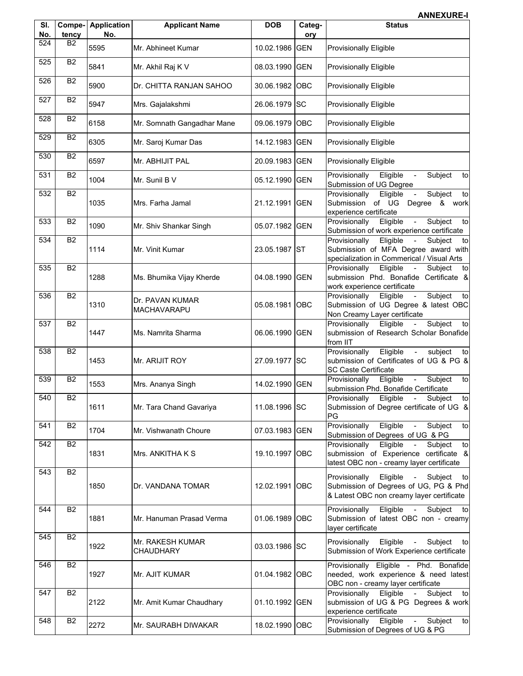| SI.<br>No. | tency           | <b>Compe-</b> Application<br>No. | <b>Applicant Name</b>                | <b>DOB</b>    | Categ-<br>ory | <b>Status</b>                                                                                                                                     |
|------------|-----------------|----------------------------------|--------------------------------------|---------------|---------------|---------------------------------------------------------------------------------------------------------------------------------------------------|
| 524        | B <sub>2</sub>  | 5595                             | Mr. Abhineet Kumar                   | 10.02.1986    | <b>GEN</b>    | Provisionally Eligible                                                                                                                            |
| 525        | B <sub>2</sub>  |                                  |                                      |               |               |                                                                                                                                                   |
|            |                 | 5841                             | Mr. Akhil Raj K V                    | 08.03.1990    | <b>GEN</b>    | Provisionally Eligible                                                                                                                            |
| 526        | <b>B2</b>       | 5900                             | Dr. CHITTA RANJAN SAHOO              | 30.06.1982    | OBC           | Provisionally Eligible                                                                                                                            |
| 527        | B2              | 5947                             | Mrs. Gajalakshmi                     | 26.06.1979    | <b>SC</b>     | <b>Provisionally Eligible</b>                                                                                                                     |
| 528        | <b>B2</b>       | 6158                             | Mr. Somnath Gangadhar Mane           | 09.06.1979    | OBC           | Provisionally Eligible                                                                                                                            |
| 529        | <b>B2</b>       | 6305                             | Mr. Saroj Kumar Das                  | 14.12.1983    | <b>GEN</b>    | Provisionally Eligible                                                                                                                            |
| 530        | <b>B2</b>       | 6597                             | Mr. ABHIJIT PAL                      | 20.09.1983    | <b>GEN</b>    | Provisionally Eligible                                                                                                                            |
| 531        | <b>B2</b>       | 1004                             | Mr. Sunil B V                        | 05.12.1990    | <b>GEN</b>    | Provisionally<br>Eligible<br>$\omega$<br>Subject<br>to<br>Submission of UG Degree                                                                 |
| 532        | <b>B2</b>       | 1035                             | Mrs. Farha Jamal                     | 21.12.1991    | <b>GEN</b>    | Eligible<br>Subject<br>Provisionally<br>to<br>$\blacksquare$<br>Submission of UG Degree & work<br>experience certificate                          |
| 533        | <b>B2</b>       | 1090                             | Mr. Shiv Shankar Singh               | 05.07.1982    | <b>GEN</b>    | Eligible<br>Subject<br>Provisionally<br>$\sim 100$<br>to<br>Submission of work experience certificate                                             |
| 534        | <b>B2</b>       | 1114                             | Mr. Vinit Kumar                      | 23.05.1987    | <b>ST</b>     | Eligible<br>Provisionally<br>Subject<br>$\blacksquare$<br>to<br>Submission of MFA Degree award with<br>specialization in Commerical / Visual Arts |
| 535        | <b>B2</b>       | 1288                             | Ms. Bhumika Vijay Kherde             | 04.08.1990    | <b>GEN</b>    | Subject<br>Provisionally<br>Eligible<br>tol<br>$\sim$<br>submission Phd. Bonafide Certificate &<br>work experience certificate                    |
| 536        | $\overline{B2}$ | 1310                             | Dr. PAVAN KUMAR<br>MACHAVARAPU       | 05.08.1981    | OBC           | Provisionally<br>Eligible<br>Subject<br>$\sim 10$<br>to<br>Submission of UG Degree & latest OBC<br>Non Creamy Layer certificate                   |
| 537        | <b>B2</b>       | 1447                             | Ms. Namrita Sharma                   | 06.06.1990    | <b>GEN</b>    | Eligible - Subject<br>Provisionally<br>to<br>submission of Research Scholar Bonafide<br>from IIT                                                  |
| 538        | <b>B2</b>       | 1453                             | Mr. ARIJIT ROY                       | 27.09.1977    | <b>SC</b>     | Eligible<br>Provisionally<br>subject<br>$\blacksquare$<br>to<br>submission of Certificates of UG & PG &<br>SC Caste Certificate                   |
| 539        | <b>B2</b>       | 1553                             | Mrs. Ananya Singh                    | 14.02.1990    | <b>GEN</b>    | Provisionally<br>Eligible<br>Subject<br>to<br>$\blacksquare$<br>submission Phd. Bonafide Certificate                                              |
| 540        | B <sub>2</sub>  | 1611                             | Mr. Tara Chand Gavariya              | 11.08.1996 SC |               | Provisionally<br>Eligible<br>Subject<br>tol<br>Submission of Degree certificate of UG &<br>PG                                                     |
| 541        | B <sub>2</sub>  | 1704                             | Mr. Vishwanath Choure                | 07.03.1983    | <b>GEN</b>    | Provisionally<br>Eligible<br>Subject<br>$\omega_{\rm{max}}$<br>to<br>Submission of Degrees of UG & PG                                             |
| 542        | B <sub>2</sub>  | 1831                             | Mrs. ANKITHA K S                     | 19.10.1997    | <b>OBC</b>    | Eligible<br>Provisionally<br>Subject<br>to<br>submission of Experience certificate &<br>latest OBC non - creamy layer certificate                 |
| 543        | <b>B2</b>       | 1850                             | Dr. VANDANA TOMAR                    | 12.02.1991    | OBC           | Eligible<br>Provisionally<br>Subject<br>$\sim$ $-$<br>to<br>Submission of Degrees of UG, PG & Phd<br>& Latest OBC non creamy layer certificate    |
| 544        | B <sub>2</sub>  | 1881                             | Mr. Hanuman Prasad Verma             | 01.06.1989    | OBC           | Provisionally<br>Eligible<br>- Subject<br>tol<br>Submission of latest OBC non - creamy<br>layer certificate                                       |
| 545        | B <sub>2</sub>  | 1922                             | Mr. RAKESH KUMAR<br><b>CHAUDHARY</b> | 03.03.1986    | <b>ISC</b>    | Eligible<br>Subject<br>Provisionally<br>to<br>$\overline{\phantom{a}}$<br>Submission of Work Experience certificate                               |
| 546        | <b>B2</b>       | 1927                             | Mr. AJIT KUMAR                       | 01.04.1982    | OBC           | Provisionally Eligible - Phd. Bonafide<br>needed, work experience & need latest<br>OBC non - creamy layer certificate                             |
| 547        | B <sub>2</sub>  | 2122                             | Mr. Amit Kumar Chaudhary             | 01.10.1992    | <b>GEN</b>    | Provisionally<br>Eligible<br>Subject<br>$\sim$ $-$<br>to<br>submission of UG & PG Degrees & work<br>experience certificate                        |
| 548        | B <sub>2</sub>  | 2272                             | Mr. SAURABH DIWAKAR                  | 18.02.1990    | OBC           | Subject<br>Provisionally<br>Eligible<br>tol<br>$\sim$<br>Submission of Degrees of UG & PG                                                         |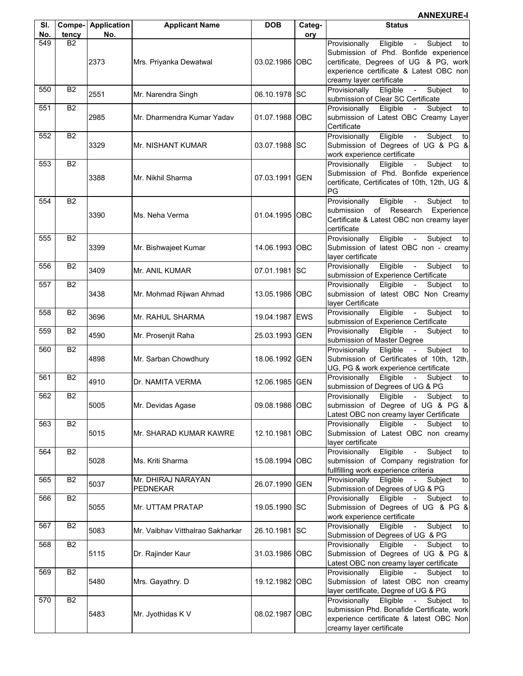#### **Sl. No. Competency Application No.** Applicant Name **DOB** Categ**ory Status**  549 B2 2373 Mrs. Priyanka Dewatwal 03.02.1986 OBC Provisionally Eligible - Subject to Submission of Phd. Bonfide experience certificate, Degrees of UG & PG, work experience certificate & Latest OBC non creamy layer certificate 550 B2 2551 Mr. Narendra Singh 06.10.1978 SC Provisionally Eligible - Subject to submission of Clear SC Certificate 551 B2 2985 Mr. Dharmendra Kumar Yadav 01.07.1988 OBC Provisionally Eligible - Subject to submission of Latest OBC Creamy Layer **Certificate** 552 B2 3329 Mr. NISHANT KUMAR 03.07.1988 SC Provisionally Eligible - Subject to Submission of Degrees of UG & PG & work experience certificate 553 B2 3388 Mr. Nikhil Sharma 07.03.1991 GEN Provisionally Eligible - Subject to Submission of Phd. Bonfide experience certificate, Certificates of 10th, 12th, UG & PG 554 B2 3390 Ms. Neha Verma 01.04.1995 OBC Provisionally Eligible - Subject to submission of Research Experience Certificate & Latest OBC non creamy layer certificate 555 B2 3399 Mr. Bishwajeet Kumar 14.06.1993 OBC Provisionally Eligible - Subject to Submission of latest OBC non - creamy layer certificate 556 B2 3409 Mr. ANIL KUMAR 07.01.1981 SC Provisionally Eligible - Subject to submission of Experience Certificate 557 B2 3438 Mr. Mohmad Rijwan Ahmad 13.05.1986 OBC Provisionally Eligible - Subject to submission of latest OBC Non Creamy layer Certificate 558 B2 3696 Mr. RAHUL SHARMA 19.04.1987 EWS Provisionally Eligible - Subject to submission of Experience Certificate 559 B2 4590 Mr. Prosenjit Raha 25.03.1993 GEN Provisionally Eligible - Subject to submission of Master Degree 560 B2 4898 Mr. Sarban Chowdhury 18.06.1992 GEN Provisionally Eligible - Subject to Submission of Certificates of 10th, 12th, UG, PG & work experience certificate 561 B2 4910 Dr. NAMITA VERMA 12.06.1985 GEN Provisionally Eligible - Subject to submission of Degrees of UG & PG 562 B2 5005 Mr. Devidas Agase 109.08.1986 OBC Provisionally Eligible - Subject submission of Degree of UG & PG & Latest OBC non creamy layer Certificate 563 B2 5015 Mr. SHARAD KUMAR KAWRE 12.10.1981 OBC Provisionally Eligible - Subject to Submission of Latest OBC non creamy layer certificate 564 B2 5028 Ms. Kriti Sharma 15.08.1994 OBC Provisionally Eligible - Subject to submission of Company registration for fullfilling work experience criteria 565 B2 <sup>5037</sup> Mr. DHIRAJ NARAYAN Mr. DHIRAJ NARAYAN  $\begin{vmatrix} 26.07.1990 \end{vmatrix}$  GEN Provisionally Eligible - Subject to 566 B2 5055 Mr. UTTAM PRATAP 19.05.1990 SC Provisionally Eligible - Subject to Submission of Degrees of UG & PG & work experience certificate 567 B2 5083 Mr. Vaibhav Vitthalrao Sakharkar 26.10.1981 SC Provisionally Eligible - Subject to Submission of Degrees of UG & PG 568 B2 5115 Dr. Rajinder Kaur 31.03.1986 OBC Provisionally Eligible - Subject to Submission of Degrees of UG & PG & Latest OBC non creamy layer certificate 569 B2 5480 Mrs. Gayathry. D 19.12.1982 OBC Provisionally Eligible - Subject to Submission of latest OBC non creamy layer certificate, Degree of UG & PG 570 B2 5483 Mr. Jyothidas K V 08.02.1987 OBC Provisionally Eligible - Subject to submission Phd. Bonafide Certificate, work experience certificate & latest OBC Non creamy layer certificate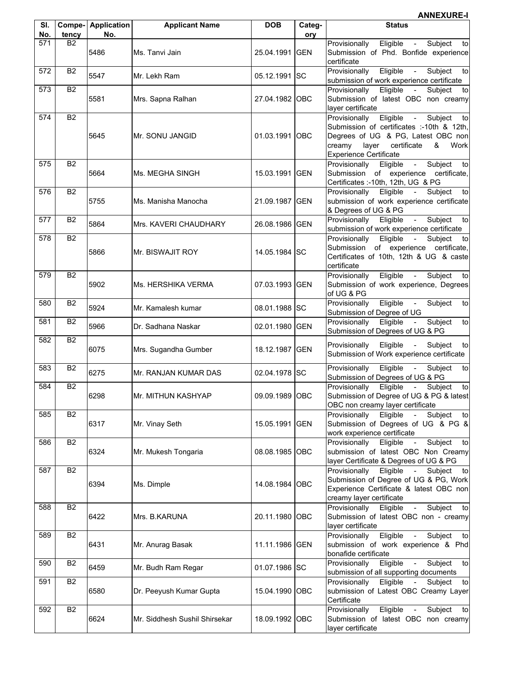| SI. |                | <b>Compe-</b> Application | <b>Applicant Name</b>         | <b>DOB</b>     | Categ-     | <b>Status</b>                                                                                                                                                                                                                             |
|-----|----------------|---------------------------|-------------------------------|----------------|------------|-------------------------------------------------------------------------------------------------------------------------------------------------------------------------------------------------------------------------------------------|
| No. | tency          | No.                       |                               |                | ory        |                                                                                                                                                                                                                                           |
| 571 | <b>B2</b>      | 5486                      | Ms. Tanvi Jain                | 25.04.1991     | <b>GEN</b> | Eligible -<br>Subject<br>Provisionally<br>tol<br>Submission of Phd. Bonfide experience<br>certificate                                                                                                                                     |
| 572 | B <sub>2</sub> | 5547                      | Mr. Lekh Ram                  | 05.12.1991 SC  |            | Eligible -<br>Provisionally<br>Subject<br>tol<br>submission of work experience certificate                                                                                                                                                |
| 573 | <b>B2</b>      | 5581                      | Mrs. Sapna Ralhan             | 27.04.1982 OBC |            | Eligible -<br>Subject<br>Provisionally<br>to<br>Submission of latest OBC non creamy<br>layer certificate                                                                                                                                  |
| 574 | <b>B2</b>      | 5645                      | Mr. SONU JANGID               | 01.03.1991     | <b>OBC</b> | Eligible<br>Subject<br>Provisionally<br>tol<br>$\sim 100$ km s $^{-1}$<br>Submission of certificates :-10th & 12th,<br>Degrees of UG & PG, Latest OBC non<br>certificate<br>&<br>creamy<br>layer<br>Work<br><b>Experience Certificate</b> |
| 575 | <b>B2</b>      | 5664                      | Ms. MEGHA SINGH               | 15.03.1991     | <b>GEN</b> | Eligible -<br>Subject<br>Provisionally<br>to<br>Submission of experience certificate,<br>Certificates :- 10th, 12th, UG & PG                                                                                                              |
| 576 | B2             | 5755                      | Ms. Manisha Manocha           | 21.09.1987 GEN |            | Provisionally<br>Eligible - Subject<br>to<br>submission of work experience certificate<br>& Degrees of UG & PG                                                                                                                            |
| 577 | B <sub>2</sub> | 5864                      | Mrs. KAVERI CHAUDHARY         | 26.08.1986 GEN |            | Eligible<br>Subject<br>Provisionally<br>to<br>$\sim 10^{-1}$<br>submission of work experience certificate                                                                                                                                 |
| 578 | <b>B2</b>      | 5866                      | Mr. BISWAJIT ROY              | 14.05.1984 SC  |            | Provisionally<br>Eligible<br>Subject<br>$\sim 100$<br>to<br>Submission of experience certificate,<br>Certificates of 10th, 12th & UG & caste<br>certificate                                                                               |
| 579 | <b>B2</b>      | 5902                      | <b>Ms. HERSHIKA VERMA</b>     | 07.03.1993 GEN |            | Eligible -<br>Provisionally<br>Subject<br>to<br>Submission of work experience, Degrees<br>of UG & PG                                                                                                                                      |
| 580 | <b>B2</b>      | 5924                      | Mr. Kamalesh kumar            | 08.01.1988 SC  |            | Eligible<br>Subject<br>Provisionally<br>$\sim 100$ km s $^{-1}$<br>to<br>Submission of Degree of UG                                                                                                                                       |
| 581 | <b>B2</b>      | 5966                      | Dr. Sadhana Naskar            | 02.01.1980     | <b>GEN</b> | Provisionally<br>Eligible<br>Subject<br>to<br>Submission of Degrees of UG & PG                                                                                                                                                            |
| 582 | B <sub>2</sub> | 6075                      | Mrs. Sugandha Gumber          | 18.12.1987 GEN |            | Eligible<br>Provisionally<br>$\sim 100$<br>Subject<br>to<br>Submission of Work experience certificate                                                                                                                                     |
| 583 | B <sub>2</sub> | 6275                      | Mr. RANJAN KUMAR DAS          | 02.04.1978 SC  |            | Provisionally<br>Eligible - Subject<br>to<br>Submission of Degrees of UG & PG                                                                                                                                                             |
| 584 | <b>B2</b>      | 6298                      | Mr. MITHUN KASHYAP            | 09.09.1989 OBC |            | Provisionally<br>Eligible<br>$\Delta \sim 10$<br>Subject<br>to<br>Submission of Degree of UG & PG & latest<br>OBC non creamy layer certificate                                                                                            |
| 585 | B2             | 6317                      | Mr. Vinay Seth                | 15.05.1991     | <b>GEN</b> | Provisionally<br>Eligible<br>$\sim$<br>Subject<br>to<br>Submission of Degrees of UG & PG &<br>work experience certificate                                                                                                                 |
| 586 | <b>B2</b>      | 6324                      | Mr. Mukesh Tongaria           | 08.08.1985     | OBC        | Provisionally<br>Eligible<br>Subject<br>$\omega_{\rm{max}}$<br>to<br>submission of latest OBC Non Creamy<br>layer Certificate & Degrees of UG & PG                                                                                        |
| 587 | B <sub>2</sub> | 6394                      | Ms. Dimple                    | 14.08.1984     | OBC        | Provisionally Eligible<br>Subject<br>$\sim 10^{-10}$<br>to<br>Submission of Degree of UG & PG, Work<br>Experience Certificate & latest OBC non<br>creamy layer certificate                                                                |
| 588 | <b>B2</b>      | 6422                      | Mrs. B.KARUNA                 | 20.11.1980     | OBC        | Provisionally<br>Subject<br>Eligible<br>$\omega_{\rm{max}}$<br>to<br>Submission of latest OBC non - creamy<br>layer certificate                                                                                                           |
| 589 | B <sub>2</sub> | 6431                      | Mr. Anurag Basak              | 11.11.1986     | <b>GEN</b> | Provisionally<br>Eligible<br>Subject<br>$\blacksquare$<br>tol<br>submission of work experience & Phd<br>bonafide certificate                                                                                                              |
| 590 | B <sub>2</sub> | 6459                      | Mr. Budh Ram Regar            | 01.07.1986 SC  |            | Eligible<br>Subject<br>Provisionally<br>to<br>submission of all supporting documents                                                                                                                                                      |
| 591 | B <sub>2</sub> | 6580                      | Dr. Peeyush Kumar Gupta       | 15.04.1990     | <b>OBC</b> | Eligible<br>Provisionally<br>Subject<br>$\omega_{\rm{max}}$<br>to<br>submission of Latest OBC Creamy Layer<br>Certificate                                                                                                                 |
| 592 | B <sub>2</sub> | 6624                      | Mr. Siddhesh Sushil Shirsekar | 18.09.1992     | OBC        | Eligible<br>Provisionally<br>Subject<br>$\sim$<br>to<br>Submission of latest OBC non creamy<br>layer certificate                                                                                                                          |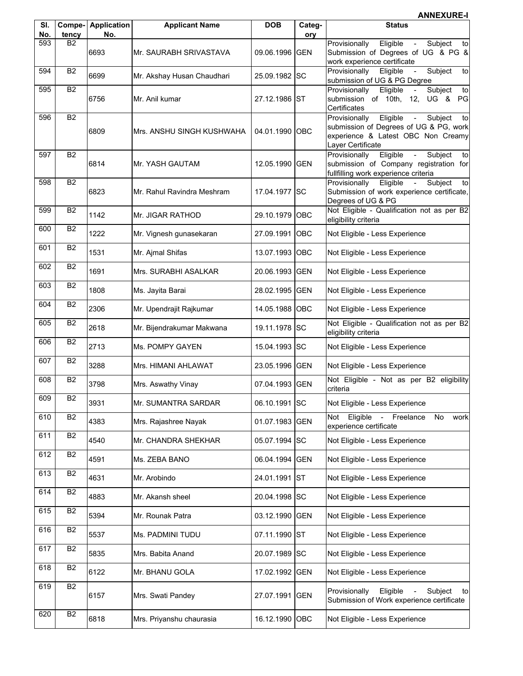| SI.        |                    | <b>Compe-</b> Application | <b>Applicant Name</b>      | <b>DOB</b>     | Categ-     | <b>Status</b>                                                                                                                                             |
|------------|--------------------|---------------------------|----------------------------|----------------|------------|-----------------------------------------------------------------------------------------------------------------------------------------------------------|
| No.<br>593 | tency<br><b>B2</b> | No.                       |                            |                | ory        | Eligible<br>Provisionally<br>Subject<br>to<br>$\sim$ $ \sim$                                                                                              |
|            |                    | 6693                      | Mr. SAURABH SRIVASTAVA     | 09.06.1996 GEN |            | Submission of Degrees of UG & PG &<br>work experience certificate                                                                                         |
| 594        | <b>B2</b>          | 6699                      | Mr. Akshay Husan Chaudhari | 25.09.1982 SC  |            | Subject<br>Provisionally<br>Eligible<br>$\sim 10$<br>to<br>submission of UG & PG Degree                                                                   |
| 595        | B <sub>2</sub>     | 6756                      | Mr. Anil kumar             | 27.12.1986 ST  |            | Provisionally<br>Eligible<br>Subject<br>to<br>$\overline{\phantom{a}}$<br>submission of 10th, 12, UG & PG<br>Certificates                                 |
| 596        | B <sub>2</sub>     | 6809                      | Mrs. ANSHU SINGH KUSHWAHA  | 04.01.1990 OBC |            | Eligible<br>Subject<br>Provisionally<br>$\sim$<br>to<br>submission of Degrees of UG & PG, work<br>experience & Latest OBC Non Creamy<br>Layer Certificate |
| 597        | B <sub>2</sub>     | 6814                      | Mr. YASH GAUTAM            | 12.05.1990     | <b>GEN</b> | Eligible - Subject to<br>Provisionally<br>submission of Company registration for<br>fullfilling work experience criteria                                  |
| 598        | B <sub>2</sub>     | 6823                      | Mr. Rahul Ravindra Meshram | 17.04.1977     | <b>ISC</b> | Provisionally<br>Eligible<br>$\sim 10$<br>Subject to<br>Submission of work experience certificate,<br>Degrees of UG & PG                                  |
| 599        | <b>B2</b>          | 1142                      | Mr. JIGAR RATHOD           | 29.10.1979 OBC |            | Not Eligible - Qualification not as per B2<br>eligibility criteria                                                                                        |
| 600        | B <sub>2</sub>     | 1222                      | Mr. Vignesh gunasekaran    | 27.09.1991 OBC |            | Not Eligible - Less Experience                                                                                                                            |
| 601        | <b>B2</b>          | 1531                      | Mr. Ajmal Shifas           | 13.07.1993 OBC |            | Not Eligible - Less Experience                                                                                                                            |
| 602        | <b>B2</b>          | 1691                      | Mrs. SURABHI ASALKAR       | 20.06.1993 GEN |            | Not Eligible - Less Experience                                                                                                                            |
| 603        | B <sub>2</sub>     | 1808                      | Ms. Jayita Barai           | 28.02.1995 GEN |            | Not Eligible - Less Experience                                                                                                                            |
| 604        | B <sub>2</sub>     | 2306                      | Mr. Upendrajit Rajkumar    | 14.05.1988 OBC |            | Not Eligible - Less Experience                                                                                                                            |
| 605        | <b>B2</b>          | 2618                      | Mr. Bijendrakumar Makwana  | 19.11.1978 SC  |            | Not Eligible - Qualification not as per B2<br>eligibility criteria                                                                                        |
| 606        | B <sub>2</sub>     | 2713                      | Ms. POMPY GAYEN            | 15.04.1993 SC  |            | Not Eligible - Less Experience                                                                                                                            |
| 607        | B <sub>2</sub>     | 3288                      | Mrs. HIMANI AHLAWAT        | 23.05.1996 GEN |            | Not Eligible - Less Experience                                                                                                                            |
| 608        | B <sub>2</sub>     | 3798                      | Mrs. Aswathy Vinay         | 07.04.1993 GEN |            | Not Eligible - Not as per B2 eligibility<br>criteria                                                                                                      |
| 609        | B <sub>2</sub>     | 3931                      | Mr. SUMANTRA SARDAR        | 06.10.1991 SC  |            | Not Eligible - Less Experience                                                                                                                            |
| 610        | B <sub>2</sub>     | 4383                      | Mrs. Rajashree Nayak       | 01.07.1983 GEN |            | Eligible - Freelance<br>work<br>Not<br>No.<br>experience certificate                                                                                      |
| 611        | B <sub>2</sub>     | 4540                      | Mr. CHANDRA SHEKHAR        | 05.07.1994 SC  |            | Not Eligible - Less Experience                                                                                                                            |
| 612        | B <sub>2</sub>     | 4591                      | Ms. ZEBA BANO              | 06.04.1994     | <b>GEN</b> | Not Eligible - Less Experience                                                                                                                            |
| 613        | <b>B2</b>          | 4631                      | Mr. Arobindo               | 24.01.1991     | <b>ST</b>  | Not Eligible - Less Experience                                                                                                                            |
| 614        | B <sub>2</sub>     | 4883                      | Mr. Akansh sheel           | 20.04.1998 SC  |            | Not Eligible - Less Experience                                                                                                                            |
| 615        | B <sub>2</sub>     | 5394                      | Mr. Rounak Patra           | 03.12.1990 GEN |            | Not Eligible - Less Experience                                                                                                                            |
| 616        | B <sub>2</sub>     | 5537                      | Ms. PADMINI TUDU           | 07.11.1990 ST  |            | Not Eligible - Less Experience                                                                                                                            |
| 617        | B <sub>2</sub>     | 5835                      | Mrs. Babita Anand          | 20.07.1989 SC  |            | Not Eligible - Less Experience                                                                                                                            |
| 618        | B <sub>2</sub>     | 6122                      | Mr. BHANU GOLA             | 17.02.1992 GEN |            | Not Eligible - Less Experience                                                                                                                            |
| 619        | B <sub>2</sub>     | 6157                      | Mrs. Swati Pandey          | 27.07.1991     | <b>GEN</b> | Provisionally<br>Eligible<br>Subject<br>to<br>Submission of Work experience certificate                                                                   |
| 620        | <b>B2</b>          | 6818                      | Mrs. Priyanshu chaurasia   | 16.12.1990 OBC |            | Not Eligible - Less Experience                                                                                                                            |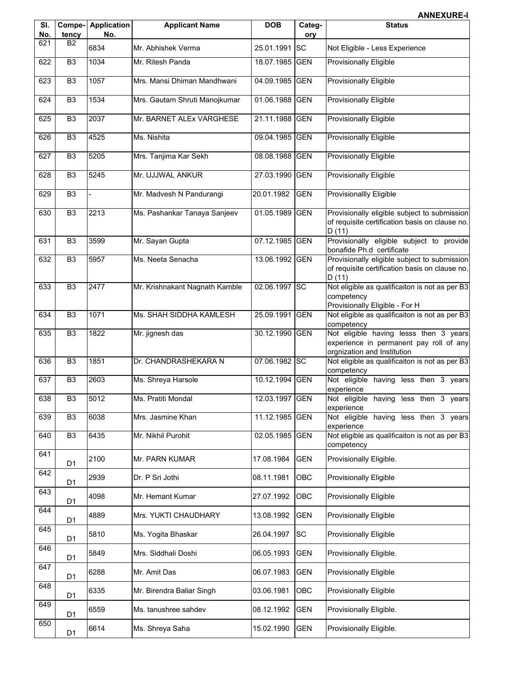| SI.<br>No. | Compe-          | <b>Application</b><br>No. | <b>Applicant Name</b>          | <b>DOB</b>     | Categ-     | <b>Status</b>                                                                                                    |
|------------|-----------------|---------------------------|--------------------------------|----------------|------------|------------------------------------------------------------------------------------------------------------------|
| 621        | tency<br>B2     |                           |                                |                | ory        |                                                                                                                  |
|            |                 | 6834                      | Mr. Abhishek Verma             | 25.01.1991 SC  |            | Not Eligible - Less Experience                                                                                   |
| 622        | $\overline{B3}$ | 1034                      | Mr. Ritesh Panda               | 18.07.1985 GEN |            | <b>Provisionally Eligible</b>                                                                                    |
| 623        | B <sub>3</sub>  | 1057                      | Mrs. Mansi Dhiman Mandhwani    | 04.09.1985 GEN |            | <b>Provisionally Eligible</b>                                                                                    |
| 624        | B <sub>3</sub>  | 1534                      | Mrs. Gautam Shruti Manojkumar  | 01.06.1988 GEN |            | <b>Provisionally Eligible</b>                                                                                    |
| 625        | B <sub>3</sub>  | 2037                      | Mr. BARNET ALEx VARGHESE       | 21.11.1988 GEN |            | Provisionally Eligible                                                                                           |
| 626        | B <sub>3</sub>  | 4525                      | Ms. Nishita                    | 09.04.1985 GEN |            | <b>Provisionally Eligible</b>                                                                                    |
| 627        | B <sub>3</sub>  | 5205                      | Mrs. Tanjima Kar Sekh          | 08.08.1988 GEN |            | <b>Provisionally Eligible</b>                                                                                    |
| 628        | B <sub>3</sub>  | 5245                      | Mr. UJJWAL ANKUR               | 27.03.1990     | GEN        | <b>Provisionally Eligible</b>                                                                                    |
| 629        | $\overline{B3}$ |                           | Mr. Madvesh N Pandurangi       | 20.01.1982     | <b>GEN</b> | <b>Provisionallly Eligible</b>                                                                                   |
| 630        | $\overline{B3}$ | 2213                      | Ms. Pashankar Tanaya Sanjeev   | 01.05.1989     | GEN        | Provisionally eligible subject to submission<br>of requisite certification basis on clause no.<br>D(11)          |
| 631        | B <sub>3</sub>  | 3599                      | Mr. Sayan Gupta                | 07.12.1985 GEN |            | Provisionally eligible subject to provide<br>bonafide Ph.d certificate                                           |
| 632        | $\overline{B3}$ | 5957                      | Ms. Neeta Senacha              | 13.06.1992 GEN |            | Provisionally eligible subject to submission<br>of requisite certification basis on clause no.<br>D(11)          |
| 633        | $\overline{B3}$ | 2477                      | Mr. Krishnakant Nagnath Kamble | 02.06.1997 SC  |            | Not eligible as qualificaiton is not as per B3<br>competency<br>Provisionally Eligible - For H                   |
| 634        | B <sub>3</sub>  | 1071                      | Ms. SHAH SIDDHA KAMLESH        | 25.09.1991     | <b>GEN</b> | Not eligible as qualificaiton is not as per B3<br>competency                                                     |
| 635        | $\overline{B3}$ | 1822                      | Mr. jignesh das                | 30.12.1990 GEN |            | Not eligible having lesss then 3 years<br>experience in permanent pay roll of any<br>orgnization and Institution |
| 636        | $\overline{B3}$ | 1851                      | Dr. CHANDRASHEKARA N           | 07.06.1982 SC  |            | Not eligible as qualificaiton is not as per B3<br>competency                                                     |
| 637        | B <sub>3</sub>  | 2603                      | Ms. Shreya Harsole             | 10.12.1994 GEN |            | Not eligible having less then 3 years<br>experience                                                              |
| 638        | B <sub>3</sub>  | 5012                      | Ms. Pratiti Mondal             | 12.03.1997 GEN |            | Not eligible having less then 3 years<br>experience                                                              |
| 639        | $\overline{B3}$ | 6038                      | Mrs. Jasmine Khan              | 11.12.1985     | <b>GEN</b> | Not eligible having less then 3 years<br>experience                                                              |
| 640        | B <sub>3</sub>  | 6435                      | Mr. Nikhil Purohit             | 02.05.1985     | <b>GEN</b> | Not eligible as qualificaiton is not as per B3<br>competency                                                     |
| 641        | D <sub>1</sub>  | 2100                      | Mr. PARN KUMAR                 | 17.08.1984     | <b>GEN</b> | Provisionally Eligible.                                                                                          |
| 642        | D <sub>1</sub>  | 2939                      | Dr. P Sri Jothi                | 08.11.1981     | OBC        | <b>Provisionally Eligible</b>                                                                                    |
| 643        | D1              | 4098                      | Mr. Hemant Kumar               | 27.07.1992     | OBC        | Provisionally Eligible                                                                                           |
| 644        | D <sub>1</sub>  | 4889                      | Mrs. YUKTI CHAUDHARY           | 13.08.1992     | <b>GEN</b> | <b>Provisionally Eligible</b>                                                                                    |
| 645        | D <sub>1</sub>  | 5810                      | Ms. Yogita Bhaskar             | 26.04.1997     | <b>SC</b>  | Provisionally Eligible                                                                                           |
| 646        | D1              | 5849                      | Mrs. Siddhali Doshi            | 06.05.1993     | <b>GEN</b> | Provisionally Eligible.                                                                                          |
| 647        | D <sub>1</sub>  | 6288                      | Mr. Amit Das                   | 06.07.1983     | <b>GEN</b> | Provisionally Eligible                                                                                           |
| 648        | D <sub>1</sub>  | 6335                      | Mr. Birendra Baliar Singh      | 03.06.1981     | OBC        | <b>Provisionally Eligible</b>                                                                                    |
| 649        | D1              | 6559                      | Ms. tanushree sahdev           | 08.12.1992     | <b>GEN</b> | Provisionally Eligible.                                                                                          |
| 650        | D <sub>1</sub>  | 6614                      | Ms. Shreya Saha                | 15.02.1990     | <b>GEN</b> | Provisionally Eligible.                                                                                          |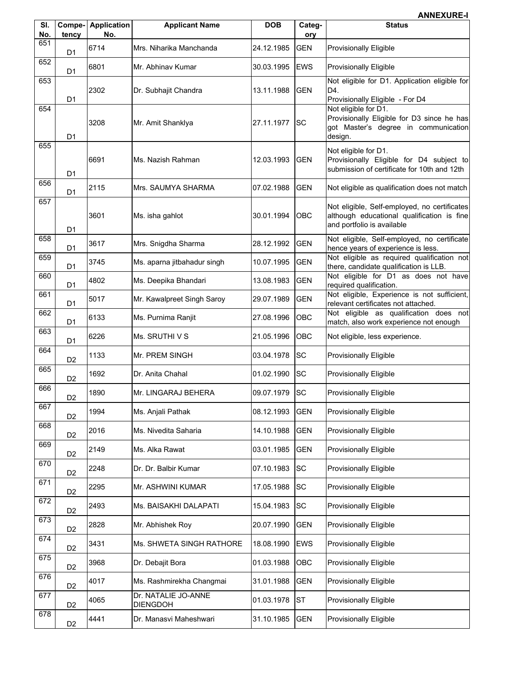| SI.        | Compe-         | <b>Application</b> | <b>Applicant Name</b>                  | <b>DOB</b> | Categ-     | <b>Status</b>                                                                                                            |
|------------|----------------|--------------------|----------------------------------------|------------|------------|--------------------------------------------------------------------------------------------------------------------------|
| No.<br>651 | tency          | No.                |                                        |            | ory        |                                                                                                                          |
|            | D <sub>1</sub> | 6714               | Mrs. Niharika Manchanda                | 24.12.1985 | <b>GEN</b> | <b>Provisionally Eligible</b>                                                                                            |
| 652        | D <sub>1</sub> | 6801               | Mr. Abhinav Kumar                      | 30.03.1995 | <b>EWS</b> | Provisionally Eligible                                                                                                   |
| 653        |                | 2302               | Dr. Subhajit Chandra                   | 13.11.1988 | <b>GEN</b> | Not eligible for D1. Application eligible for<br>D4.                                                                     |
| 654        | D <sub>1</sub> |                    |                                        |            |            | Provisionally Eligible - For D4<br>Not eligible for D1.                                                                  |
|            | D <sub>1</sub> | 3208               | Mr. Amit Shanklya                      | 27.11.1977 | <b>SC</b>  | Provisionally Eligible for D3 since he has<br>got Master's degree in communication<br>design.                            |
| 655        | D <sub>1</sub> | 6691               | Ms. Nazish Rahman                      | 12.03.1993 | <b>GEN</b> | Not eligible for D1.<br>Provisionally Eligible for D4 subject to<br>submission of certificate for 10th and 12th          |
| 656        | D <sub>1</sub> | 2115               | Mrs. SAUMYA SHARMA                     | 07.02.1988 | <b>GEN</b> | Not eligible as qualification does not match                                                                             |
| 657        | D <sub>1</sub> | 3601               | Ms. isha gahlot                        | 30.01.1994 | OBC        | Not eligible, Self-employed, no certificates<br>although educational qualification is fine<br>and portfolio is available |
| 658        | D <sub>1</sub> | 3617               | Mrs. Snigdha Sharma                    | 28.12.1992 | <b>GEN</b> | Not eligible, Self-employed, no certificate<br>hence years of experience is less.                                        |
| 659        | D1             | 3745               | Ms. aparna jitbahadur singh            | 10.07.1995 | <b>GEN</b> | Not eligible as required qualification not<br>there, candidate qualification is LLB.                                     |
| 660        | D <sub>1</sub> | 4802               | Ms. Deepika Bhandari                   | 13.08.1983 | <b>GEN</b> | Not eligible for D1 as does not have<br>required qualification.                                                          |
| 661        | D <sub>1</sub> | 5017               | Mr. Kawalpreet Singh Saroy             | 29.07.1989 | <b>GEN</b> | Not eligible, Experience is not sufficient,<br>relevant certificates not attached.                                       |
| 662        | D <sub>1</sub> | 6133               | Ms. Purnima Ranjit                     | 27.08.1996 | OBC        | Not eligible as qualification does not<br>match, also work experience not enough                                         |
| 663        | D <sub>1</sub> | 6226               | Ms. SRUTHIVS                           | 21.05.1996 | OBC        | Not eligible, less experience.                                                                                           |
| 664        | D <sub>2</sub> | 1133               | Mr. PREM SINGH                         | 03.04.1978 | <b>SC</b>  | Provisionally Eligible                                                                                                   |
| 665        | D <sub>2</sub> | 1692               | Dr. Anita Chahal                       | 01.02.1990 | <b>SC</b>  | Provisionally Eligible                                                                                                   |
| 666        | D <sub>2</sub> | 1890               | Mr. LINGARAJ BEHERA                    | 09.07.1979 | <b>SC</b>  | Provisionally Eligible                                                                                                   |
| 667        | D <sub>2</sub> | 1994               | Ms. Anjali Pathak                      | 08.12.1993 | <b>GEN</b> | Provisionally Eligible                                                                                                   |
| 668        | D <sub>2</sub> | 2016               | Ms. Nivedita Saharia                   | 14.10.1988 | <b>GEN</b> | <b>Provisionally Eligible</b>                                                                                            |
| 669        | D <sub>2</sub> | 2149               | Ms. Alka Rawat                         | 03.01.1985 | <b>GEN</b> | Provisionally Eligible                                                                                                   |
| 670        | D <sub>2</sub> | 2248               | Dr. Dr. Balbir Kumar                   | 07.10.1983 | <b>SC</b>  | Provisionally Eligible                                                                                                   |
| 671        | D <sub>2</sub> | 2295               | Mr. ASHWINI KUMAR                      | 17.05.1988 | <b>SC</b>  | Provisionally Eligible                                                                                                   |
| 672        | D <sub>2</sub> | 2493               | Ms. BAISAKHI DALAPATI                  | 15.04.1983 | <b>SC</b>  | Provisionally Eligible                                                                                                   |
| 673        | D <sub>2</sub> | 2828               | Mr. Abhishek Roy                       | 20.07.1990 | <b>GEN</b> | Provisionally Eligible                                                                                                   |
| 674        | D <sub>2</sub> | 3431               | Ms. SHWETA SINGH RATHORE               | 18.08.1990 | <b>EWS</b> | Provisionally Eligible                                                                                                   |
| 675        | D <sub>2</sub> | 3968               | Dr. Debajit Bora                       | 01.03.1988 | OBC        | Provisionally Eligible                                                                                                   |
| 676        | D <sub>2</sub> | 4017               | Ms. Rashmirekha Changmai               | 31.01.1988 | <b>GEN</b> | <b>Provisionally Eligible</b>                                                                                            |
| 677        | D <sub>2</sub> | 4065               | Dr. NATALIE JO-ANNE<br><b>DIENGDOH</b> | 01.03.1978 | <b>ST</b>  | Provisionally Eligible                                                                                                   |
| 678        | D <sub>2</sub> | 4441               | Dr. Manasvi Maheshwari                 | 31.10.1985 | <b>GEN</b> | <b>Provisionally Eligible</b>                                                                                            |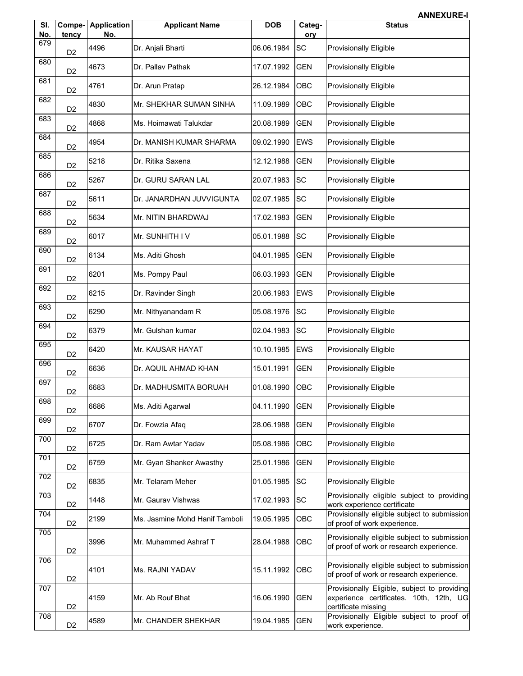|            |                 |                           |                                |            |               | <b>ANNEXURE-I</b>                                                                                              |
|------------|-----------------|---------------------------|--------------------------------|------------|---------------|----------------------------------------------------------------------------------------------------------------|
| SI.<br>No. | Compe-<br>tency | <b>Application</b><br>No. | <b>Applicant Name</b>          | <b>DOB</b> | Categ-<br>ory | <b>Status</b>                                                                                                  |
| 679        | D <sub>2</sub>  | 4496                      | Dr. Anjali Bharti              | 06.06.1984 | <b>SC</b>     | <b>Provisionally Eligible</b>                                                                                  |
| 680        | D <sub>2</sub>  | 4673                      | Dr. Pallav Pathak              | 17.07.1992 | <b>GEN</b>    | <b>Provisionally Eligible</b>                                                                                  |
| 681        | D <sub>2</sub>  | 4761                      | Dr. Arun Pratap                | 26.12.1984 | OBC           | <b>Provisionally Eligible</b>                                                                                  |
| 682        | D <sub>2</sub>  | 4830                      | Mr. SHEKHAR SUMAN SINHA        | 11.09.1989 | <b>OBC</b>    | <b>Provisionally Eligible</b>                                                                                  |
| 683        | D <sub>2</sub>  | 4868                      | Ms. Hoimawati Talukdar         | 20.08.1989 | <b>GEN</b>    | <b>Provisionally Eligible</b>                                                                                  |
| 684        | D <sub>2</sub>  | 4954                      | Dr. MANISH KUMAR SHARMA        | 09.02.1990 | <b>EWS</b>    | <b>Provisionally Eligible</b>                                                                                  |
| 685        | D <sub>2</sub>  | 5218                      | Dr. Ritika Saxena              | 12.12.1988 | <b>GEN</b>    | <b>Provisionally Eligible</b>                                                                                  |
| 686        | D <sub>2</sub>  | 5267                      | Dr. GURU SARAN LAL             | 20.07.1983 | SC            | <b>Provisionally Eligible</b>                                                                                  |
| 687        | D <sub>2</sub>  | 5611                      | Dr. JANARDHAN JUVVIGUNTA       | 02.07.1985 | <b>SC</b>     | <b>Provisionally Eligible</b>                                                                                  |
| 688        | D <sub>2</sub>  | 5634                      | Mr. NITIN BHARDWAJ             | 17.02.1983 | <b>GEN</b>    | <b>Provisionally Eligible</b>                                                                                  |
| 689        | D <sub>2</sub>  | 6017                      | Mr. SUNHITH IV                 | 05.01.1988 | SC            | <b>Provisionally Eligible</b>                                                                                  |
| 690        | D <sub>2</sub>  | 6134                      | Ms. Aditi Ghosh                | 04.01.1985 | <b>GEN</b>    | <b>Provisionally Eligible</b>                                                                                  |
| 691        | D <sub>2</sub>  | 6201                      | Ms. Pompy Paul                 | 06.03.1993 | <b>GEN</b>    | <b>Provisionally Eligible</b>                                                                                  |
| 692        | D <sub>2</sub>  | 6215                      | Dr. Ravinder Singh             | 20.06.1983 | <b>EWS</b>    | <b>Provisionally Eligible</b>                                                                                  |
| 693        | D <sub>2</sub>  | 6290                      | Mr. Nithyanandam R             | 05.08.1976 | <b>SC</b>     | <b>Provisionally Eligible</b>                                                                                  |
| 694        | D <sub>2</sub>  | 6379                      | Mr. Gulshan kumar              | 02.04.1983 | <b>SC</b>     | <b>Provisionally Eligible</b>                                                                                  |
| 695        | D <sub>2</sub>  | 6420                      | Mr. KAUSAR HAYAT               | 10.10.1985 | <b>EWS</b>    | <b>Provisionally Eligible</b>                                                                                  |
| 696        | D <sub>2</sub>  | 6636                      | Dr. AQUIL AHMAD KHAN           | 15.01.1991 | <b>GEN</b>    | <b>Provisionally Eligible</b>                                                                                  |
| 697        | D <sub>2</sub>  | 6683                      | Dr. MADHUSMITA BORUAH          | 01.08.1990 | OBC           | <b>Provisionally Eligible</b>                                                                                  |
| 698        | D <sub>2</sub>  | 6686                      | Ms. Aditi Agarwal              | 04.11.1990 | <b>GEN</b>    | <b>Provisionally Eligible</b>                                                                                  |
| 699        | D <sub>2</sub>  | 6707                      | Dr. Fowzia Afaq                | 28.06.1988 | <b>GEN</b>    | <b>Provisionally Eligible</b>                                                                                  |
| 700        | D <sub>2</sub>  | 6725                      | Dr. Ram Awtar Yadav            | 05.08.1986 | OBC           | <b>Provisionally Eligible</b>                                                                                  |
| 701        | D <sub>2</sub>  | 6759                      | Mr. Gyan Shanker Awasthy       | 25.01.1986 | <b>GEN</b>    | <b>Provisionally Eligible</b>                                                                                  |
| 702        | D <sub>2</sub>  | 6835                      | Mr. Telaram Meher              | 01.05.1985 | <b>SC</b>     | <b>Provisionally Eligible</b>                                                                                  |
| 703        | D <sub>2</sub>  | 1448                      | Mr. Gaurav Vishwas             | 17.02.1993 | SC            | Provisionally eligible subject to providing<br>work experience certificate                                     |
| 704        | D <sub>2</sub>  | 2199                      | Ms. Jasmine Mohd Hanif Tamboli | 19.05.1995 | <b>OBC</b>    | Provisionally eligible subject to submission<br>of proof of work experience.                                   |
| 705        | D <sub>2</sub>  | 3996                      | Mr. Muhammed Ashraf T          | 28.04.1988 | OBC           | Provisionally eligible subject to submission<br>of proof of work or research experience.                       |
| 706        | D <sub>2</sub>  | 4101                      | Ms. RAJNI YADAV                | 15.11.1992 | <b>OBC</b>    | Provisionally eligible subject to submission<br>of proof of work or research experience.                       |
| 707        | D <sub>2</sub>  | 4159                      | Mr. Ab Rouf Bhat               | 16.06.1990 | <b>GEN</b>    | Provisionally Eligible, subject to providing<br>experience certificates. 10th, 12th, UG<br>certificate missing |
| 708        | D <sub>2</sub>  | 4589                      | Mr. CHANDER SHEKHAR            | 19.04.1985 | <b>GEN</b>    | Provisionally Eligible subject to proof of<br>work experience.                                                 |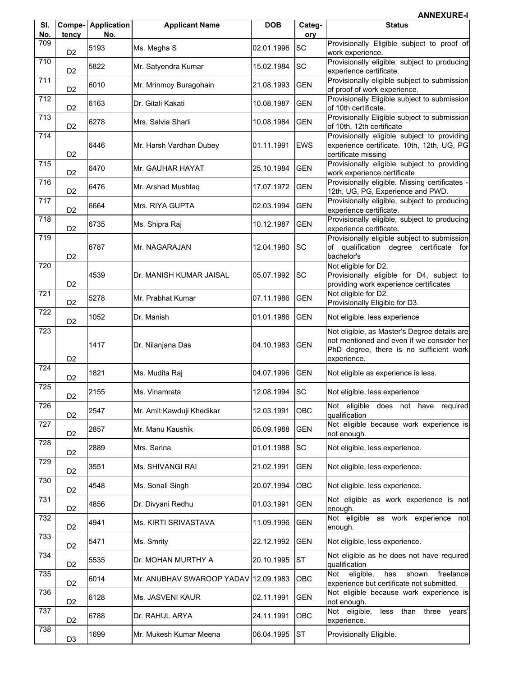| SI.<br>No.       | tency          | <b>Compe-</b> Application<br>No. | <b>Applicant Name</b>                | <b>DOB</b> | Categ-<br>ory | <b>Status</b>                                                                                                                                       |
|------------------|----------------|----------------------------------|--------------------------------------|------------|---------------|-----------------------------------------------------------------------------------------------------------------------------------------------------|
| 709              | D <sub>2</sub> | 5193                             | Ms. Megha S                          | 02.01.1996 | <b>SC</b>     | Provisionally Eligible subject to proof of<br>work experience.                                                                                      |
| 710              | D <sub>2</sub> | 5822                             | Mr. Satyendra Kumar                  | 15.02.1984 | <b>SC</b>     | Provisionally eligible, subject to producing<br>experience certificate.                                                                             |
| 711              | D <sub>2</sub> | 6010                             | Mr. Mrinmoy Buragohain               | 21.08.1993 | <b>GEN</b>    | Provisionally eligible subject to submission<br>of proof of work experience.                                                                        |
| 712              | D <sub>2</sub> | 6163                             | Dr. Gitali Kakati                    | 10.08.1987 | <b>GEN</b>    | Provisionally Eligible subject to submission<br>of 10th certificate.                                                                                |
| $\overline{713}$ | D <sub>2</sub> | 6278                             | Mrs. Salvia Sharli                   | 10.08.1984 | <b>GEN</b>    | Provisionally Eligible subject to submission<br>of 10th, 12th certificate                                                                           |
| 714              | D <sub>2</sub> | 6446                             | Mr. Harsh Vardhan Dubey              | 01.11.1991 | <b>EWS</b>    | Provisionally eligible subject to providing<br>experience certificate. 10th, 12th, UG, PG<br>certificate missing                                    |
| 715              | D <sub>2</sub> | 6470                             | Mr. GAUHAR HAYAT                     | 25.10.1984 | <b>GEN</b>    | Provisionally eligible subject to providing<br>work experience certificate                                                                          |
| 716              | D <sub>2</sub> | 6476                             | Mr. Arshad Mushtaq                   | 17.07.1972 | <b>GEN</b>    | Provisionally eligible. Missing certificates -<br>12th, UG, PG, Experience and PWD.                                                                 |
| 717              | D <sub>2</sub> | 6664                             | Mrs. RIYA GUPTA                      | 02.03.1994 | <b>GEN</b>    | Provisionally eligible, subject to producing<br>experience certificate.                                                                             |
| 718              | D <sub>2</sub> | 6735                             | Ms. Shipra Raj                       | 10.12.1987 | <b>GEN</b>    | Provisionally eligible, subject to producing<br>experience certificate.                                                                             |
| 719              | D <sub>2</sub> | 6787                             | Mr. NAGARAJAN                        | 12.04.1980 | lsc           | Provisionally eligible subject to submission<br>of qualification degree certificate for<br>bachelor's                                               |
| 720              | D <sub>2</sub> | 4539                             | Dr. MANISH KUMAR JAISAL              | 05.07.1992 | <b>SC</b>     | Not eligible for D2.<br>Provisionally eligible for D4, subject to<br>providing work experience certificates                                         |
| 721              | D <sub>2</sub> | 5278                             | Mr. Prabhat Kumar                    | 07.11.1986 | <b>GEN</b>    | Not eligible for D2.<br>Provisionally Eligible for D3.                                                                                              |
| 722              | D <sub>2</sub> | 1052                             | Dr. Manish                           | 01.01.1986 | <b>GEN</b>    | Not eligible, less experience                                                                                                                       |
| 723              | D <sub>2</sub> | 1417                             | Dr. Nilanjana Das                    | 04.10.1983 | <b>GEN</b>    | Not eligible, as Master's Degree details are<br>not mentioned and even if we consider her<br>PhD degree, there is no sufficient work<br>experience. |
| 724              | D <sub>2</sub> | 1821                             | Ms. Mudita Raj                       | 04.07.1996 | <b>GEN</b>    | Not eligible as experience is less.                                                                                                                 |
| 725              | D <sub>2</sub> | 2155                             | Ms. Vinamrata                        | 12.08.1994 | lsc           | Not eligible, less experience                                                                                                                       |
| 726              | D <sub>2</sub> | 2547                             | Mr. Amit Kawduji Khedikar            | 12.03.1991 | OBC           | Not eligible does not have required<br>qualification                                                                                                |
| 727              | D <sub>2</sub> | 2857                             | Mr. Manu Kaushik                     | 05.09.1988 | <b>GEN</b>    | Not eligible because work experience is<br>not enough.                                                                                              |
| 728              | D <sub>2</sub> | 2889                             | Mrs. Sarina                          | 01.01.1988 | <b>SC</b>     | Not eligible, less experience.                                                                                                                      |
| 729              | D <sub>2</sub> | 3551                             | Ms. SHIVANGI RAI                     | 21.02.1991 | <b>GEN</b>    | Not eligible, less experience.                                                                                                                      |
| 730              | D <sub>2</sub> | 4548                             | Ms. Sonali Singh                     | 20.07.1994 | OBC           | Not eligible, less experience.                                                                                                                      |
| 731              | D <sub>2</sub> | 4856                             | Dr. Divyani Redhu                    | 01.03.1991 | <b>GEN</b>    | Not eligible as work experience is not<br>enough.                                                                                                   |
| 732              | D <sub>2</sub> | 4941                             | Ms. KIRTI SRIVASTAVA                 | 11.09.1996 | GEN           | Not eligible as work experience not<br>enough.                                                                                                      |
| 733              | D <sub>2</sub> | 5471                             | Ms. Smrity                           | 22.12.1992 | <b>GEN</b>    | Not eligible, less experience.                                                                                                                      |
| 734              | D <sub>2</sub> | 5535                             | Dr. MOHAN MURTHY A                   | 20.10.1995 | <b>ST</b>     | Not eligible as he does not have required<br>qualification                                                                                          |
| 735              | D <sub>2</sub> | 6014                             | Mr. ANUBHAV SWAROOP YADAV 12.09.1983 |            | OBC           | eligible,<br>has<br>shown<br>freelance<br>Not<br>experience but certificate not submitted.                                                          |
| 736              | D <sub>2</sub> | 6128                             | Ms. JASVENI KAUR                     | 02.11.1991 | <b>GEN</b>    | Not eligible because work experience is<br>not enough.                                                                                              |
| 737              | D <sub>2</sub> | 6788                             | Dr. RAHUL ARYA                       | 24.11.1991 | OBC           | three years'<br>Not eligible,<br>than<br>less<br>experience.                                                                                        |
| 738              | D <sub>3</sub> | 1699                             | Mr. Mukesh Kumar Meena               | 06.04.1995 | <b>ST</b>     | Provisionally Eligible.                                                                                                                             |

**Sl.**

 $\blacksquare$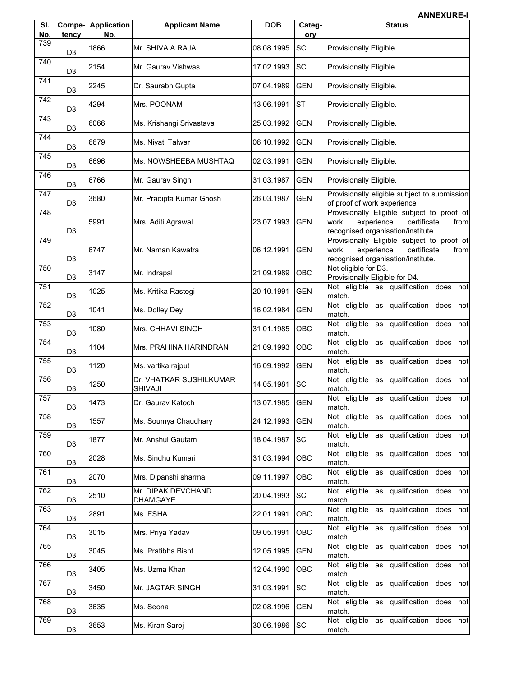| SI.<br>No.       | tency          | <b>Compe-</b> Application<br>No. | <b>Applicant Name</b>              | <b>DOB</b>     | Categ-<br>ory | <b>Status</b>                                                                                                                 |
|------------------|----------------|----------------------------------|------------------------------------|----------------|---------------|-------------------------------------------------------------------------------------------------------------------------------|
| 739              | D <sub>3</sub> | 1866                             | Mr. SHIVA A RAJA                   | 08.08.1995     | <b>SC</b>     | Provisionally Eligible.                                                                                                       |
| 740              | D <sub>3</sub> | 2154                             | Mr. Gaurav Vishwas                 | 17.02.1993     | <b>SC</b>     | Provisionally Eligible.                                                                                                       |
| 741              | D <sub>3</sub> | 2245                             | Dr. Saurabh Gupta                  | 07.04.1989     | <b>GEN</b>    | Provisionally Eligible.                                                                                                       |
| 742              | D <sub>3</sub> | 4294                             | Mrs. POONAM                        | 13.06.1991     | <b>ST</b>     | Provisionally Eligible.                                                                                                       |
| 743              | D <sub>3</sub> | 6066                             | Ms. Krishangi Srivastava           | 25.03.1992     | <b>GEN</b>    | Provisionally Eligible.                                                                                                       |
| 744              | D <sub>3</sub> | 6679                             | Ms. Niyati Talwar                  | 06.10.1992     | <b>GEN</b>    | Provisionally Eligible.                                                                                                       |
| 745              | D <sub>3</sub> | 6696                             | Ms. NOWSHEEBA MUSHTAQ              | 02.03.1991     | <b>GEN</b>    | Provisionally Eligible.                                                                                                       |
| 746              | D <sub>3</sub> | 6766                             | Mr. Gaurav Singh                   | 31.03.1987     | <b>GEN</b>    | Provisionally Eligible.                                                                                                       |
| $\overline{747}$ | D <sub>3</sub> | 3680                             | Mr. Pradipta Kumar Ghosh           | 26.03.1987     | <b>GEN</b>    | Provisionally eligible subject to submission<br>of proof of work experience                                                   |
| 748              | D <sub>3</sub> | 5991                             | Mrs. Aditi Agrawal                 | 23.07.1993     | <b>GEN</b>    | Provisionally Eligible subject to proof of<br>experience<br>certificate<br>work<br>from<br>recognised organisation/institute. |
| 749              | D <sub>3</sub> | 6747                             | Mr. Naman Kawatra                  | 06.12.1991     | <b>GEN</b>    | Provisionally Eligible subject to proof of<br>experience<br>certificate<br>work<br>from<br>recognised organisation/institute. |
| 750              | D <sub>3</sub> | 3147                             | Mr. Indrapal                       | 21.09.1989     | OBC           | Not eligible for D3.<br>Provisionally Eligible for D4.                                                                        |
| 751              | D <sub>3</sub> | 1025                             | Ms. Kritika Rastogi                | 20.10.1991     | <b>GEN</b>    | Not eligible as qualification does not<br>match.                                                                              |
| 752              | D <sub>3</sub> | 1041                             | Ms. Dolley Dey                     | 16.02.1984     | <b>GEN</b>    | Not eligible as qualification does not<br>match.                                                                              |
| 753              | D <sub>3</sub> | 1080                             | Mrs. CHHAVI SINGH                  | 31.01.1985     | OBC           | Not eligible as qualification does not<br>match.                                                                              |
| 754              | D <sub>3</sub> | 1104                             | Mrs. PRAHINA HARINDRAN             | 21.09.1993     | <b>OBC</b>    | Not eligible as qualification does not<br>match.                                                                              |
| 755              | D <sub>3</sub> | 1120                             | Ms. vartika rajput                 | 16.09.1992     | <b>GEN</b>    | Not eligible as qualification does not<br>match.                                                                              |
| 756              | D <sub>3</sub> | 1250                             | Dr. VHATKAR SUSHILKUMAR<br>SHIVAJI | 14.05.1981     | <b>SC</b>     | Not eligible as qualification does not<br>match.                                                                              |
| 757              | D <sub>3</sub> | 1473                             | Dr. Gaurav Katoch                  | 13.07.1985 GEN |               | Not eligible as qualification does not<br>match.                                                                              |
| 758              | D <sub>3</sub> | 1557                             | Ms. Soumya Chaudhary               | 24.12.1993     | <b>GEN</b>    | Not eligible as qualification does not<br>match.                                                                              |
| 759              | D <sub>3</sub> | 1877                             | Mr. Anshul Gautam                  | 18.04.1987     | <b>SC</b>     | Not eligible as qualification does not<br>match.                                                                              |
| 760              | D <sub>3</sub> | 2028                             | Ms. Sindhu Kumari                  | 31.03.1994     | OBC           | Not eligible as qualification does not<br>match.                                                                              |
| 761              | D3             | 2070                             | Mrs. Dipanshi sharma               | 09.11.1997     | OBC           | Not eligible as qualification does not<br>match.                                                                              |
| 762              | D <sub>3</sub> | 2510                             | Mr. DIPAK DEVCHAND<br>DHAMGAYE     | 20.04.1993     | <b>SC</b>     | Not eligible as qualification does not<br>match.                                                                              |
| 763              | D <sub>3</sub> | 2891                             | Ms. ESHA                           | 22.01.1991     | OBC           | Not eligible as qualification does not<br>match.                                                                              |
| 764              | D <sub>3</sub> | 3015                             | Mrs. Priya Yadav                   | 09.05.1991     | OBC           | Not eligible as qualification does not<br>match.                                                                              |
| 765              | D3             | 3045                             | Ms. Pratibha Bisht                 | 12.05.1995     | <b>GEN</b>    | Not eligible as qualification does not<br>match.                                                                              |
| 766              | D <sub>3</sub> | 3405                             | Ms. Uzma Khan                      | 12.04.1990     | OBC           | Not eligible as qualification does not<br>match.                                                                              |
| 767              | D <sub>3</sub> | 3450                             | Mr. JAGTAR SINGH                   | 31.03.1991     | <b>SC</b>     | Not eligible as qualification does not<br>match.                                                                              |
| 768              | D <sub>3</sub> | 3635                             | Ms. Seona                          | 02.08.1996     | <b>GEN</b>    | Not eligible as qualification does not<br>match.                                                                              |
| 769              | D <sub>3</sub> | 3653                             | Ms. Kiran Saroj                    | 30.06.1986     | <b>SC</b>     | Not eligible as qualification does not<br>match.                                                                              |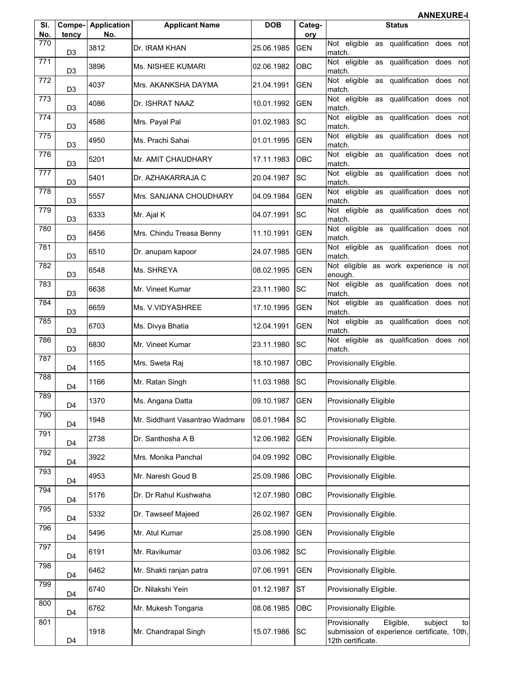|                  |                 |                           |                                |            |               | <b>ANNEXURE-I</b>                                                                                                |
|------------------|-----------------|---------------------------|--------------------------------|------------|---------------|------------------------------------------------------------------------------------------------------------------|
| SI.<br>No.       | Compe-<br>tency | <b>Application</b><br>No. | <b>Applicant Name</b>          | <b>DOB</b> | Categ-<br>ory | <b>Status</b>                                                                                                    |
| 770              | D <sub>3</sub>  | 3812                      | Dr. IRAM KHAN                  | 25.06.1985 | <b>GEN</b>    | Not eligible as<br>qualification<br>does<br>not<br>match.                                                        |
| 771              | D <sub>3</sub>  | 3896                      | Ms. NISHEE KUMARI              | 02.06.1982 | <b>OBC</b>    | Not eligible as<br>qualification<br>does<br>not<br>match.                                                        |
| 772              | D <sub>3</sub>  | 4037                      | Mrs. AKANKSHA DAYMA            | 21.04.1991 | <b>GEN</b>    | Not eligible as qualification does<br>not<br>match.                                                              |
| $\overline{773}$ | D <sub>3</sub>  | 4086                      | Dr. ISHRAT NAAZ                | 10.01.1992 | <b>GEN</b>    | qualification does<br>Not eligible as<br>not<br>match.                                                           |
| 774              | D <sub>3</sub>  | 4586                      | Mrs. Payal Pal                 | 01.02.1983 | <b>SC</b>     | qualification does<br>Not eligible<br>as<br>not<br>match.                                                        |
| 775              | D <sub>3</sub>  | 4950                      | Ms. Prachi Sahai               | 01.01.1995 | <b>GEN</b>    | Not eligible<br>as qualification<br>does<br>not<br>match.                                                        |
| 776              | D <sub>3</sub>  | 5201                      | Mr. AMIT CHAUDHARY             | 17.11.1983 | OBC           | Not eligible as qualification does<br>not<br>match.                                                              |
| 777              | D <sub>3</sub>  | 5401                      | Dr. AZHAKARRAJA C              | 20.04.1987 | <b>SC</b>     | Not eligible as qualification does<br>not<br>match.                                                              |
| 778              | D <sub>3</sub>  | 5557                      | Mrs. SANJANA CHOUDHARY         | 04.09.1984 | <b>GEN</b>    | Not eligible as<br>qualification does<br>not<br>match.                                                           |
| 779              | D <sub>3</sub>  | 6333                      | Mr. Ajal K                     | 04.07.1991 | <b>SC</b>     | Not eligible as qualification does<br>not<br>match.                                                              |
| 780              | D <sub>3</sub>  | 6456                      | Mrs. Chindu Treasa Benny       | 11.10.1991 | <b>GEN</b>    | Not eligible as qualification does<br>not<br>match.                                                              |
| 781              | D <sub>3</sub>  | 6510                      | Dr. anupam kapoor              | 24.07.1985 | <b>GEN</b>    | Not eligible as qualification does<br>not<br>match.                                                              |
| 782              | D <sub>3</sub>  | 6548                      | Ms. SHREYA                     | 08.02.1995 | <b>GEN</b>    | Not eligible as work experience is not<br>enough.                                                                |
| 783              | D <sub>3</sub>  | 6638                      | Mr. Vineet Kumar               | 23.11.1980 | <b>SC</b>     | Not eligible as qualification does<br>not<br>match.                                                              |
| 784              | D <sub>3</sub>  | 6659                      | Ms. V.VIDYASHREE               | 17.10.1995 | <b>GEN</b>    | Not eligible as qualification does<br>not<br>match.                                                              |
| 785              | D <sub>3</sub>  | 6703                      | Ms. Divya Bhatia               | 12.04.1991 | <b>GEN</b>    | Not eligible<br>as qualification does<br>not<br>match.                                                           |
| 786              | D <sub>3</sub>  | 6830                      | Mr. Vineet Kumar               | 23.11.1980 | <b>SC</b>     | Not eligible<br>as qualification<br>does<br>not<br>match.                                                        |
| 787              | D <sub>4</sub>  | 1165                      | Mrs. Sweta Raj                 | 18.10.1987 | <b>OBC</b>    | Provisionally Eligible.                                                                                          |
| 788              | D <sub>4</sub>  | 1166                      | Mr. Ratan Singh                | 11.03.1988 | <b>SC</b>     | Provisionally Eligible.                                                                                          |
| 789              | D <sub>4</sub>  | 1370                      | Ms. Angana Datta               | 09.10.1987 | <b>GEN</b>    | <b>Provisionally Eligible</b>                                                                                    |
| 790              | D <sub>4</sub>  | 1948                      | Mr. Siddhant Vasantrao Wadmare | 08.01.1984 | <b>SC</b>     | Provisionally Eligible.                                                                                          |
| 791              | D <sub>4</sub>  | 2738                      | Dr. Santhosha A B              | 12.06.1982 | <b>GEN</b>    | Provisionally Eligible.                                                                                          |
| 792              | D <sub>4</sub>  | 3922                      | Mrs. Monika Panchal            | 04.09.1992 | OBC           | Provisionally Eligible.                                                                                          |
| 793              | D <sub>4</sub>  | 4953                      | Mr. Naresh Goud B              | 25.09.1986 | OBC           | Provisionally Eligible.                                                                                          |
| 794              | D <sub>4</sub>  | 5176                      | Dr. Dr Rahul Kushwaha          | 12.07.1980 | OBC           | Provisionally Eligible.                                                                                          |
| 795              | D <sub>4</sub>  | 5332                      | Dr. Tawseef Majeed             | 26.02.1987 | <b>GEN</b>    | Provisionally Eligible.                                                                                          |
| 796              | D4              | 5496                      | Mr. Atul Kumar                 | 25.08.1990 | <b>GEN</b>    | <b>Provisionally Eligible</b>                                                                                    |
| 797              | D <sub>4</sub>  | 6191                      | Mr. Ravikumar                  | 03.06.1982 | <b>SC</b>     | Provisionally Eligible.                                                                                          |
| 798              | D4              | 6462                      | Mr. Shakti ranjan patra        | 07.06.1991 | <b>GEN</b>    | Provisionally Eligible.                                                                                          |
| 799              | D <sub>4</sub>  | 6740                      | Dr. Nilakshi Yein              | 01.12.1987 | <b>ST</b>     | Provisionally Eligible.                                                                                          |
| 800              | D <sub>4</sub>  | 6762                      | Mr. Mukesh Tongaria            | 08.08.1985 | OBC           | Provisionally Eligible.                                                                                          |
| 801              | D <sub>4</sub>  | 1918                      | Mr. Chandrapal Singh           | 15.07.1986 | <b>SC</b>     | Provisionally<br>Eligible,<br>subject<br>tol<br>submission of experience certificate, 10th,<br>12th certificate. |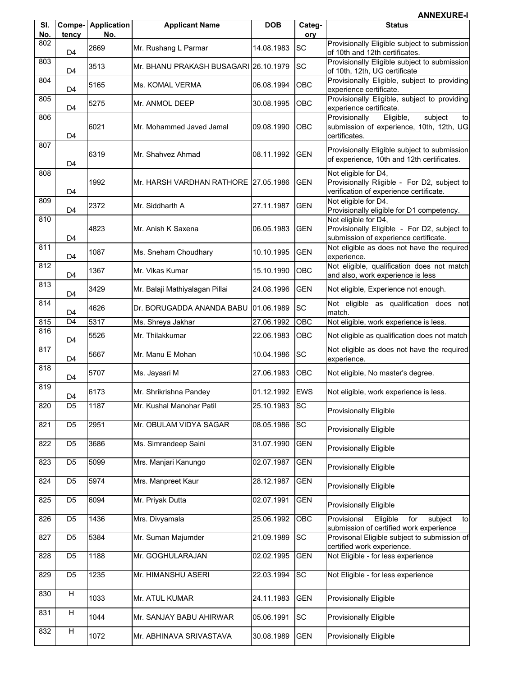| SI.        | Compe-          | <b>Application</b><br>No. | <b>Applicant Name</b>                 | <b>DOB</b> | Categ-     | <b>Status</b>                                                                                                  |
|------------|-----------------|---------------------------|---------------------------------------|------------|------------|----------------------------------------------------------------------------------------------------------------|
| No.<br>802 | tency           |                           |                                       |            | ory        | Provisionally Eligible subject to submission                                                                   |
|            | D4              | 2669                      | Mr. Rushang L Parmar                  | 14.08.1983 | <b>SC</b>  | of 10th and 12th certificates.                                                                                 |
| 803        | D <sub>4</sub>  | 3513                      | Mr. BHANU PRAKASH BUSAGARI 26.10.1979 |            | <b>SC</b>  | Provisionally Eligible subject to submission<br>of 10th, 12th, UG certificate                                  |
| 804        | D4              | 5165                      | Ms. KOMAL VERMA                       | 06.08.1994 | OBC        | Provisionally Eligible, subject to providing<br>experience certificate.                                        |
| 805        | D <sub>4</sub>  | 5275                      | Mr. ANMOL DEEP                        | 30.08.1995 | OBC        | Provisionally Eligible, subject to providing<br>experience certificate.                                        |
| 806        | D4              | 6021                      | Mr. Mohammed Javed Jamal              | 09.08.1990 | <b>OBC</b> | Eligible,<br>subject<br>Provisionally<br>to<br>submission of experience, 10th, 12th, UG<br>certificates.       |
| 807        | D4              | 6319                      | Mr. Shahvez Ahmad                     | 08.11.1992 | <b>GEN</b> | Provisionally Eligible subject to submission<br>of experience, 10th and 12th certificates.                     |
| 808        | D <sub>4</sub>  | 1992                      | Mr. HARSH VARDHAN RATHORE 27.05.1986  |            | <b>GEN</b> | Not eligible for D4,<br>Provisionally Rligible - For D2, subject to<br>verification of experience certificate. |
| 809        | D <sub>4</sub>  | 2372                      | Mr. Siddharth A                       | 27.11.1987 | <b>GEN</b> | Not eligible for D4.<br>Provisionally eligible for D1 competency.                                              |
| 810        | D4              | 4823                      | Mr. Anish K Saxena                    | 06.05.1983 | <b>GEN</b> | Not eligible for D4,<br>Provisionally Eligible - For D2, subject to<br>submission of experience certificate.   |
| 811        | D <sub>4</sub>  | 1087                      | Ms. Sneham Choudhary                  | 10.10.1995 | <b>GEN</b> | Not eligible as does not have the required<br>experience.                                                      |
| 812        | D4              | 1367                      | Mr. Vikas Kumar                       | 15.10.1990 | OBC        | Not eligible, qualification does not match<br>and also, work experience is less                                |
| 813        | D4              | 3429                      | Mr. Balaji Mathiyalagan Pillai        | 24.08.1996 | <b>GEN</b> | Not eligible, Experience not enough.                                                                           |
| 814        | D <sub>4</sub>  | 4626                      | Dr. BORUGADDA ANANDA BABU             | 01.06.1989 | <b>SC</b>  | Not eligible as qualification does not<br>match.                                                               |
| 815        | D <sub>4</sub>  | 5317                      | Ms. Shreya Jakhar                     | 27.06.1992 | OBC        | Not eligible, work experience is less.                                                                         |
| 816        | D4              | 5526                      | Mr. Thilakkumar                       | 22.06.1983 | OBC        | Not eligible as qualification does not match                                                                   |
| 817        | D <sub>4</sub>  | 5667                      | Mr. Manu E Mohan                      | 10.04.1986 | <b>SC</b>  | Not eligible as does not have the required<br>experience.                                                      |
| 818        | D4              | 5707                      | Ms. Jayasri M                         | 27.06.1983 | OBC        | Not eligible, No master's degree.                                                                              |
| 819        | D4              | 6173                      | Mr. Shrikrishna Pandey                | 01.12.1992 | <b>EWS</b> | Not eligible, work experience is less.                                                                         |
| 820        | $\overline{D5}$ | 1187                      | Mr. Kushal Manohar Patil              | 25.10.1983 | <b>SC</b>  | <b>Provisionally Eligible</b>                                                                                  |
| 821        | D <sub>5</sub>  | 2951                      | Mr. OBULAM VIDYA SAGAR                | 08.05.1986 | <b>SC</b>  | <b>Provisionally Eligible</b>                                                                                  |
| 822        | D <sub>5</sub>  | 3686                      | Ms. Simrandeep Saini                  | 31.07.1990 | <b>GEN</b> | <b>Provisionally Eligible</b>                                                                                  |
| 823        | D <sub>5</sub>  | 5099                      | Mrs. Manjari Kanungo                  | 02.07.1987 | <b>GEN</b> | <b>Provisionally Eligible</b>                                                                                  |
| 824        | D <sub>5</sub>  | 5974                      | Mrs. Manpreet Kaur                    | 28.12.1987 | <b>GEN</b> | <b>Provisionally Eligible</b>                                                                                  |
| 825        | D <sub>5</sub>  | 6094                      | Mr. Priyak Dutta                      | 02.07.1991 | <b>GEN</b> | <b>Provisionally Eligible</b>                                                                                  |
| 826        | D <sub>5</sub>  | 1436                      | Mrs. Divyamala                        | 25.06.1992 | OBC        | Provisional<br>subject<br>Eligible<br>for<br>to<br>submission of certified work experience                     |
| 827        | D <sub>5</sub>  | 5384                      | Mr. Suman Majumder                    | 21.09.1989 | <b>SC</b>  | Provisonal Eligible subject to submission of<br>certified work experience.                                     |
| 828        | D <sub>5</sub>  | 1188                      | Mr. GOGHULARAJAN                      | 02.02.1995 | <b>GEN</b> | Not Eligible - for less experience                                                                             |
| 829        | D <sub>5</sub>  | 1235                      | Mr. HIMANSHU ASERI                    | 22.03.1994 | <b>SC</b>  | Not Eligible - for less experience                                                                             |
| 830        | H               | 1033                      | Mr. ATUL KUMAR                        | 24.11.1983 | <b>GEN</b> | <b>Provisionally Eligible</b>                                                                                  |
| 831        | H               | 1044                      | Mr. SANJAY BABU AHIRWAR               | 05.06.1991 | <b>SC</b>  | Provisionally Eligible                                                                                         |
| 832        | H               | 1072                      | Mr. ABHINAVA SRIVASTAVA               | 30.08.1989 | <b>GEN</b> | <b>Provisionally Eligible</b>                                                                                  |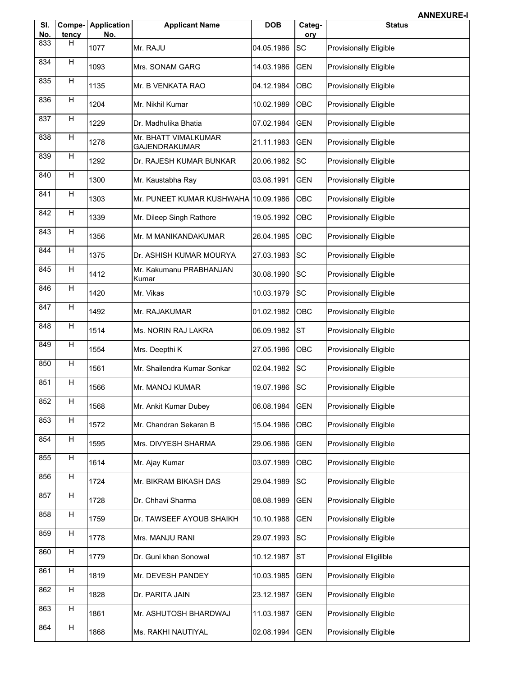| SI.<br>No. | Compe-<br>tency | <b>Application</b><br>No. | <b>Applicant Name</b>                        | <b>DOB</b> | Categ-<br>ory | <b>Status</b>                 |
|------------|-----------------|---------------------------|----------------------------------------------|------------|---------------|-------------------------------|
| 833        | H               |                           |                                              |            |               |                               |
|            |                 | 1077                      | Mr. RAJU                                     | 04.05.1986 | <b>SC</b>     | <b>Provisionally Eligible</b> |
| 834        | H               | 1093                      | Mrs. SONAM GARG                              | 14.03.1986 | <b>GEN</b>    | <b>Provisionally Eligible</b> |
| 835        | H               | 1135                      | Mr. B VENKATA RAO                            | 04.12.1984 | OBC           | <b>Provisionally Eligible</b> |
| 836        | H               | 1204                      | Mr. Nikhil Kumar                             | 10.02.1989 | OBC           | <b>Provisionally Eligible</b> |
| 837        | H               | 1229                      | Dr. Madhulika Bhatia                         | 07.02.1984 | <b>GEN</b>    | <b>Provisionally Eligible</b> |
| 838        | H               | 1278                      | Mr. BHATT VIMALKUMAR<br><b>GAJENDRAKUMAR</b> | 21.11.1983 | <b>GEN</b>    | <b>Provisionally Eligible</b> |
| 839        | H               | 1292                      | Dr. RAJESH KUMAR BUNKAR                      | 20.06.1982 | <b>SC</b>     | <b>Provisionally Eligible</b> |
| 840        | H               | 1300                      | Mr. Kaustabha Ray                            | 03.08.1991 | <b>GEN</b>    | <b>Provisionally Eligible</b> |
| 841        | $\overline{H}$  | 1303                      | Mr. PUNEET KUMAR KUSHWAHA 10.09.1986         |            | OBC           | <b>Provisionally Eligible</b> |
| 842        | H               | 1339                      | Mr. Dileep Singh Rathore                     | 19.05.1992 | OBC           | <b>Provisionally Eligible</b> |
| 843        | $\overline{H}$  | 1356                      | Mr. M MANIKANDAKUMAR                         | 26.04.1985 | OBC           | <b>Provisionally Eligible</b> |
| 844        | $\overline{H}$  | 1375                      | Dr. ASHISH KUMAR MOURYA                      | 27.03.1983 | <b>SC</b>     | <b>Provisionally Eligible</b> |
| 845        | H               | 1412                      | Mr. Kakumanu PRABHANJAN<br>Kumar             | 30.08.1990 | <b>SC</b>     | <b>Provisionally Eligible</b> |
| 846        | H               | 1420                      | Mr. Vikas                                    | 10.03.1979 | <b>ISC</b>    | <b>Provisionally Eligible</b> |
| 847        | H               | 1492                      | Mr. RAJAKUMAR                                | 01.02.1982 | OBC           | <b>Provisionally Eligible</b> |
| 848        | H               | 1514                      | Ms. NORIN RAJ LAKRA                          | 06.09.1982 | <b>IST</b>    | <b>Provisionally Eligible</b> |
| 849        | H               | 1554                      | Mrs. Deepthi K                               | 27.05.1986 | OBC           | <b>Provisionally Eligible</b> |
| 850        | H               | 1561                      | Mr. Shailendra Kumar Sonkar                  | 02.04.1982 | <b>SC</b>     | <b>Provisionally Eligible</b> |
| 851        | H               | 1566                      | Mr. MANOJ KUMAR                              | 19.07.1986 | <b>ISC</b>    | <b>Provisionally Eligible</b> |
| 852        | H               | 1568                      | Mr. Ankit Kumar Dubey                        | 06.08.1984 | <b>GEN</b>    | <b>Provisionally Eligible</b> |
| 853        | $\overline{H}$  | 1572                      | Mr. Chandran Sekaran B                       | 15.04.1986 | OBC           | <b>Provisionally Eligible</b> |
| 854        | H               | 1595                      | Mrs. DIVYESH SHARMA                          | 29.06.1986 | <b>GEN</b>    | <b>Provisionally Eligible</b> |
| 855        | H               | 1614                      | Mr. Ajay Kumar                               | 03.07.1989 | OBC           | <b>Provisionally Eligible</b> |
| 856        | H               | 1724                      | Mr. BIKRAM BIKASH DAS                        | 29.04.1989 | <b>SC</b>     | <b>Provisionally Eligible</b> |
| 857        | H               | 1728                      | Dr. Chhavi Sharma                            | 08.08.1989 | <b>GEN</b>    | <b>Provisionally Eligible</b> |
| 858        | H               | 1759                      | Dr. TAWSEEF AYOUB SHAIKH                     | 10.10.1988 | <b>GEN</b>    | <b>Provisionally Eligible</b> |
| 859        | $\overline{H}$  | 1778                      | Mrs. MANJU RANI                              | 29.07.1993 | <b>ISC</b>    | <b>Provisionally Eligible</b> |
| 860        | $\overline{H}$  | 1779                      | Dr. Guni khan Sonowal                        | 10.12.1987 | <b>ST</b>     | <b>Provisional Eligilible</b> |
| 861        | H               | 1819                      | Mr. DEVESH PANDEY                            | 10.03.1985 | <b>GEN</b>    | <b>Provisionally Eligible</b> |
| 862        | H               | 1828                      | Dr. PARITA JAIN                              | 23.12.1987 | <b>GEN</b>    | <b>Provisionally Eligible</b> |
| 863        | H               | 1861                      | Mr. ASHUTOSH BHARDWAJ                        | 11.03.1987 | <b>GEN</b>    | <b>Provisionally Eligible</b> |
| 864        | Н               | 1868                      | Ms. RAKHI NAUTIYAL                           | 02.08.1994 | <b>GEN</b>    | <b>Provisionally Eligible</b> |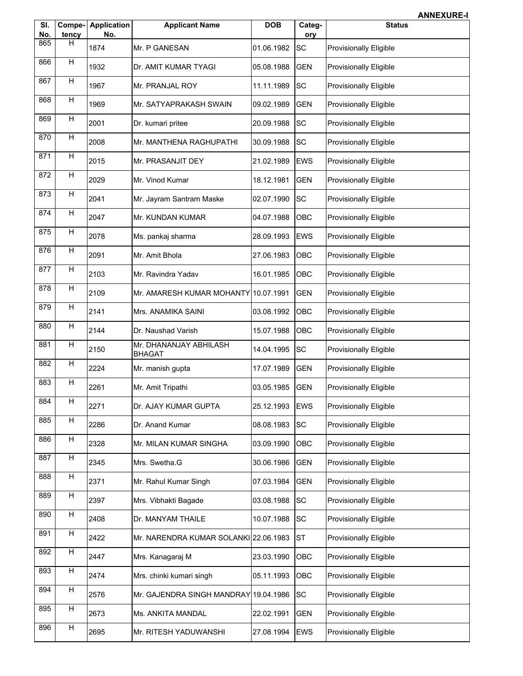|            |                 |                           |                                         |            |               | <b>ANNEXURE-I</b>             |
|------------|-----------------|---------------------------|-----------------------------------------|------------|---------------|-------------------------------|
| SI.<br>No. | Compe-<br>tency | <b>Application</b><br>No. | <b>Applicant Name</b>                   | <b>DOB</b> | Categ-<br>ory | <b>Status</b>                 |
| 865        | H               | 1874                      | Mr. P GANESAN                           | 01.06.1982 | <b>SC</b>     | <b>Provisionally Eligible</b> |
| 866        | H               | 1932                      | Dr. AMIT KUMAR TYAGI                    | 05.08.1988 | <b>GEN</b>    | Provisionally Eligible        |
| 867        | H               | 1967                      | Mr. PRANJAL ROY                         | 11.11.1989 | <b>SC</b>     | Provisionally Eligible        |
| 868        | H               | 1969                      | Mr. SATYAPRAKASH SWAIN                  | 09.02.1989 | <b>GEN</b>    | Provisionally Eligible        |
| 869        | H               | 2001                      | Dr. kumari pritee                       | 20.09.1988 | <b>SC</b>     | Provisionally Eligible        |
| 870        | H               | 2008                      | Mr. MANTHENA RAGHUPATHI                 | 30.09.1988 | <b>SC</b>     | <b>Provisionally Eligible</b> |
| 871        | H               | 2015                      | Mr. PRASANJIT DEY                       | 21.02.1989 | <b>EWS</b>    | Provisionally Eligible        |
| 872        | H               | 2029                      | Mr. Vinod Kumar                         | 18.12.1981 | <b>GEN</b>    | Provisionally Eligible        |
| 873        | H               | 2041                      | Mr. Jayram Santram Maske                | 02.07.1990 | <b>SC</b>     | Provisionally Eligible        |
| 874        | H               | 2047                      | Mr. KUNDAN KUMAR                        | 04.07.1988 | OBC           | Provisionally Eligible        |
| 875        | H               | 2078                      | Ms. pankaj sharma                       | 28.09.1993 | <b>EWS</b>    | Provisionally Eligible        |
| 876        | Н               | 2091                      | Mr. Amit Bhola                          | 27.06.1983 | OBC           | <b>Provisionally Eligible</b> |
| 877        | $\overline{H}$  | 2103                      | Mr. Ravindra Yadav                      | 16.01.1985 | OBC           | <b>Provisionally Eligible</b> |
| 878        | H               | 2109                      | Mr. AMARESH KUMAR MOHANTY 10.07.1991    |            | <b>GEN</b>    | <b>Provisionally Eligible</b> |
| 879        | H               | 2141                      | Mrs. ANAMIKA SAINI                      | 03.08.1992 | OBC           | Provisionally Eligible        |
| 880        | H               | 2144                      | Dr. Naushad Varish                      | 15.07.1988 | OBC           | <b>Provisionally Eligible</b> |
| 881        | Н               | 2150                      | Mr. DHANANJAY ABHILASH<br><b>BHAGAT</b> | 14.04.1995 | <b>SC</b>     | <b>Provisionally Eligible</b> |
| 882        | Н               | 2224                      | Mr. manish gupta                        | 17.07.1989 | <b>GEN</b>    | <b>Provisionally Eligible</b> |
| 883        | $\overline{H}$  | 2261                      | Mr. Amit Tripathi                       | 03.05.1985 | <b>GEN</b>    | <b>Provisionally Eligible</b> |
| 884        | H               | 2271                      | Dr. AJAY KUMAR GUPTA                    | 25.12.1993 | <b>EWS</b>    | Provisionally Eligible        |
| 885        | Н               | 2286                      | Dr. Anand Kumar                         | 08.08.1983 | <b>SC</b>     | Provisionally Eligible        |
| 886        | H               | 2328                      | Mr. MILAN KUMAR SINGHA                  | 03.09.1990 | OBC           | Provisionally Eligible        |
| 887        | H               | 2345                      | Mrs. Swetha.G                           | 30.06.1986 | <b>GEN</b>    | Provisionally Eligible        |
| 888        | H               | 2371                      | Mr. Rahul Kumar Singh                   | 07.03.1984 | <b>GEN</b>    | <b>Provisionally Eligible</b> |
| 889        | H               | 2397                      | Mrs. Vibhakti Bagade                    | 03.08.1988 | <b>SC</b>     | Provisionally Eligible        |
| 890        | H               | 2408                      | Dr. MANYAM THAILE                       | 10.07.1988 | <b>SC</b>     | Provisionally Eligible        |
| 891        | H               | 2422                      | Mr. NARENDRA KUMAR SOLANKI 22.06.1983   |            | <b>ST</b>     | Provisionally Eligible        |
| 892        | Н               | 2447                      | Mrs. Kanagaraj M                        | 23.03.1990 | OBC           | Provisionally Eligible        |
| 893        | H               | 2474                      | Mrs. chinki kumari singh                | 05.11.1993 | OBC           | Provisionally Eligible        |
| 894        | H               | 2576                      | Mr. GAJENDRA SINGH MANDRAY 19.04.1986   |            | <b>SC</b>     | Provisionally Eligible        |
| 895        | H               | 2673                      | Ms. ANKITA MANDAL                       | 22.02.1991 | <b>GEN</b>    | Provisionally Eligible        |
| 896        | H               | 2695                      | Mr. RITESH YADUWANSHI                   | 27.08.1994 | <b>EWS</b>    | Provisionally Eligible        |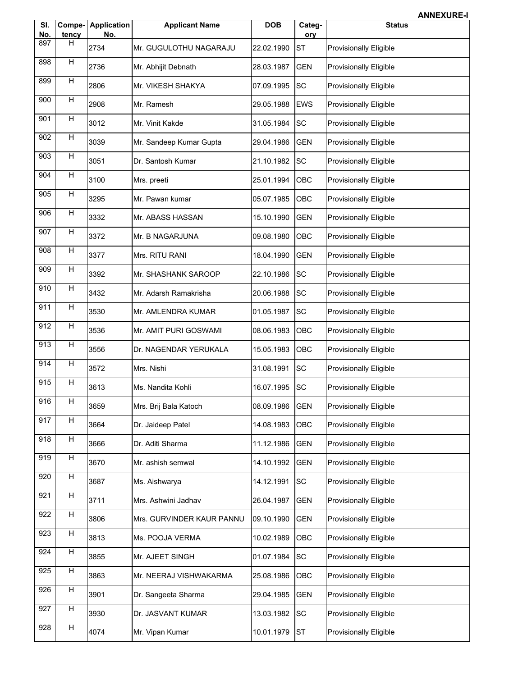|            |                 |                           |                           |            |               | <b>ANNEXURE-I</b>             |
|------------|-----------------|---------------------------|---------------------------|------------|---------------|-------------------------------|
| SI.<br>No. | Compe-<br>tency | <b>Application</b><br>No. | <b>Applicant Name</b>     | <b>DOB</b> | Categ-<br>ory | <b>Status</b>                 |
| 897        | н               | 2734                      | Mr. GUGULOTHU NAGARAJU    | 22.02.1990 | <b>ST</b>     | <b>Provisionally Eligible</b> |
| 898        | H               | 2736                      | Mr. Abhijit Debnath       | 28.03.1987 | <b>GEN</b>    | <b>Provisionally Eligible</b> |
| 899        | H               | 2806                      | Mr. VIKESH SHAKYA         | 07.09.1995 | <b>SC</b>     | <b>Provisionally Eligible</b> |
| 900        | H               | 2908                      | Mr. Ramesh                | 29.05.1988 | <b>EWS</b>    | Provisionally Eligible        |
| 901        | H               | 3012                      | Mr. Vinit Kakde           | 31.05.1984 | <b>SC</b>     | <b>Provisionally Eligible</b> |
| 902        | H               | 3039                      | Mr. Sandeep Kumar Gupta   | 29.04.1986 | <b>GEN</b>    | <b>Provisionally Eligible</b> |
| 903        | H               | 3051                      | Dr. Santosh Kumar         | 21.10.1982 | <b>SC</b>     | <b>Provisionally Eligible</b> |
| 904        | H               | 3100                      | Mrs. preeti               | 25.01.1994 | OBC           | <b>Provisionally Eligible</b> |
| 905        | Н               | 3295                      | Mr. Pawan kumar           | 05.07.1985 | OBC           | Provisionally Eligible        |
| 906        | H               | 3332                      | Mr. ABASS HASSAN          | 15.10.1990 | <b>GEN</b>    | Provisionally Eligible        |
| 907        | H               | 3372                      | Mr. B NAGARJUNA           | 09.08.1980 | OBC           | Provisionally Eligible        |
| 908        | $\overline{H}$  | 3377                      | Mrs. RITU RANI            | 18.04.1990 | <b>GEN</b>    | Provisionally Eligible        |
| 909        | H               | 3392                      | Mr. SHASHANK SAROOP       | 22.10.1986 | <b>SC</b>     | <b>Provisionally Eligible</b> |
| 910        | H               | 3432                      | Mr. Adarsh Ramakrisha     | 20.06.1988 | <b>SC</b>     | <b>Provisionally Eligible</b> |
| 911        | H               | 3530                      | Mr. AMLENDRA KUMAR        | 01.05.1987 | <b>SC</b>     | Provisionally Eligible        |
| 912        | H               | 3536                      | Mr. AMIT PURI GOSWAMI     | 08.06.1983 | OBC           | <b>Provisionally Eligible</b> |
| 913        | H               | 3556                      | Dr. NAGENDAR YERUKALA     | 15.05.1983 | OBC           | <b>Provisionally Eligible</b> |
| 914        | H               | 3572                      | Mrs. Nishi                | 31.08.1991 | <b>SC</b>     | Provisionally Eligible        |
| 915        | H               | 3613                      | Ms. Nandita Kohli         | 16.07.1995 | <b>SC</b>     | <b>Provisionally Eligible</b> |
| 916        | Н               | 3659                      | Mrs. Brij Bala Katoch     | 08.09.1986 | <b>GEN</b>    | Provisionally Eligible        |
| 917        | H               | 3664                      | Dr. Jaideep Patel         | 14.08.1983 | OBC           | <b>Provisionally Eligible</b> |
| 918        | H               | 3666                      | Dr. Aditi Sharma          | 11.12.1986 | <b>GEN</b>    | Provisionally Eligible        |
| 919        | H               | 3670                      | Mr. ashish semwal         | 14.10.1992 | <b>GEN</b>    | Provisionally Eligible        |
| 920        | H               | 3687                      | Ms. Aishwarya             | 14.12.1991 | <b>SC</b>     | Provisionally Eligible        |
| 921        | H               | 3711                      | Mrs. Ashwini Jadhav       | 26.04.1987 | <b>GEN</b>    | <b>Provisionally Eligible</b> |
| 922        | H               | 3806                      | Mrs. GURVINDER KAUR PANNU | 09.10.1990 | <b>GEN</b>    | Provisionally Eligible        |
| 923        | Н               | 3813                      | Ms. POOJA VERMA           | 10.02.1989 | OBC           | Provisionally Eligible        |
| 924        | $\overline{H}$  | 3855                      | Mr. AJEET SINGH           | 01.07.1984 | <b>SC</b>     | <b>Provisionally Eligible</b> |
| 925        | H               | 3863                      | Mr. NEERAJ VISHWAKARMA    | 25.08.1986 | OBC           | Provisionally Eligible        |
| 926        | H               | 3901                      | Dr. Sangeeta Sharma       | 29.04.1985 | <b>GEN</b>    | <b>Provisionally Eligible</b> |
| 927        | H               | 3930                      | Dr. JASVANT KUMAR         | 13.03.1982 | <b>SC</b>     | Provisionally Eligible        |
| 928        | H               | 4074                      | Mr. Vipan Kumar           | 10.01.1979 | <b>ST</b>     | Provisionally Eligible        |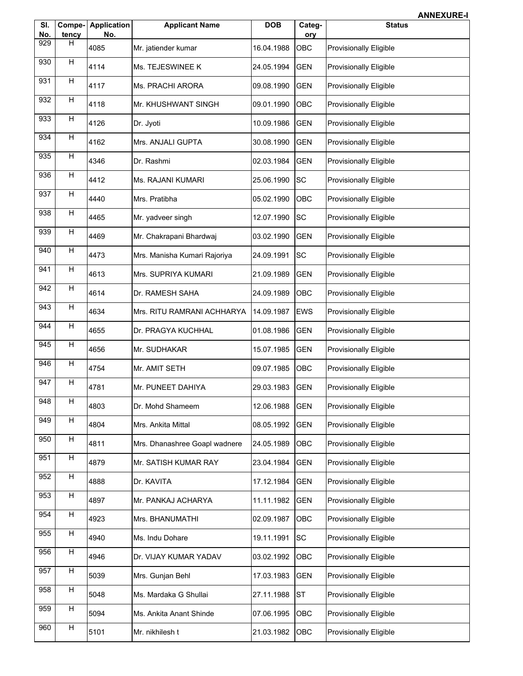|                  |                 |                           |                               |            |               | <b>ANNEXURE-I</b>             |
|------------------|-----------------|---------------------------|-------------------------------|------------|---------------|-------------------------------|
| SI.<br>No.       | Compe-<br>tency | <b>Application</b><br>No. | <b>Applicant Name</b>         | <b>DOB</b> | Categ-<br>ory | <b>Status</b>                 |
| 929              | H               | 4085                      | Mr. jatiender kumar           | 16.04.1988 | OBC           | Provisionally Eligible        |
| 930              | H               | 4114                      | Ms. TEJESWINEE K              | 24.05.1994 | <b>GEN</b>    | Provisionally Eligible        |
| 931              | H               | 4117                      | Ms. PRACHI ARORA              | 09.08.1990 | <b>GEN</b>    | Provisionally Eligible        |
| 932              | H               | 4118                      | Mr. KHUSHWANT SINGH           | 09.01.1990 | OBC           | Provisionally Eligible        |
| 933              | H               | 4126                      | Dr. Jyoti                     | 10.09.1986 | <b>GEN</b>    | Provisionally Eligible        |
| 934              | H               | 4162                      | Mrs. ANJALI GUPTA             | 30.08.1990 | <b>GEN</b>    | Provisionally Eligible        |
| 935              | H               | 4346                      | Dr. Rashmi                    | 02.03.1984 | <b>GEN</b>    | Provisionally Eligible        |
| 936              | H               | 4412                      | Ms. RAJANI KUMARI             | 25.06.1990 | <b>SC</b>     | Provisionally Eligible        |
| 937              | H               | 4440                      | Mrs. Pratibha                 | 05.02.1990 | OBC           | Provisionally Eligible        |
| 938              | H               | 4465                      | Mr. yadveer singh             | 12.07.1990 | <b>SC</b>     | Provisionally Eligible        |
| 939              | H               | 4469                      | Mr. Chakrapani Bhardwaj       | 03.02.1990 | <b>GEN</b>    | Provisionally Eligible        |
| 940              | H               | 4473                      | Mrs. Manisha Kumari Rajoriya  | 24.09.1991 | <b>SC</b>     | <b>Provisionally Eligible</b> |
| 941              | $\overline{H}$  | 4613                      | Mrs. SUPRIYA KUMARI           | 21.09.1989 | <b>GEN</b>    | Provisionally Eligible        |
| 942              | H               | 4614                      | Dr. RAMESH SAHA               | 24.09.1989 | OBC           | Provisionally Eligible        |
| 943              | H               | 4634                      | Mrs. RITU RAMRANI ACHHARYA    | 14.09.1987 | <b>EWS</b>    | Provisionally Eligible        |
| 944              | H               | 4655                      | Dr. PRAGYA KUCHHAL            | 01.08.1986 | <b>GEN</b>    | Provisionally Eligible        |
| 945              | H               | 4656                      | Mr. SUDHAKAR                  | 15.07.1985 | <b>GEN</b>    | Provisionally Eligible        |
| 946              | H               | 4754                      | Mr. AMIT SETH                 | 09.07.1985 | OBC           | Provisionally Eligible        |
| 947              | $\overline{H}$  | 4781                      | Mr. PUNEET DAHIYA             | 29.03.1983 | <b>GEN</b>    | Provisionally Eligible        |
| 948              | H               | 4803                      | Dr. Mohd Shameem              | 12.06.1988 | <b>GEN</b>    | Provisionally Eligible        |
| 949              | H               | 4804                      | Mrs. Ankita Mittal            | 08.05.1992 | <b>GEN</b>    | Provisionally Eligible        |
| 950              | H               | 4811                      | Mrs. Dhanashree Goapl wadnere | 24.05.1989 | OBC           | Provisionally Eligible        |
| 951              | H               | 4879                      | Mr. SATISH KUMAR RAY          | 23.04.1984 | <b>GEN</b>    | Provisionally Eligible        |
| 952              | H               | 4888                      | Dr. KAVITA                    | 17.12.1984 | <b>GEN</b>    | Provisionally Eligible        |
| 953              | H               | 4897                      | Mr. PANKAJ ACHARYA            | 11.11.1982 | <b>GEN</b>    | Provisionally Eligible        |
| 954              | H               | 4923                      | Mrs. BHANUMATHI               | 02.09.1987 | OBC           | Provisionally Eligible        |
| 955              | H               | 4940                      | Ms. Indu Dohare               | 19.11.1991 | <b>SC</b>     | Provisionally Eligible        |
| 956              | H               | 4946                      | Dr. VIJAY KUMAR YADAV         | 03.02.1992 | OBC           | Provisionally Eligible        |
| $\overline{957}$ | $\overline{H}$  | 5039                      | Mrs. Gunjan Behl              | 17.03.1983 | <b>GEN</b>    | Provisionally Eligible        |
| 958              | H               | 5048                      | Ms. Mardaka G Shullai         | 27.11.1988 | <b>ST</b>     | Provisionally Eligible        |
| 959              | H               | 5094                      | Ms. Ankita Anant Shinde       | 07.06.1995 | OBC           | Provisionally Eligible        |
| 960              | H               | 5101                      | Mr. nikhilesh t               | 21.03.1982 | OBC           | Provisionally Eligible        |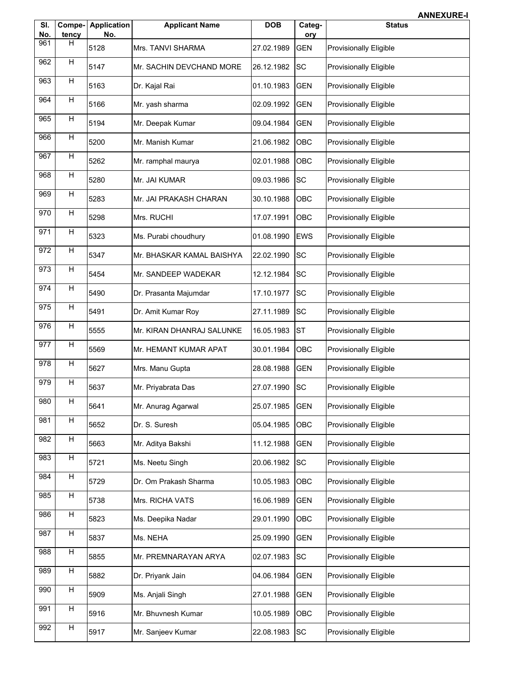|            |                 |                           |                           |            |               | <b>ANNEXURE-I</b>             |
|------------|-----------------|---------------------------|---------------------------|------------|---------------|-------------------------------|
| SI.<br>No. | Compe-<br>tency | <b>Application</b><br>No. | <b>Applicant Name</b>     | <b>DOB</b> | Categ-<br>ory | <b>Status</b>                 |
| 961        | H               | 5128                      | Mrs. TANVI SHARMA         | 27.02.1989 | <b>GEN</b>    | <b>Provisionally Eligible</b> |
| 962        | H               | 5147                      | Mr. SACHIN DEVCHAND MORE  | 26.12.1982 | <b>SC</b>     | <b>Provisionally Eligible</b> |
| 963        | H               | 5163                      | Dr. Kajal Rai             | 01.10.1983 | <b>GEN</b>    | Provisionally Eligible        |
| 964        | H               | 5166                      | Mr. yash sharma           | 02.09.1992 | <b>GEN</b>    | <b>Provisionally Eligible</b> |
| 965        | H               | 5194                      | Mr. Deepak Kumar          | 09.04.1984 | <b>GEN</b>    | Provisionally Eligible        |
| 966        | H               | 5200                      | Mr. Manish Kumar          | 21.06.1982 | OBC           | Provisionally Eligible        |
| 967        | H               | 5262                      | Mr. ramphal maurya        | 02.01.1988 | OBC           | <b>Provisionally Eligible</b> |
| 968        | H               | 5280                      | Mr. JAI KUMAR             | 09.03.1986 | <b>SC</b>     | Provisionally Eligible        |
| 969        | H               | 5283                      | Mr. JAI PRAKASH CHARAN    | 30.10.1988 | OBC           | Provisionally Eligible        |
| 970        | H               | 5298                      | Mrs. RUCHI                | 17.07.1991 | OBC           | Provisionally Eligible        |
| 971        | H               | 5323                      | Ms. Purabi choudhury      | 01.08.1990 | <b>EWS</b>    | <b>Provisionally Eligible</b> |
| 972        | H               | 5347                      | Mr. BHASKAR KAMAL BAISHYA | 22.02.1990 | <b>SC</b>     | <b>Provisionally Eligible</b> |
| 973        | H               | 5454                      | Mr. SANDEEP WADEKAR       | 12.12.1984 | <b>SC</b>     | <b>Provisionally Eligible</b> |
| 974        | H               | 5490                      | Dr. Prasanta Majumdar     | 17.10.1977 | <b>SC</b>     | <b>Provisionally Eligible</b> |
| 975        | H               | 5491                      | Dr. Amit Kumar Roy        | 27.11.1989 | <b>SC</b>     | Provisionally Eligible        |
| 976        | H               | 5555                      | Mr. KIRAN DHANRAJ SALUNKE | 16.05.1983 | <b>ST</b>     | Provisionally Eligible        |
| 977        | H               | 5569                      | Mr. HEMANT KUMAR APAT     | 30.01.1984 | OBC           | Provisionally Eligible        |
| 978        | H               | 5627                      | Mrs. Manu Gupta           | 28.08.1988 | <b>GEN</b>    | Provisionally Eligible        |
| 979        | $\overline{H}$  | 5637                      | Mr. Priyabrata Das        | 27.07.1990 | <b>SC</b>     | <b>Provisionally Eligible</b> |
| 980        | H               | 5641                      | Mr. Anurag Agarwal        | 25.07.1985 | <b>GEN</b>    | <b>Provisionally Eligible</b> |
| 981        | H               | 5652                      | Dr. S. Suresh             | 05.04.1985 | OBC           | Provisionally Eligible        |
| 982        | H               | 5663                      | Mr. Aditya Bakshi         | 11.12.1988 | <b>GEN</b>    | Provisionally Eligible        |
| 983        | H               | 5721                      | Ms. Neetu Singh           | 20.06.1982 | <b>SC</b>     | <b>Provisionally Eligible</b> |
| 984        | H               | 5729                      | Dr. Om Prakash Sharma     | 10.05.1983 | OBC           | Provisionally Eligible        |
| 985        | H               | 5738                      | Mrs. RICHA VATS           | 16.06.1989 | <b>GEN</b>    | Provisionally Eligible        |
| 986        | H               | 5823                      | Ms. Deepika Nadar         | 29.01.1990 | OBC           | <b>Provisionally Eligible</b> |
| 987        | H               | 5837                      | Ms. NEHA                  | 25.09.1990 | <b>GEN</b>    | Provisionally Eligible        |
| 988        | H               | 5855                      | Mr. PREMNARAYAN ARYA      | 02.07.1983 | <b>SC</b>     | Provisionally Eligible        |
| 989        | H               | 5882                      | Dr. Priyank Jain          | 04.06.1984 | <b>GEN</b>    | Provisionally Eligible        |
| 990        | H               | 5909                      | Ms. Anjali Singh          | 27.01.1988 | <b>GEN</b>    | <b>Provisionally Eligible</b> |
| 991        | H               | 5916                      | Mr. Bhuvnesh Kumar        | 10.05.1989 | OBC           | Provisionally Eligible        |
| 992        | H               | 5917                      | Mr. Sanjeev Kumar         | 22.08.1983 | <b>SC</b>     | Provisionally Eligible        |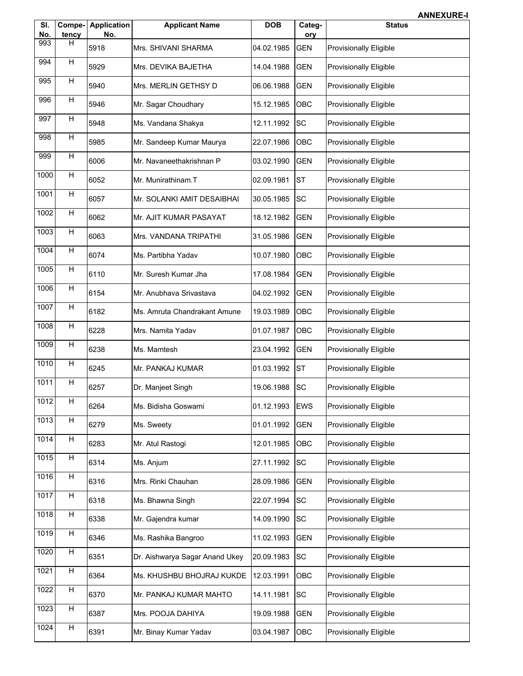|            |                 |                           |                                |            |               | <b>ANNEXURE-I</b>             |
|------------|-----------------|---------------------------|--------------------------------|------------|---------------|-------------------------------|
| SI.<br>No. | Compe-<br>tency | <b>Application</b><br>No. | <b>Applicant Name</b>          | <b>DOB</b> | Categ-<br>ory | <b>Status</b>                 |
| 993        | H               | 5918                      | Mrs. SHIVANI SHARMA            | 04.02.1985 | <b>GEN</b>    | <b>Provisionally Eligible</b> |
| 994        | Н               | 5929                      | Mrs. DEVIKA BAJETHA            | 14.04.1988 | <b>GEN</b>    | Provisionally Eligible        |
| 995        | Н               | 5940                      | Mrs. MERLIN GETHSY D           | 06.06.1988 | <b>GEN</b>    | <b>Provisionally Eligible</b> |
| 996        | H               | 5946                      | Mr. Sagar Choudhary            | 15.12.1985 | OBC           | <b>Provisionally Eligible</b> |
| 997        | н               | 5948                      | Ms. Vandana Shakya             | 12.11.1992 | <b>SC</b>     | <b>Provisionally Eligible</b> |
| 998        | Н               | 5985                      | Mr. Sandeep Kumar Maurya       | 22.07.1986 | OBC           | <b>Provisionally Eligible</b> |
| 999        | H               | 6006                      | Mr. Navaneethakrishnan P       | 03.02.1990 | <b>GEN</b>    | <b>Provisionally Eligible</b> |
| 1000       | H               | 6052                      | Mr. Munirathinam.T             | 02.09.1981 | <b>ST</b>     | Provisionally Eligible        |
| 1001       | H               | 6057                      | Mr. SOLANKI AMIT DESAIBHAI     | 30.05.1985 | <b>SC</b>     | <b>Provisionally Eligible</b> |
| 1002       | H               | 6062                      | Mr. AJIT KUMAR PASAYAT         | 18.12.1982 | <b>GEN</b>    | Provisionally Eligible        |
| 1003       | H               | 6063                      | Mrs. VANDANA TRIPATHI          | 31.05.1986 | <b>GEN</b>    | <b>Provisionally Eligible</b> |
| 1004       | н               | 6074                      | Ms. Partibha Yadav             | 10.07.1980 | OBC           | Provisionally Eligible        |
| 1005       | H               | 6110                      | Mr. Suresh Kumar Jha           | 17.08.1984 | <b>GEN</b>    | Provisionally Eligible        |
| 1006       | H               | 6154                      | Mr. Anubhava Srivastava        | 04.02.1992 | <b>GEN</b>    | Provisionally Eligible        |
| 1007       | H               | 6182                      | Ms. Amruta Chandrakant Amune   | 19.03.1989 | OBC           | <b>Provisionally Eligible</b> |
| 1008       | H               | 6228                      | Mrs. Namita Yadav              | 01.07.1987 | OBC           | Provisionally Eligible        |
| 1009       | H               | 6238                      | Ms. Mamtesh                    | 23.04.1992 | <b>GEN</b>    | Provisionally Eligible        |
| 1010       | Н               | 6245                      | Mr. PANKAJ KUMAR               | 01.03.1992 | <b>ST</b>     | Provisionally Eligible        |
| 1011       | $\overline{H}$  | 6257                      | Dr. Manjeet Singh              | 19.06.1988 | <b>SC</b>     | <b>Provisionally Eligible</b> |
| 1012       | Н               | 6264                      | Ms. Bidisha Goswami            | 01.12.1993 | <b>EWS</b>    | Provisionally Eligible        |
| 1013       | H               | 6279                      | Ms. Sweety                     | 01.01.1992 | <b>GEN</b>    | Provisionally Eligible        |
| 1014       | н               | 6283                      | Mr. Atul Rastogi               | 12.01.1985 | OBC           | Provisionally Eligible        |
| 1015       | H               | 6314                      | Ms. Anjum                      | 27.11.1992 | SC            | Provisionally Eligible        |
| 1016       | Н               | 6316                      | Mrs. Rinki Chauhan             | 28.09.1986 | <b>GEN</b>    | Provisionally Eligible        |
| 1017       | Н               | 6318                      | Ms. Bhawna Singh               | 22.07.1994 | <b>SC</b>     | <b>Provisionally Eligible</b> |
| 1018       | H               | 6338                      | Mr. Gajendra kumar             | 14.09.1990 | SC            | <b>Provisionally Eligible</b> |
| 1019       | H               | 6346                      | Ms. Rashika Bangroo            | 11.02.1993 | <b>GEN</b>    | Provisionally Eligible        |
| 1020       | Н               | 6351                      | Dr. Aishwarya Sagar Anand Ukey | 20.09.1983 | <b>SC</b>     | <b>Provisionally Eligible</b> |
| 1021       | H               | 6364                      | Ms. KHUSHBU BHOJRAJ KUKDE      | 12.03.1991 | OBC           | Provisionally Eligible        |
| 1022       | H               | 6370                      | Mr. PANKAJ KUMAR MAHTO         | 14.11.1981 | <b>SC</b>     | <b>Provisionally Eligible</b> |
| 1023       | Н               | 6387                      | Mrs. POOJA DAHIYA              | 19.09.1988 | <b>GEN</b>    | <b>Provisionally Eligible</b> |
| 1024       | н               | 6391                      | Mr. Binay Kumar Yadav          | 03.04.1987 | OBC           | <b>Provisionally Eligible</b> |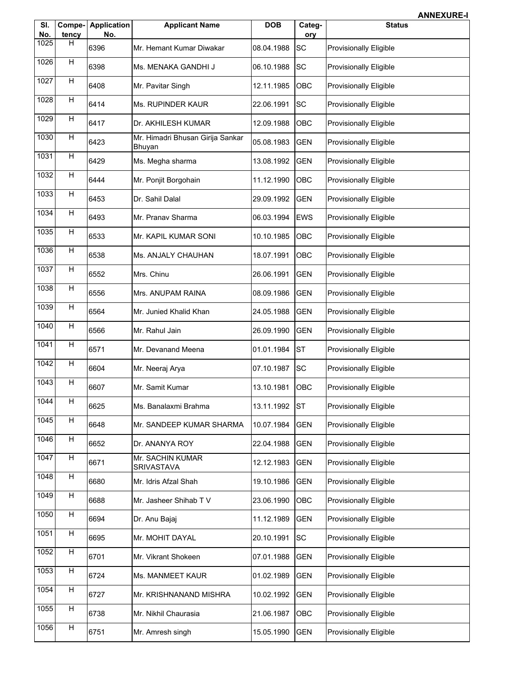|            |                 |                           |                                            |            |               | <b>ANNEXURE-I</b>             |
|------------|-----------------|---------------------------|--------------------------------------------|------------|---------------|-------------------------------|
| SI.<br>No. | Compe-<br>tency | <b>Application</b><br>No. | <b>Applicant Name</b>                      | <b>DOB</b> | Categ-<br>ory | <b>Status</b>                 |
| 1025       | н               | 6396                      | Mr. Hemant Kumar Diwakar                   | 08.04.1988 | <b>SC</b>     | <b>Provisionally Eligible</b> |
| 1026       | H               | 6398                      | Ms. MENAKA GANDHI J                        | 06.10.1988 | <b>SC</b>     | <b>Provisionally Eligible</b> |
| 1027       | H               | 6408                      | Mr. Pavitar Singh                          | 12.11.1985 | OBC           | <b>Provisionally Eligible</b> |
| 1028       | H               | 6414                      | Ms. RUPINDER KAUR                          | 22.06.1991 | <b>SC</b>     | Provisionally Eligible        |
| 1029       | H               | 6417                      | Dr. AKHILESH KUMAR                         | 12.09.1988 | OBC           | <b>Provisionally Eligible</b> |
| 1030       | H               | 6423                      | Mr. Himadri Bhusan Girija Sankar<br>Bhuyan | 05.08.1983 | <b>GEN</b>    | Provisionally Eligible        |
| 1031       | H               | 6429                      | Ms. Megha sharma                           | 13.08.1992 | <b>GEN</b>    | Provisionally Eligible        |
| 1032       | H               | 6444                      | Mr. Ponjit Borgohain                       | 11.12.1990 | OBC           | Provisionally Eligible        |
| 1033       | H               | 6453                      | Dr. Sahil Dalal                            | 29.09.1992 | <b>GEN</b>    | Provisionally Eligible        |
| 1034       | H               | 6493                      | Mr. Pranav Sharma                          | 06.03.1994 | <b>EWS</b>    | Provisionally Eligible        |
| 1035       | H               | 6533                      | Mr. KAPIL KUMAR SONI                       | 10.10.1985 | OBC           | Provisionally Eligible        |
| 1036       | H               | 6538                      | Ms. ANJALY CHAUHAN                         | 18.07.1991 | OBC           | Provisionally Eligible        |
| 1037       | H               | 6552                      | Mrs. Chinu                                 | 26.06.1991 | <b>GEN</b>    | <b>Provisionally Eligible</b> |
| 1038       | H               | 6556                      | Mrs. ANUPAM RAINA                          | 08.09.1986 | <b>GEN</b>    | Provisionally Eligible        |
| 1039       | H               | 6564                      | Mr. Junied Khalid Khan                     | 24.05.1988 | <b>GEN</b>    | Provisionally Eligible        |
| 1040       | H               | 6566                      | Mr. Rahul Jain                             | 26.09.1990 | <b>GEN</b>    | Provisionally Eligible        |
| 1041       | H               | 6571                      | Mr. Devanand Meena                         | 01.01.1984 | <b>ST</b>     | <b>Provisionally Eligible</b> |
| 1042       | H               | 6604                      | Mr. Neeraj Arya                            | 07.10.1987 | <b>SC</b>     | Provisionally Eligible        |
| 1043       | H               | 6607                      | Mr. Samit Kumar                            | 13.10.1981 | OBC           | <b>Provisionally Eligible</b> |
| 1044       | Н               | 6625                      | Ms. Banalaxmi Brahma                       | 13.11.1992 | <b>ST</b>     | Provisionally Eligible        |
| 1045       | H               | 6648                      | Mr. SANDEEP KUMAR SHARMA                   | 10.07.1984 | <b>GEN</b>    | <b>Provisionally Eligible</b> |
| 1046       | H               | 6652                      | Dr. ANANYA ROY                             | 22.04.1988 | <b>GEN</b>    | <b>Provisionally Eligible</b> |
| 1047       | H               | 6671                      | Mr. SACHIN KUMAR<br>SRIVASTAVA             | 12.12.1983 | <b>GEN</b>    | <b>Provisionally Eligible</b> |
| 1048       | H               | 6680                      | Mr. Idris Afzal Shah                       | 19.10.1986 | <b>GEN</b>    | <b>Provisionally Eligible</b> |
| 1049       | H               | 6688                      | Mr. Jasheer Shihab TV                      | 23.06.1990 | OBC           | <b>Provisionally Eligible</b> |
| 1050       | H               | 6694                      | Dr. Anu Bajaj                              | 11.12.1989 | <b>GEN</b>    | Provisionally Eligible        |
| 1051       | H               | 6695                      | Mr. MOHIT DAYAL                            | 20.10.1991 | <b>SC</b>     | <b>Provisionally Eligible</b> |
| 1052       | $\overline{H}$  | 6701                      | Mr. Vikrant Shokeen                        | 07.01.1988 | <b>GEN</b>    | <b>Provisionally Eligible</b> |
| 1053       | H               | 6724                      | Ms. MANMEET KAUR                           | 01.02.1989 | <b>GEN</b>    | Provisionally Eligible        |
| 1054       | H               | 6727                      | Mr. KRISHNANAND MISHRA                     | 10.02.1992 | <b>GEN</b>    | <b>Provisionally Eligible</b> |
| 1055       | H               | 6738                      | Mr. Nikhil Chaurasia                       | 21.06.1987 | OBC           | Provisionally Eligible        |
| 1056       | H               | 6751                      | Mr. Amresh singh                           | 15.05.1990 | <b>GEN</b>    | Provisionally Eligible        |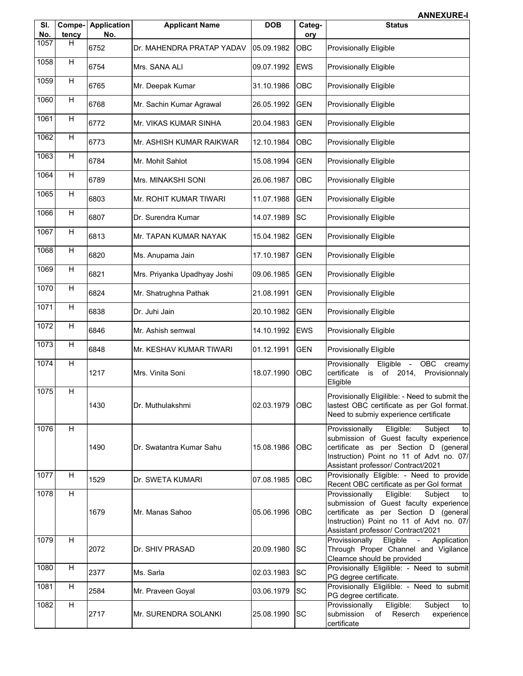|            |                 |                           |                              |            |               | <b>ANNEXURE-I</b>                                                                                                                                                                                                  |
|------------|-----------------|---------------------------|------------------------------|------------|---------------|--------------------------------------------------------------------------------------------------------------------------------------------------------------------------------------------------------------------|
| SI.<br>No. | Compe-<br>tency | <b>Application</b><br>No. | <b>Applicant Name</b>        | <b>DOB</b> | Categ-<br>ory | <b>Status</b>                                                                                                                                                                                                      |
| 1057       | H               | 6752                      | Dr. MAHENDRA PRATAP YADAV    | 05.09.1982 | OBC           | Provisionally Eligible                                                                                                                                                                                             |
| 1058       | H               | 6754                      | Mrs. SANA ALI                | 09.07.1992 | <b>EWS</b>    | <b>Provisionally Eligible</b>                                                                                                                                                                                      |
| 1059       | H               | 6765                      | Mr. Deepak Kumar             | 31.10.1986 | OBC           | Provisionally Eligible                                                                                                                                                                                             |
| 1060       | H               | 6768                      | Mr. Sachin Kumar Agrawal     | 26.05.1992 | <b>GEN</b>    | <b>Provisionally Eligible</b>                                                                                                                                                                                      |
| 1061       | H               | 6772                      | Mr. VIKAS KUMAR SINHA        | 20.04.1983 | <b>GEN</b>    | <b>Provisionally Eligible</b>                                                                                                                                                                                      |
| 1062       | H               | 6773                      | Mr. ASHISH KUMAR RAIKWAR     | 12.10.1984 | OBC           | Provisionally Eligible                                                                                                                                                                                             |
| 1063       | H               | 6784                      | Mr. Mohit Sahlot             | 15.08.1994 | <b>GEN</b>    | <b>Provisionally Eligible</b>                                                                                                                                                                                      |
| 1064       | H               | 6789                      | Mrs. MINAKSHI SONI           | 26.06.1987 | OBC           | <b>Provisionally Eligible</b>                                                                                                                                                                                      |
| 1065       | H               | 6803                      | Mr. ROHIT KUMAR TIWARI       | 11.07.1988 | <b>GEN</b>    | <b>Provisionally Eligible</b>                                                                                                                                                                                      |
| 1066       | H               | 6807                      | Dr. Surendra Kumar           | 14.07.1989 | <b>SC</b>     | <b>Provisionally Eligible</b>                                                                                                                                                                                      |
| 1067       | H               | 6813                      | Mr. TAPAN KUMAR NAYAK        | 15.04.1982 | <b>GEN</b>    | <b>Provisionally Eligible</b>                                                                                                                                                                                      |
| 1068       | H               | 6820                      | Ms. Anupama Jain             | 17.10.1987 | <b>GEN</b>    | <b>Provisionally Eligible</b>                                                                                                                                                                                      |
| 1069       | H               | 6821                      | Mrs. Priyanka Upadhyay Joshi | 09.06.1985 | <b>GEN</b>    | <b>Provisionally Eligible</b>                                                                                                                                                                                      |
| 1070       | H               | 6824                      | Mr. Shatrughna Pathak        | 21.08.1991 | <b>GEN</b>    | Provisionally Eligible                                                                                                                                                                                             |
| 1071       | H               | 6838                      | Dr. Juhi Jain                | 20.10.1982 | <b>GEN</b>    | <b>Provisionally Eligible</b>                                                                                                                                                                                      |
| 1072       | H               | 6846                      | Mr. Ashish semwal            | 14.10.1992 | <b>EWS</b>    | Provisionally Eligible                                                                                                                                                                                             |
| 1073       | H               | 6848                      | Mr. KESHAV KUMAR TIWARI      | 01.12.1991 | <b>GEN</b>    | Provisionally Eligible                                                                                                                                                                                             |
| 1074       | H               | 1217                      | Mrs. Vinita Soni             | 18.07.1990 | <b>OBC</b>    | Provisionally<br>Eligible<br>OBC<br>$\sim$<br>creamy<br>certificate<br>is<br>of<br>2014,<br>Provisionnaly<br>Eligible                                                                                              |
| 1075       | $\overline{H}$  | 1430                      | Dr. Muthulakshmi             | 02.03.1979 | <b>OBC</b>    | Provisionally Eligilible: - Need to submit the<br>lastest OBC certificate as per Gol format.<br>Need to submiy experience certificate                                                                              |
| 1076       | H               | 1490                      | Dr. Swatantra Kumar Sahu     | 15.08.1986 | OBC           | Provissionally<br>Eligible:<br>Subject<br>to<br>submission of Guest faculty experience<br>certificate as per Section D (general<br>Instruction) Point no 11 of Advt no. 07/<br>Assistant professor/ Contract/2021  |
| 1077       | H               | 1529                      | Dr. SWETA KUMARI             | 07.08.1985 | OBC           | Provisionally Eligible: - Need to provide<br>Recent OBC certificate as per Gol format                                                                                                                              |
| 1078       | H               | 1679                      | Mr. Manas Sahoo              | 05.06.1996 | OBC           | Provissionally<br>Eligible:<br>Subject<br>tol<br>submission of Guest faculty experience<br>certificate as per Section D (general<br>Instruction) Point no 11 of Advt no. 07/<br>Assistant professor/ Contract/2021 |
| 1079       | H               | 2072                      | Dr. SHIV PRASAD              | 20.09.1980 | SC            | Provissionally<br>Eligible<br>Application<br>$\sim$<br>Through Proper Channel and Vigilance<br>Clearnce should be provided                                                                                         |
| 1080       | H               | 2377                      | Ms. Sarla                    | 02.03.1983 | <b>SC</b>     | Provisionally Eligilible: - Need to submit<br>PG degree certificate.                                                                                                                                               |
| 1081       | H               | 2584                      | Mr. Praveen Goyal            | 03.06.1979 | <b>SC</b>     | Provisionally Eligilible: - Need to submit<br>PG degree certificate.                                                                                                                                               |
| 1082       | H               | 2717                      | Mr. SURENDRA SOLANKI         | 25.08.1990 | <b>SC</b>     | Provissionally<br>Eligible:<br>Subject<br>to<br>submission<br>Reserch<br>experience<br>of<br>certificate                                                                                                           |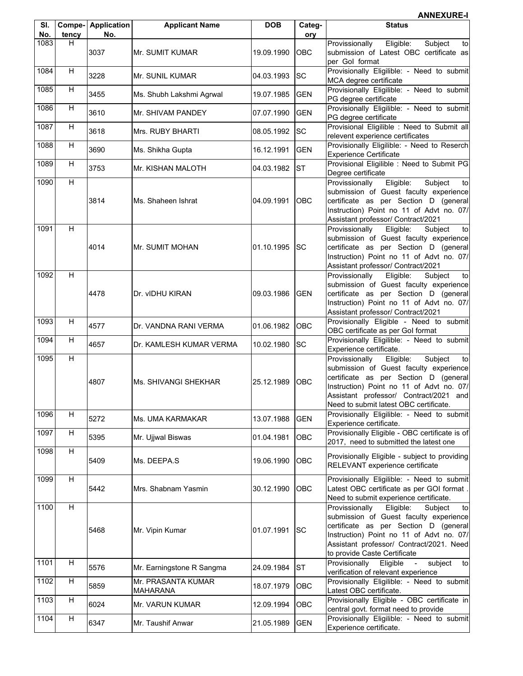| SI.         |             | <b>Compe-</b> Application<br>No. | <b>Applicant Name</b>                 | <b>DOB</b> | Categ-     | <b>Status</b>                                                                                                                                                                                                                                                   |
|-------------|-------------|----------------------------------|---------------------------------------|------------|------------|-----------------------------------------------------------------------------------------------------------------------------------------------------------------------------------------------------------------------------------------------------------------|
| No.<br>1083 | tency<br>H. |                                  |                                       |            | ory        | Provissionally<br>Eligible:<br>Subject<br>tol                                                                                                                                                                                                                   |
|             |             | 3037                             | Mr. SUMIT KUMAR                       | 19.09.1990 | <b>OBC</b> | submission of Latest OBC certificate as<br>per Gol format                                                                                                                                                                                                       |
| 1084        | H           | 3228                             | Mr. SUNIL KUMAR                       | 04.03.1993 | SC         | Provisionally Eligilible: - Need to submit<br>MCA degree certificate                                                                                                                                                                                            |
| 1085        | н           | 3455                             | Ms. Shubh Lakshmi Agrwal              | 19.07.1985 | <b>GEN</b> | Provisionally Eligilible: - Need to submit<br>PG degree certificate                                                                                                                                                                                             |
| 1086        | H           | 3610                             | Mr. SHIVAM PANDEY                     | 07.07.1990 | <b>GEN</b> | Provisionally Eligilible: - Need to submit<br>PG degree certificate                                                                                                                                                                                             |
| 1087        | H           | 3618                             | Mrs. RUBY BHARTI                      | 08.05.1992 | SC         | Provisional Eligilible : Need to Submit all<br>relevent experience certificates                                                                                                                                                                                 |
| 1088        | H           | 3690                             | Ms. Shikha Gupta                      | 16.12.1991 | <b>GEN</b> | Provisionally Eligilible: - Need to Reserch<br><b>Experience Certificate</b>                                                                                                                                                                                    |
| 1089        | H           | 3753                             | Mr. KISHAN MALOTH                     | 04.03.1982 | <b>ST</b>  | Provisional Eligilible : Need to Submit PG<br>Degree certificate                                                                                                                                                                                                |
| 1090        | H           | 3814                             | Ms. Shaheen Ishrat                    | 04.09.1991 | OBC        | Provissionally<br>Eligible:<br>Subject<br>to<br>submission of Guest faculty experience<br>certificate as per Section D (general<br>Instruction) Point no 11 of Advt no. 07/<br>Assistant professor/ Contract/2021                                               |
| 1091        | H           | 4014                             | Mr. SUMIT MOHAN                       | 01.10.1995 | lsc        | Provissionally<br>Eligible:<br>Subject<br>to<br>submission of Guest faculty experience<br>certificate as per Section D (general<br>Instruction) Point no 11 of Advt no. 07/<br>Assistant professor/ Contract/2021                                               |
| 1092        | H           | 4478                             | Dr. vIDHU KIRAN                       | 09.03.1986 | <b>GEN</b> | Provissionally<br>Eligible:<br>Subject<br>to<br>submission of Guest faculty experience<br>certificate as per Section D (general<br>Instruction) Point no 11 of Advt no. 07/<br>Assistant professor/ Contract/2021                                               |
| 1093        | H           | 4577                             | Dr. VANDNA RANI VERMA                 | 01.06.1982 | OBC        | Provisionally Eligible - Need to submit<br>OBC certificate as per Gol format                                                                                                                                                                                    |
| 1094        | Н           | 4657                             | Dr. KAMLESH KUMAR VERMA               | 10.02.1980 | <b>SC</b>  | Provisionally Eligilible: - Need to submit<br>Experience certificate.                                                                                                                                                                                           |
| 1095        | H           | 4807                             | Ms. SHIVANGI SHEKHAR                  | 25.12.1989 | <b>OBC</b> | Eligible:<br>Subject<br>Provissionally<br>to<br>submission of Guest faculty experience<br>certificate as per Section D (general<br>Instruction) Point no 11 of Advt no. 07/<br>Assistant professor/ Contract/2021 and<br>Need to submit latest OBC certificate. |
| 1096        | н           | 5272                             | Ms. UMA KARMAKAR                      | 13.07.1988 | <b>GEN</b> | Provisionally Eligilible: - Need to submit<br>Experience certificate.                                                                                                                                                                                           |
| 1097        | H           | 5395                             | Mr. Ujjwal Biswas                     | 01.04.1981 | OBC        | Provisionally Eligible - OBC certificate is of<br>2017, need to submitted the latest one                                                                                                                                                                        |
| 1098        | $\mathsf H$ | 5409                             | Ms. DEEPA.S                           | 19.06.1990 | <b>OBC</b> | Provisionally Eligible - subject to providing<br>RELEVANT experience certificate                                                                                                                                                                                |
| 1099        | H           | 5442                             | Mrs. Shabnam Yasmin                   | 30.12.1990 | OBC        | Provisionally Eligilible: - Need to submit<br>Latest OBC certificate as per GOI format<br>Need to submit experience certificate.                                                                                                                                |
| 1100        | H           | 5468                             | Mr. Vipin Kumar                       | 01.07.1991 | lsc        | Eligible:<br>Provissionally<br>Subject<br>to<br>submission of Guest faculty experience<br>certificate as per Section D (general<br>Instruction) Point no 11 of Advt no. 07/<br>Assistant professor/ Contract/2021. Need<br>to provide Caste Certificate         |
| 1101        | H           | 5576                             | Mr. Earningstone R Sangma             | 24.09.1984 | <b>ST</b>  | Provisionally<br>subject<br>Eligible<br>$\blacksquare$<br>to<br>verification of relevant experience                                                                                                                                                             |
| 1102        | н           | 5859                             | Mr. PRASANTA KUMAR<br><b>MAHARANA</b> | 18.07.1979 | OBC        | Provisionally Eligilible: - Need to submit<br>Latest OBC certificate.                                                                                                                                                                                           |
| 1103        | H           | 6024                             | Mr. VARUN KUMAR                       | 12.09.1994 | <b>OBC</b> | Provisionally Eligible - OBC certificate in<br>central govt. format need to provide                                                                                                                                                                             |
| 1104        | н           | 6347                             | Mr. Taushif Anwar                     | 21.05.1989 | <b>GEN</b> | Provisionally Eligilible: - Need to submit<br>Experience certificate.                                                                                                                                                                                           |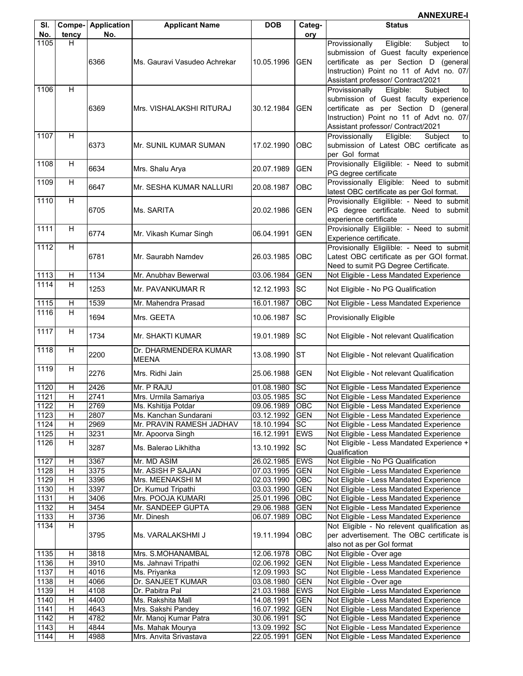| SI.          |                         | <b>Compe-</b> Application | <b>Applicant Name</b>                     | <b>DOB</b>               | Categ-                   | <b>Status</b>                                                                                                                                                                                                     |
|--------------|-------------------------|---------------------------|-------------------------------------------|--------------------------|--------------------------|-------------------------------------------------------------------------------------------------------------------------------------------------------------------------------------------------------------------|
| No.<br>1105  | tency<br>H              | No.                       |                                           |                          | ory                      | Eligible:<br>Subject<br>Provissionally<br>to                                                                                                                                                                      |
|              |                         | 6366                      | Ms. Gauravi Vasudeo Achrekar              | 10.05.1996               | <b>GEN</b>               | submission of Guest faculty experience<br>certificate as per Section D (general<br>Instruction) Point no 11 of Advt no. 07/<br>Assistant professor/ Contract/2021                                                 |
| 1106         | H                       | 6369                      | Mrs. VISHALAKSHI RITURAJ                  | 30.12.1984               | <b>GEN</b>               | Provissionally<br>Eligible:<br>Subject<br>to<br>submission of Guest faculty experience<br>certificate as per Section D (general<br>Instruction) Point no 11 of Advt no. 07/<br>Assistant professor/ Contract/2021 |
| 1107         | H                       | 6373                      | Mr. SUNIL KUMAR SUMAN                     | 17.02.1990               | OBC                      | Provissionally<br>Eligible:<br>Subject<br>to<br>submission of Latest OBC certificate as<br>per Gol format                                                                                                         |
| 1108         | H                       | 6634                      | Mrs. Shalu Arya                           | 20.07.1989               | <b>GEN</b>               | Provisionally Eligilible: - Need to submit<br>PG degree certificate                                                                                                                                               |
| 1109         | н                       | 6647                      | Mr. SESHA KUMAR NALLURI                   | 20.08.1987               | OBC                      | Provissionally Eligible: Need to submit<br>latest OBC certificate as per Gol format.                                                                                                                              |
| 1110         | H                       | 6705                      | Ms. SARITA                                | 20.02.1986               | <b>GEN</b>               | Provisionally Eligilible: - Need to submit<br>PG degree certificate. Need to submit<br>experience certificate                                                                                                     |
| 1111         | $\overline{H}$          | 6774                      | Mr. Vikash Kumar Singh                    | 06.04.1991               | <b>GEN</b>               | Provisionally Eligilible: - Need to submit<br>Experience certificate.                                                                                                                                             |
| 1112         | $\overline{H}$          | 6781                      | Mr. Saurabh Namdev                        | 26.03.1985               | OBC                      | Provisionally Eligilible: - Need to submit<br>Latest OBC certificate as per GOI format.<br>Need to sumit PG Degree Certificate.                                                                                   |
| 1113         | н                       | 1134                      | Mr. Anubhav Bewerwal                      | 03.06.1984               | <b>GEN</b>               | Not Eligible - Less Mandated Experience                                                                                                                                                                           |
| 1114         | H                       | 1253                      | Mr. PAVANKUMAR R                          | 12.12.1993               | <b>SC</b>                | Not Eligible - No PG Qualification                                                                                                                                                                                |
| 1115         | H                       | 1539                      | Mr. Mahendra Prasad                       | 16.01.1987               | OBC                      | Not Eligible - Less Mandated Experience                                                                                                                                                                           |
| 1116         | H                       | 1694                      | Mrs. GEETA                                | 10.06.1987               | <b>SC</b>                | <b>Provisionally Eligible</b>                                                                                                                                                                                     |
| 1117         | H                       | 1734                      | Mr. SHAKTI KUMAR                          | 19.01.1989               | <b>SC</b>                | Not Eligible - Not relevant Qualification                                                                                                                                                                         |
| 1118         | $\overline{H}$          | 2200                      | Dr. DHARMENDERA KUMAR<br><b>MEENA</b>     | 13.08.1990               | <b>ST</b>                | Not Eligible - Not relevant Qualification                                                                                                                                                                         |
| 1119         | H                       | 2276                      | Mrs. Ridhi Jain                           | 25.06.1988               | <b>GEN</b>               | Not Eligible - Not relevant Qualification                                                                                                                                                                         |
| 1120         | Н                       | 2426                      | Mr. P RAJU                                | 01.08.1980               | <b>SC</b>                | Not Eligible - Less Mandated Experience                                                                                                                                                                           |
| 1121         | $\overline{\mathsf{H}}$ | 2741                      | Mrs. Urmila Samariva                      | 03.05.1985               | $ \mathrm{SC} $          | Not Eligible - Less Mandated Experience                                                                                                                                                                           |
| 1122         | н                       | 2769                      | Ms. Kshitija Potdar                       | 09.06.1989               | OBC                      | Not Eligible - Less Mandated Experience                                                                                                                                                                           |
| 1123         | Н                       | 2807                      | Ms. Kanchan Sundarani                     | 03.12.1992               | <b>GEN</b>               | Not Eligible - Less Mandated Experience                                                                                                                                                                           |
| 1124         | н                       | 2969                      | Mr. PRAVIN RAMESH JADHAV                  | 18.10.1994               | <b>SC</b>                | Not Eligible - Less Mandated Experience                                                                                                                                                                           |
| 1125<br>1126 | $\overline{H}$<br>н     | 3231<br>3287              | Mr. Apoorva Singh<br>Ms. Balerao Likhitha | 16.12.1991<br>13.10.1992 | <b>EWS</b><br><b>SC</b>  | Not Eligible - Less Mandated Experience<br>Not Eligible - Less Mandated Experience +                                                                                                                              |
|              |                         |                           |                                           |                          |                          | Qualification<br>Not Eligible - No PG Qualification                                                                                                                                                               |
| 1127<br>1128 | Н<br>н                  | 3367<br>3375              | Mr. MD ASIM<br>Mr. ASISH P SAJAN          | 26.02.1985<br>07.03.1995 | <b>EWS</b><br><b>GEN</b> | Not Eligible - Less Mandated Experience                                                                                                                                                                           |
| 1129         | н                       | 3396                      | Mrs. MEENAKSHI M                          | 02.03.1990               | OBC                      | Not Eligible - Less Mandated Experience                                                                                                                                                                           |
| 1130         | Н                       | 3397                      | Dr. Kumud Tripathi                        | 03.03.1990               | <b>GEN</b>               | Not Eligible - Less Mandated Experience                                                                                                                                                                           |
| 1131         | н                       | 3406                      | Mrs. POOJA KUMARI                         | 25.01.1996               | OBC                      | Not Eligible - Less Mandated Experience                                                                                                                                                                           |
| 1132         | Н                       | 3454                      | Mr. SANDEEP GUPTA                         | 29.06.1988               | <b>GEN</b>               | Not Eligible - Less Mandated Experience                                                                                                                                                                           |
| 1133         | H                       | 3736                      | Mr. Dinesh                                | 06.07.1989               | OBC                      | Not Eligible - Less Mandated Experience                                                                                                                                                                           |
| 1134         | H                       | 3795                      | Ms. VARALAKSHMI J                         | 19.11.1994               | OBC                      | Not Eligible - No relevent qualification as<br>per advertisement. The OBC certificate is<br>also not as per Gol format                                                                                            |
| 1135         | н                       | 3818                      | Mrs. S.MOHANAMBAL                         | 12.06.1978               | OBC                      | Not Eligible - Over age                                                                                                                                                                                           |
| 1136         | н                       | $\overline{39}10$         | Ms. Jahnavi Tripathi                      | 02.06.1992               | <b>GEN</b>               | Not Eligible - Less Mandated Experience                                                                                                                                                                           |
| 1137         | H                       | 4016                      | Ms. Priyanka                              | 12.09.1993               | SC                       | Not Eligible - Less Mandated Experience                                                                                                                                                                           |
| 1138         | Н                       | 4066                      | Dr. SANJEET KUMAR                         | 03.08.1980               | <b>GEN</b>               | Not Eligible - Over age                                                                                                                                                                                           |
| 1139         | н                       | 4108                      | Dr. Pabitra Pal                           | 21.03.1988               | <b>EWS</b>               | Not Eligible - Less Mandated Experience                                                                                                                                                                           |
| 1140         | Н                       | 4400                      | Ms. Rakshita Mall                         | 14.08.1991               | <b>GEN</b>               | Not Eligible - Less Mandated Experience                                                                                                                                                                           |
| 1141         | H                       | 4643                      | Mrs. Sakshi Pandey                        | 16.07.1992               | <b>GEN</b>               | Not Eligible - Less Mandated Experience                                                                                                                                                                           |
| 1142         | Н                       | 4782                      | Mr. Manoj Kumar Patra                     | 30.06.1991               | SC                       | Not Eligible - Less Mandated Experience                                                                                                                                                                           |
| 1143         | $\overline{H}$<br>H     | 4844                      | Ms. Mahak Mourya                          | 13.09.1992               | <b>SC</b>                | Not Eligible - Less Mandated Experience                                                                                                                                                                           |
| 1144         |                         | 4988                      | Mrs. Anvita Srivastava                    | 22.05.1991               | <b>GEN</b>               | Not Eligible - Less Mandated Experience                                                                                                                                                                           |

**Sl.**